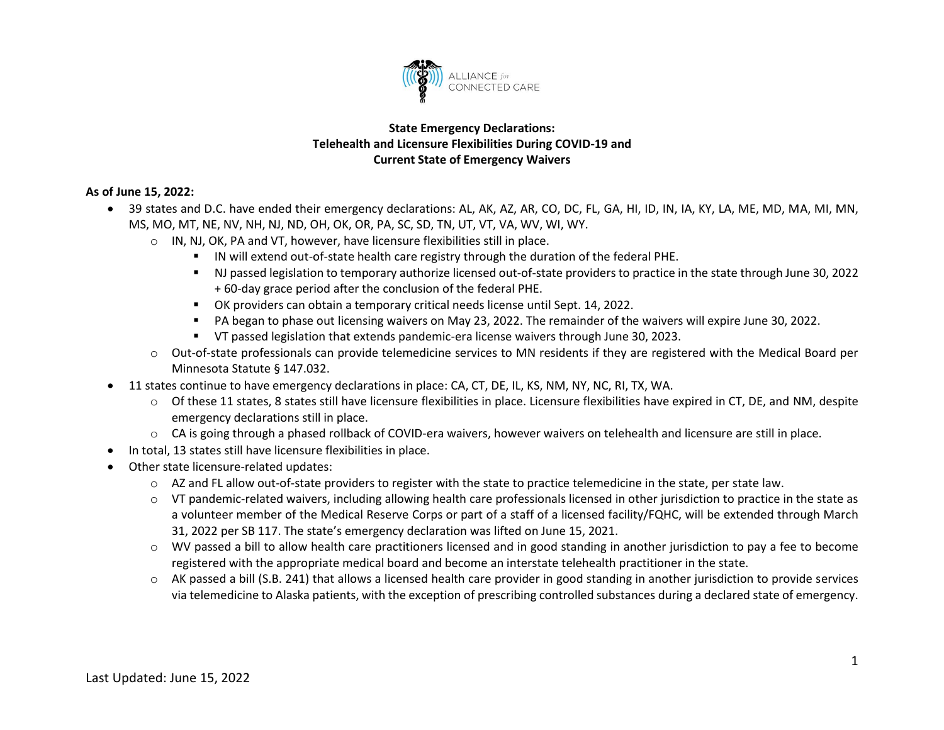

## **State Emergency Declarations: Telehealth and Licensure Flexibilities During COVID-19 and Current State of Emergency Waivers**

## **As of June 15, 2022:**

- 39 states and D.C. have ended their emergency declarations: AL, AK, AZ, AR, CO, DC, FL, GA, HI, ID, IN, IA, KY, LA, ME, MD, MA, MI, MN, MS, MO, MT, NE, NV, NH, NJ, ND, OH, OK, OR, PA, SC, SD, TN, UT, VT, VA, WV, WI, WY.
	- o IN, NJ, OK, PA and VT, however, have licensure flexibilities still in place.
		- IN will extend out-of-state health care registry through the duration of the federal PHE.
		- NJ passed legislation to temporary authorize licensed out-of-state providers to practice in the state through June 30, 2022 + 60-day grace period after the conclusion of the federal PHE.
		- OK providers can obtain a temporary critical needs license until Sept. 14, 2022.
		- PA began to phase out licensing waivers on May 23, 2022. The remainder of the waivers will expire June 30, 2022.
		- VT passed legislation that extends pandemic-era license waivers through June 30, 2023.
	- o Out-of-state professionals can provide telemedicine services to MN residents if they are registered with the Medical Board per Minnesota Statute § 147.032.
- 11 states continue to have emergency declarations in place: CA, CT, DE, IL, KS, NM, NY, NC, RI, TX, WA.
	- $\circ$  Of these 11 states, 8 states still have licensure flexibilities in place. Licensure flexibilities have expired in CT, DE, and NM, despite emergency declarations still in place.
	- o CA is going through a phased rollback of COVID-era waivers, however waivers on telehealth and licensure are still in place.
- In total, 13 states still have licensure flexibilities in place.
- Other state licensure-related updates:
	- $\circ$  AZ and FL allow out-of-state providers to register with the state to practice telemedicine in the state, per state law.
	- o VT pandemic-related waivers, including allowing health care professionals licensed in other jurisdiction to practice in the state as a volunteer member of the Medical Reserve Corps or part of a staff of a licensed facility/FQHC, will be extended through March 31, 2022 per SB 117. The state's emergency declaration was lifted on June 15, 2021.
	- o WV passed a bill to allow health care practitioners licensed and in good standing in another jurisdiction to pay a fee to become registered with the appropriate medical board and become an interstate telehealth practitioner in the state.
	- o AK passed a bill (S.B. 241) that allows a licensed health care provider in good standing in another jurisdiction to provide services via telemedicine to Alaska patients, with the exception of prescribing controlled substances during a declared state of emergency.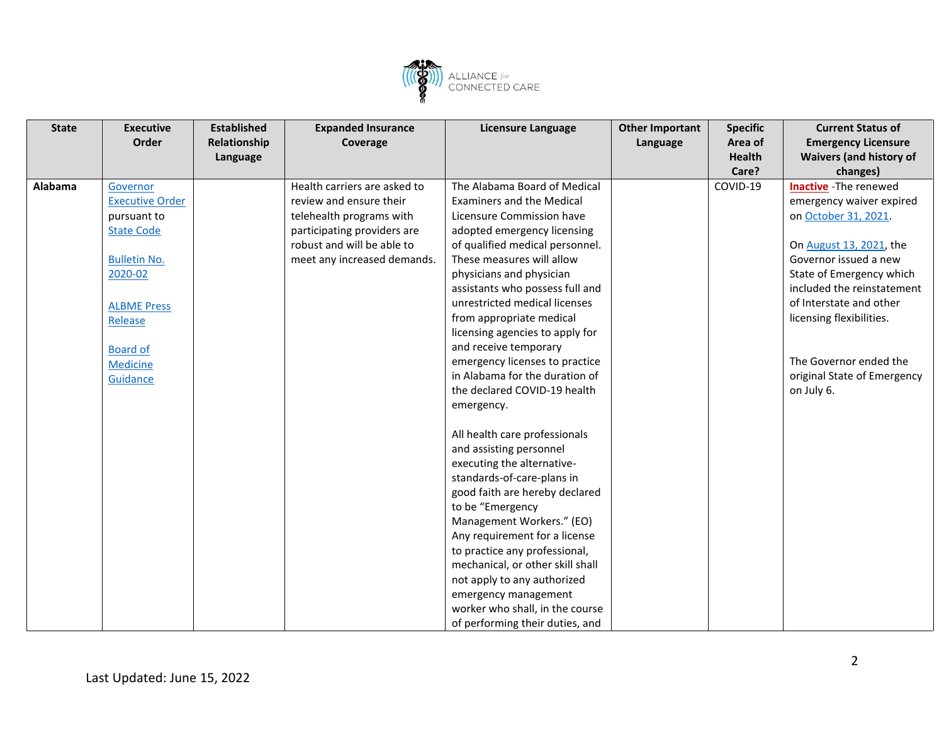

| <b>State</b> | <b>Executive</b>       | <b>Established</b> | <b>Expanded Insurance</b>    | <b>Licensure Language</b>        | <b>Other Important</b> | <b>Specific</b> | <b>Current Status of</b>       |
|--------------|------------------------|--------------------|------------------------------|----------------------------------|------------------------|-----------------|--------------------------------|
|              | Order                  | Relationship       | Coverage                     |                                  | Language               | Area of         | <b>Emergency Licensure</b>     |
|              |                        | Language           |                              |                                  |                        | <b>Health</b>   | <b>Waivers (and history of</b> |
|              |                        |                    |                              |                                  |                        | Care?           | changes)                       |
| Alabama      | Governor               |                    | Health carriers are asked to | The Alabama Board of Medical     |                        | COVID-19        | <b>Inactive</b> - The renewed  |
|              | <b>Executive Order</b> |                    | review and ensure their      | <b>Examiners and the Medical</b> |                        |                 | emergency waiver expired       |
|              | pursuant to            |                    | telehealth programs with     | Licensure Commission have        |                        |                 | on October 31, 2021.           |
|              | <b>State Code</b>      |                    | participating providers are  | adopted emergency licensing      |                        |                 |                                |
|              |                        |                    | robust and will be able to   | of qualified medical personnel.  |                        |                 | On August 13, 2021, the        |
|              | <b>Bulletin No.</b>    |                    | meet any increased demands.  | These measures will allow        |                        |                 | Governor issued a new          |
|              | 2020-02                |                    |                              | physicians and physician         |                        |                 | State of Emergency which       |
|              |                        |                    |                              | assistants who possess full and  |                        |                 | included the reinstatement     |
|              | <b>ALBME Press</b>     |                    |                              | unrestricted medical licenses    |                        |                 | of Interstate and other        |
|              | Release                |                    |                              | from appropriate medical         |                        |                 | licensing flexibilities.       |
|              |                        |                    |                              | licensing agencies to apply for  |                        |                 |                                |
|              | <b>Board of</b>        |                    |                              | and receive temporary            |                        |                 |                                |
|              | Medicine               |                    |                              | emergency licenses to practice   |                        |                 | The Governor ended the         |
|              | Guidance               |                    |                              | in Alabama for the duration of   |                        |                 | original State of Emergency    |
|              |                        |                    |                              | the declared COVID-19 health     |                        |                 | on July 6.                     |
|              |                        |                    |                              | emergency.                       |                        |                 |                                |
|              |                        |                    |                              |                                  |                        |                 |                                |
|              |                        |                    |                              | All health care professionals    |                        |                 |                                |
|              |                        |                    |                              | and assisting personnel          |                        |                 |                                |
|              |                        |                    |                              | executing the alternative-       |                        |                 |                                |
|              |                        |                    |                              | standards-of-care-plans in       |                        |                 |                                |
|              |                        |                    |                              | good faith are hereby declared   |                        |                 |                                |
|              |                        |                    |                              | to be "Emergency                 |                        |                 |                                |
|              |                        |                    |                              | Management Workers." (EO)        |                        |                 |                                |
|              |                        |                    |                              | Any requirement for a license    |                        |                 |                                |
|              |                        |                    |                              | to practice any professional,    |                        |                 |                                |
|              |                        |                    |                              | mechanical, or other skill shall |                        |                 |                                |
|              |                        |                    |                              | not apply to any authorized      |                        |                 |                                |
|              |                        |                    |                              | emergency management             |                        |                 |                                |
|              |                        |                    |                              | worker who shall, in the course  |                        |                 |                                |
|              |                        |                    |                              | of performing their duties, and  |                        |                 |                                |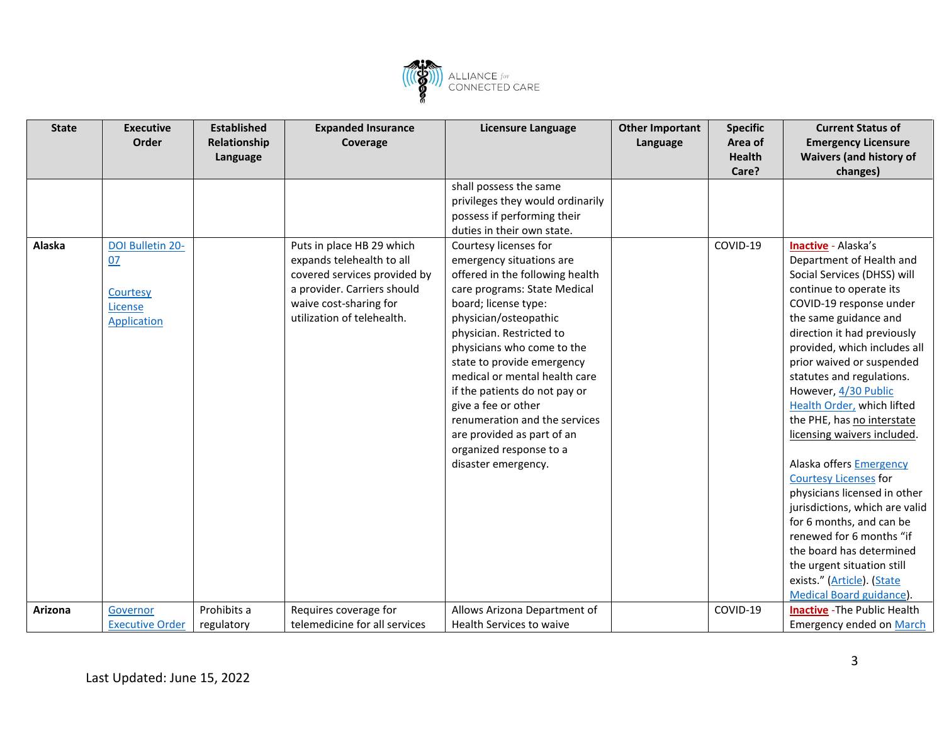

| <b>State</b> | <b>Executive</b>                         | <b>Established</b> | <b>Expanded Insurance</b>                                                                                                                        | <b>Licensure Language</b>                                                                                                                                                                                                                                                                                                                                                                                                                      | <b>Other Important</b> | <b>Specific</b> | <b>Current Status of</b>                                                                                                                                                                                                                                                                                                                                                                                                                                                                                                                                                                                                                                        |
|--------------|------------------------------------------|--------------------|--------------------------------------------------------------------------------------------------------------------------------------------------|------------------------------------------------------------------------------------------------------------------------------------------------------------------------------------------------------------------------------------------------------------------------------------------------------------------------------------------------------------------------------------------------------------------------------------------------|------------------------|-----------------|-----------------------------------------------------------------------------------------------------------------------------------------------------------------------------------------------------------------------------------------------------------------------------------------------------------------------------------------------------------------------------------------------------------------------------------------------------------------------------------------------------------------------------------------------------------------------------------------------------------------------------------------------------------------|
|              | Order                                    | Relationship       | Coverage                                                                                                                                         |                                                                                                                                                                                                                                                                                                                                                                                                                                                | Language               | Area of         | <b>Emergency Licensure</b>                                                                                                                                                                                                                                                                                                                                                                                                                                                                                                                                                                                                                                      |
|              |                                          | Language           |                                                                                                                                                  |                                                                                                                                                                                                                                                                                                                                                                                                                                                |                        | <b>Health</b>   | <b>Waivers (and history of</b>                                                                                                                                                                                                                                                                                                                                                                                                                                                                                                                                                                                                                                  |
|              |                                          |                    |                                                                                                                                                  |                                                                                                                                                                                                                                                                                                                                                                                                                                                |                        | Care?           | changes)                                                                                                                                                                                                                                                                                                                                                                                                                                                                                                                                                                                                                                                        |
| Alaska       | DOI Bulletin 20-                         |                    | Puts in place HB 29 which                                                                                                                        | shall possess the same<br>privileges they would ordinarily<br>possess if performing their<br>duties in their own state.<br>Courtesy licenses for                                                                                                                                                                                                                                                                                               |                        | COVID-19        | Inactive - Alaska's                                                                                                                                                                                                                                                                                                                                                                                                                                                                                                                                                                                                                                             |
|              | 07<br>Courtesy<br>License<br>Application |                    | expands telehealth to all<br>covered services provided by<br>a provider. Carriers should<br>waive cost-sharing for<br>utilization of telehealth. | emergency situations are<br>offered in the following health<br>care programs: State Medical<br>board; license type:<br>physician/osteopathic<br>physician. Restricted to<br>physicians who come to the<br>state to provide emergency<br>medical or mental health care<br>if the patients do not pay or<br>give a fee or other<br>renumeration and the services<br>are provided as part of an<br>organized response to a<br>disaster emergency. |                        |                 | Department of Health and<br>Social Services (DHSS) will<br>continue to operate its<br>COVID-19 response under<br>the same guidance and<br>direction it had previously<br>provided, which includes all<br>prior waived or suspended<br>statutes and regulations.<br>However, 4/30 Public<br>Health Order, which lifted<br>the PHE, has no interstate<br>licensing waivers included.<br>Alaska offers Emergency<br><b>Courtesy Licenses for</b><br>physicians licensed in other<br>jurisdictions, which are valid<br>for 6 months, and can be<br>renewed for 6 months "if<br>the board has determined<br>the urgent situation still<br>exists." (Article). (State |
|              |                                          | Prohibits a        |                                                                                                                                                  |                                                                                                                                                                                                                                                                                                                                                                                                                                                |                        | COVID-19        | <b>Medical Board guidance).</b>                                                                                                                                                                                                                                                                                                                                                                                                                                                                                                                                                                                                                                 |
| Arizona      | Governor<br><b>Executive Order</b>       | regulatory         | Requires coverage for<br>telemedicine for all services                                                                                           | Allows Arizona Department of<br>Health Services to waive                                                                                                                                                                                                                                                                                                                                                                                       |                        |                 | <b>Inactive</b> - The Public Health<br><b>Emergency ended on March</b>                                                                                                                                                                                                                                                                                                                                                                                                                                                                                                                                                                                          |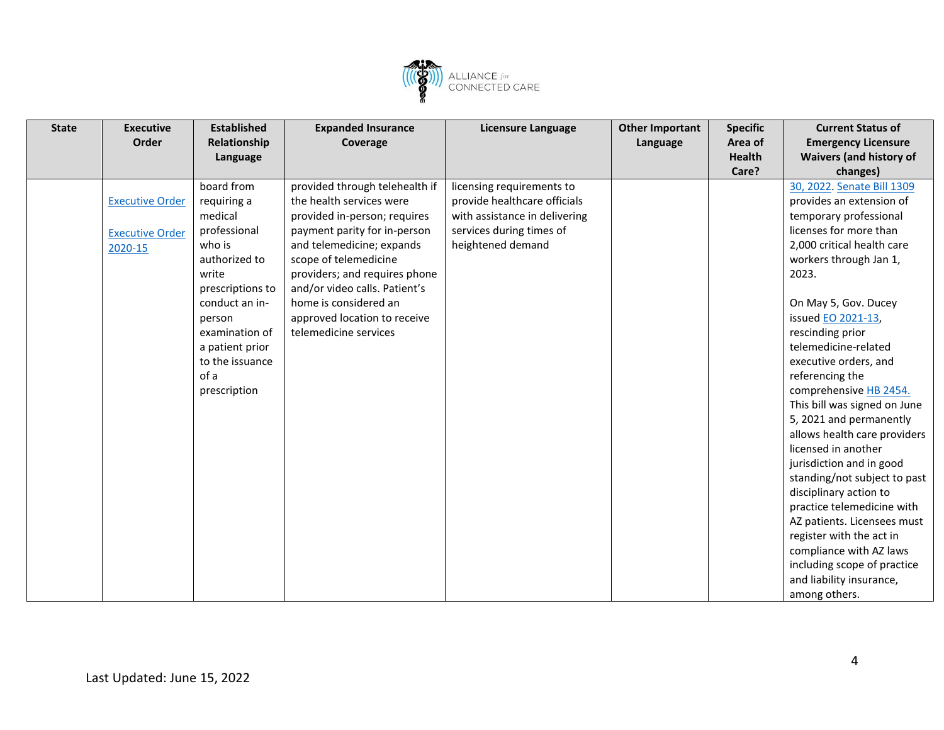

| <b>State</b> | <b>Executive</b>       | <b>Established</b> | <b>Expanded Insurance</b>      | <b>Licensure Language</b>     | <b>Other Important</b> | <b>Specific</b> | <b>Current Status of</b>       |
|--------------|------------------------|--------------------|--------------------------------|-------------------------------|------------------------|-----------------|--------------------------------|
|              | Order                  | Relationship       | Coverage                       |                               | Language               | Area of         | <b>Emergency Licensure</b>     |
|              |                        | Language           |                                |                               |                        | Health          | <b>Waivers (and history of</b> |
|              |                        |                    |                                |                               |                        | Care?           | changes)                       |
|              |                        | board from         | provided through telehealth if | licensing requirements to     |                        |                 | 30, 2022. Senate Bill 1309     |
|              | <b>Executive Order</b> | requiring a        | the health services were       | provide healthcare officials  |                        |                 | provides an extension of       |
|              |                        | medical            | provided in-person; requires   | with assistance in delivering |                        |                 | temporary professional         |
|              | <b>Executive Order</b> | professional       | payment parity for in-person   | services during times of      |                        |                 | licenses for more than         |
|              | 2020-15                | who is             | and telemedicine; expands      | heightened demand             |                        |                 | 2,000 critical health care     |
|              |                        | authorized to      | scope of telemedicine          |                               |                        |                 | workers through Jan 1,         |
|              |                        | write              | providers; and requires phone  |                               |                        |                 | 2023.                          |
|              |                        | prescriptions to   | and/or video calls. Patient's  |                               |                        |                 |                                |
|              |                        | conduct an in-     | home is considered an          |                               |                        |                 | On May 5, Gov. Ducey           |
|              |                        | person             | approved location to receive   |                               |                        |                 | issued EO 2021-13,             |
|              |                        | examination of     | telemedicine services          |                               |                        |                 | rescinding prior               |
|              |                        | a patient prior    |                                |                               |                        |                 | telemedicine-related           |
|              |                        | to the issuance    |                                |                               |                        |                 | executive orders, and          |
|              |                        | of a               |                                |                               |                        |                 | referencing the                |
|              |                        | prescription       |                                |                               |                        |                 | comprehensive HB 2454.         |
|              |                        |                    |                                |                               |                        |                 | This bill was signed on June   |
|              |                        |                    |                                |                               |                        |                 | 5, 2021 and permanently        |
|              |                        |                    |                                |                               |                        |                 | allows health care providers   |
|              |                        |                    |                                |                               |                        |                 | licensed in another            |
|              |                        |                    |                                |                               |                        |                 | jurisdiction and in good       |
|              |                        |                    |                                |                               |                        |                 | standing/not subject to past   |
|              |                        |                    |                                |                               |                        |                 | disciplinary action to         |
|              |                        |                    |                                |                               |                        |                 | practice telemedicine with     |
|              |                        |                    |                                |                               |                        |                 | AZ patients. Licensees must    |
|              |                        |                    |                                |                               |                        |                 | register with the act in       |
|              |                        |                    |                                |                               |                        |                 | compliance with AZ laws        |
|              |                        |                    |                                |                               |                        |                 | including scope of practice    |
|              |                        |                    |                                |                               |                        |                 | and liability insurance,       |
|              |                        |                    |                                |                               |                        |                 | among others.                  |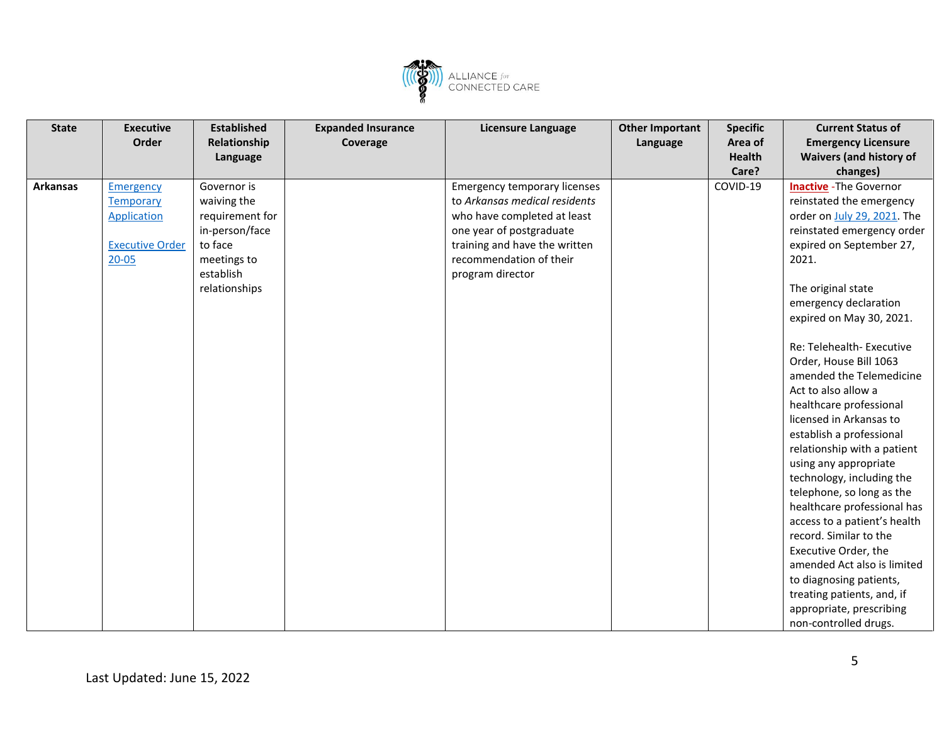

| <b>State</b>    | <b>Executive</b>       | <b>Established</b> | <b>Expanded Insurance</b> | Licensure Language                  | <b>Other Important</b> | <b>Specific</b> | <b>Current Status of</b>       |
|-----------------|------------------------|--------------------|---------------------------|-------------------------------------|------------------------|-----------------|--------------------------------|
|                 | Order                  | Relationship       | Coverage                  |                                     | Language               | Area of         | <b>Emergency Licensure</b>     |
|                 |                        | Language           |                           |                                     |                        | <b>Health</b>   | <b>Waivers (and history of</b> |
|                 |                        |                    |                           |                                     |                        | Care?           | changes)                       |
| <b>Arkansas</b> | <b>Emergency</b>       | Governor is        |                           | <b>Emergency temporary licenses</b> |                        | COVID-19        | <b>Inactive</b> - The Governor |
|                 | <b>Temporary</b>       | waiving the        |                           | to Arkansas medical residents       |                        |                 | reinstated the emergency       |
|                 | <b>Application</b>     | requirement for    |                           | who have completed at least         |                        |                 | order on July 29, 2021. The    |
|                 |                        | in-person/face     |                           | one year of postgraduate            |                        |                 | reinstated emergency order     |
|                 | <b>Executive Order</b> | to face            |                           | training and have the written       |                        |                 | expired on September 27,       |
|                 | $20 - 05$              | meetings to        |                           | recommendation of their             |                        |                 | 2021.                          |
|                 |                        | establish          |                           | program director                    |                        |                 |                                |
|                 |                        | relationships      |                           |                                     |                        |                 | The original state             |
|                 |                        |                    |                           |                                     |                        |                 | emergency declaration          |
|                 |                        |                    |                           |                                     |                        |                 | expired on May 30, 2021.       |
|                 |                        |                    |                           |                                     |                        |                 |                                |
|                 |                        |                    |                           |                                     |                        |                 | Re: Telehealth- Executive      |
|                 |                        |                    |                           |                                     |                        |                 | Order, House Bill 1063         |
|                 |                        |                    |                           |                                     |                        |                 | amended the Telemedicine       |
|                 |                        |                    |                           |                                     |                        |                 | Act to also allow a            |
|                 |                        |                    |                           |                                     |                        |                 | healthcare professional        |
|                 |                        |                    |                           |                                     |                        |                 | licensed in Arkansas to        |
|                 |                        |                    |                           |                                     |                        |                 | establish a professional       |
|                 |                        |                    |                           |                                     |                        |                 | relationship with a patient    |
|                 |                        |                    |                           |                                     |                        |                 | using any appropriate          |
|                 |                        |                    |                           |                                     |                        |                 | technology, including the      |
|                 |                        |                    |                           |                                     |                        |                 | telephone, so long as the      |
|                 |                        |                    |                           |                                     |                        |                 | healthcare professional has    |
|                 |                        |                    |                           |                                     |                        |                 | access to a patient's health   |
|                 |                        |                    |                           |                                     |                        |                 | record. Similar to the         |
|                 |                        |                    |                           |                                     |                        |                 | Executive Order, the           |
|                 |                        |                    |                           |                                     |                        |                 | amended Act also is limited    |
|                 |                        |                    |                           |                                     |                        |                 | to diagnosing patients,        |
|                 |                        |                    |                           |                                     |                        |                 | treating patients, and, if     |
|                 |                        |                    |                           |                                     |                        |                 | appropriate, prescribing       |
|                 |                        |                    |                           |                                     |                        |                 | non-controlled drugs.          |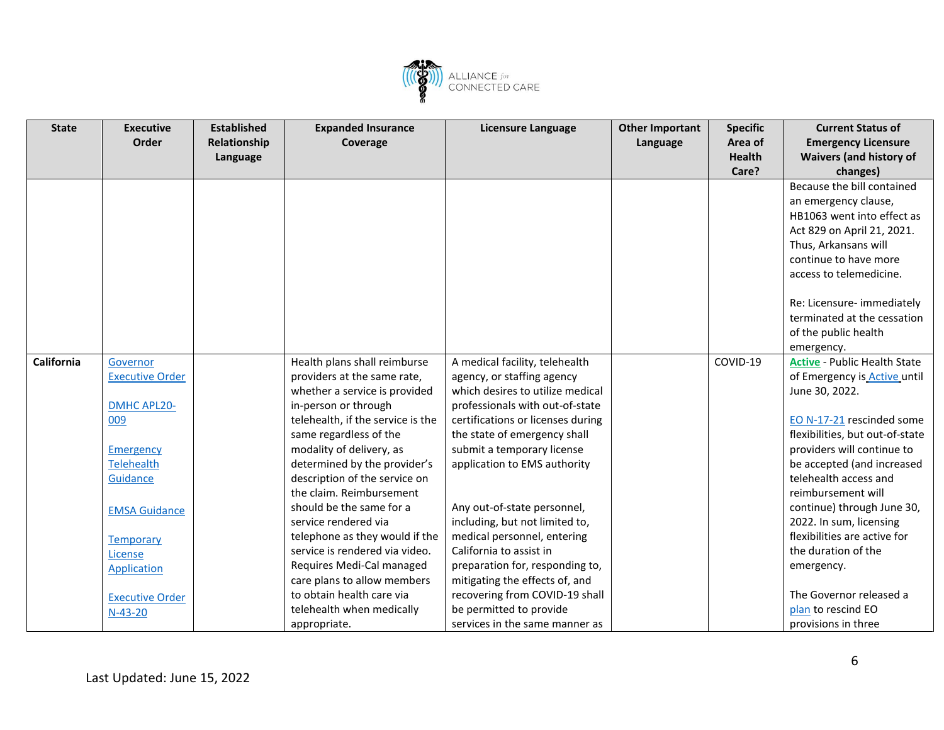

| <b>State</b> | <b>Executive</b>       | <b>Established</b> | <b>Expanded Insurance</b>         | Licensure Language                | <b>Other Important</b> | <b>Specific</b> | <b>Current Status of</b>            |
|--------------|------------------------|--------------------|-----------------------------------|-----------------------------------|------------------------|-----------------|-------------------------------------|
|              | Order                  | Relationship       | Coverage                          |                                   | Language               | Area of         | <b>Emergency Licensure</b>          |
|              |                        | Language           |                                   |                                   |                        | <b>Health</b>   | <b>Waivers (and history of</b>      |
|              |                        |                    |                                   |                                   |                        | Care?           | changes)                            |
|              |                        |                    |                                   |                                   |                        |                 | Because the bill contained          |
|              |                        |                    |                                   |                                   |                        |                 | an emergency clause,                |
|              |                        |                    |                                   |                                   |                        |                 | HB1063 went into effect as          |
|              |                        |                    |                                   |                                   |                        |                 | Act 829 on April 21, 2021.          |
|              |                        |                    |                                   |                                   |                        |                 | Thus, Arkansans will                |
|              |                        |                    |                                   |                                   |                        |                 | continue to have more               |
|              |                        |                    |                                   |                                   |                        |                 | access to telemedicine.             |
|              |                        |                    |                                   |                                   |                        |                 |                                     |
|              |                        |                    |                                   |                                   |                        |                 | Re: Licensure- immediately          |
|              |                        |                    |                                   |                                   |                        |                 | terminated at the cessation         |
|              |                        |                    |                                   |                                   |                        |                 | of the public health                |
|              |                        |                    |                                   |                                   |                        |                 | emergency.                          |
| California   | Governor               |                    | Health plans shall reimburse      | A medical facility, telehealth    |                        | COVID-19        | <b>Active - Public Health State</b> |
|              | <b>Executive Order</b> |                    | providers at the same rate,       | agency, or staffing agency        |                        |                 | of Emergency is Active until        |
|              |                        |                    | whether a service is provided     | which desires to utilize medical  |                        |                 | June 30, 2022.                      |
|              | DMHC APL20-            |                    | in-person or through              | professionals with out-of-state   |                        |                 |                                     |
|              | 009                    |                    | telehealth, if the service is the | certifications or licenses during |                        |                 | EO N-17-21 rescinded some           |
|              |                        |                    | same regardless of the            | the state of emergency shall      |                        |                 | flexibilities, but out-of-state     |
|              | <b>Emergency</b>       |                    | modality of delivery, as          | submit a temporary license        |                        |                 | providers will continue to          |
|              | <b>Telehealth</b>      |                    | determined by the provider's      | application to EMS authority      |                        |                 | be accepted (and increased          |
|              | Guidance               |                    | description of the service on     |                                   |                        |                 | telehealth access and               |
|              |                        |                    | the claim. Reimbursement          |                                   |                        |                 | reimbursement will                  |
|              | <b>EMSA Guidance</b>   |                    | should be the same for a          | Any out-of-state personnel,       |                        |                 | continue) through June 30,          |
|              |                        |                    | service rendered via              | including, but not limited to,    |                        |                 | 2022. In sum, licensing             |
|              | <b>Temporary</b>       |                    | telephone as they would if the    | medical personnel, entering       |                        |                 | flexibilities are active for        |
|              | License                |                    | service is rendered via video.    | California to assist in           |                        |                 | the duration of the                 |
|              | Application            |                    | Requires Medi-Cal managed         | preparation for, responding to,   |                        |                 | emergency.                          |
|              |                        |                    | care plans to allow members       | mitigating the effects of, and    |                        |                 |                                     |
|              | <b>Executive Order</b> |                    | to obtain health care via         | recovering from COVID-19 shall    |                        |                 | The Governor released a             |
|              | $N-43-20$              |                    | telehealth when medically         | be permitted to provide           |                        |                 | plan to rescind EO                  |
|              |                        |                    | appropriate.                      | services in the same manner as    |                        |                 | provisions in three                 |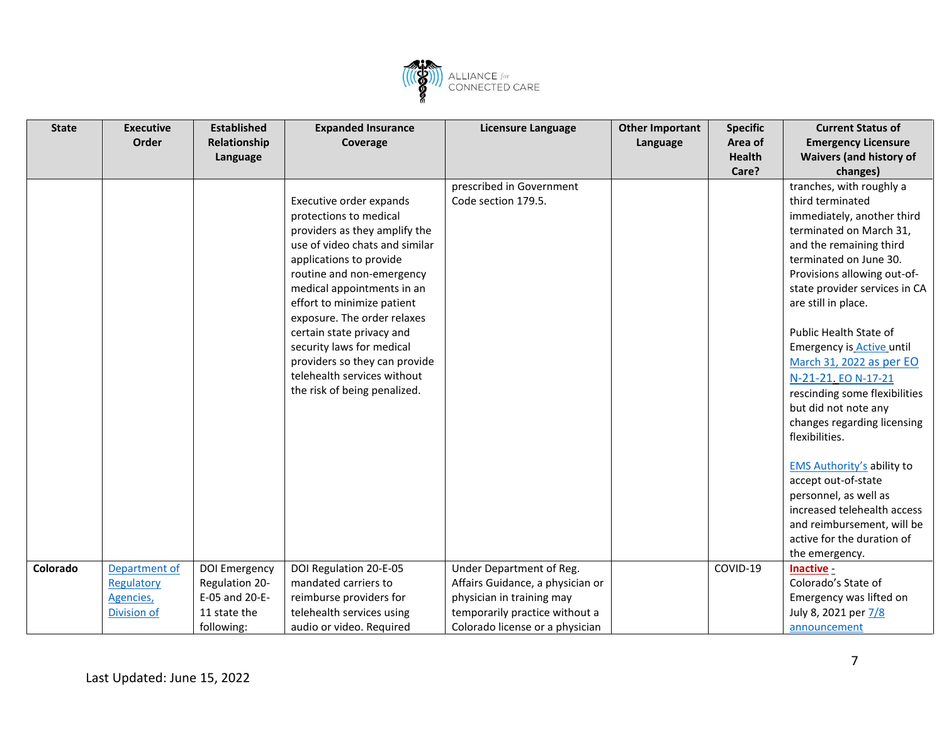

| <b>State</b><br><b>Executive</b>                                    | <b>Established</b>                                                              | <b>Expanded Insurance</b>                                                                                                                                                                                                                                                                                                                                                                                                         | <b>Licensure Language</b>                                                                                                                                      | <b>Other Important</b> | <b>Specific</b> | <b>Current Status of</b>                                                                                                                                                                                                                                                                                                                                                                                                                                                                                                                                                                                                                                     |
|---------------------------------------------------------------------|---------------------------------------------------------------------------------|-----------------------------------------------------------------------------------------------------------------------------------------------------------------------------------------------------------------------------------------------------------------------------------------------------------------------------------------------------------------------------------------------------------------------------------|----------------------------------------------------------------------------------------------------------------------------------------------------------------|------------------------|-----------------|--------------------------------------------------------------------------------------------------------------------------------------------------------------------------------------------------------------------------------------------------------------------------------------------------------------------------------------------------------------------------------------------------------------------------------------------------------------------------------------------------------------------------------------------------------------------------------------------------------------------------------------------------------------|
| Order                                                               | Relationship                                                                    | Coverage                                                                                                                                                                                                                                                                                                                                                                                                                          |                                                                                                                                                                | Language               | Area of         | <b>Emergency Licensure</b>                                                                                                                                                                                                                                                                                                                                                                                                                                                                                                                                                                                                                                   |
|                                                                     | Language                                                                        |                                                                                                                                                                                                                                                                                                                                                                                                                                   |                                                                                                                                                                |                        | <b>Health</b>   | <b>Waivers (and history of</b>                                                                                                                                                                                                                                                                                                                                                                                                                                                                                                                                                                                                                               |
|                                                                     |                                                                                 |                                                                                                                                                                                                                                                                                                                                                                                                                                   |                                                                                                                                                                |                        | Care?           | changes)                                                                                                                                                                                                                                                                                                                                                                                                                                                                                                                                                                                                                                                     |
|                                                                     |                                                                                 | Executive order expands<br>protections to medical<br>providers as they amplify the<br>use of video chats and similar<br>applications to provide<br>routine and non-emergency<br>medical appointments in an<br>effort to minimize patient<br>exposure. The order relaxes<br>certain state privacy and<br>security laws for medical<br>providers so they can provide<br>telehealth services without<br>the risk of being penalized. | prescribed in Government<br>Code section 179.5.                                                                                                                |                        |                 | tranches, with roughly a<br>third terminated<br>immediately, another third<br>terminated on March 31,<br>and the remaining third<br>terminated on June 30.<br>Provisions allowing out-of-<br>state provider services in CA<br>are still in place.<br>Public Health State of<br><b>Emergency is Active until</b><br>March 31, 2022 as per EO<br>N-21-21. EO N-17-21<br>rescinding some flexibilities<br>but did not note any<br>changes regarding licensing<br>flexibilities.<br><b>EMS Authority's ability to</b><br>accept out-of-state<br>personnel, as well as<br>increased telehealth access<br>and reimbursement, will be<br>active for the duration of |
|                                                                     |                                                                                 |                                                                                                                                                                                                                                                                                                                                                                                                                                   |                                                                                                                                                                |                        |                 | the emergency.                                                                                                                                                                                                                                                                                                                                                                                                                                                                                                                                                                                                                                               |
| Colorado<br>Department of<br>Regulatory<br>Agencies,<br>Division of | DOI Emergency<br>Regulation 20-<br>E-05 and 20-E-<br>11 state the<br>following: | DOI Regulation 20-E-05<br>mandated carriers to<br>reimburse providers for<br>telehealth services using<br>audio or video. Required                                                                                                                                                                                                                                                                                                | Under Department of Reg.<br>Affairs Guidance, a physician or<br>physician in training may<br>temporarily practice without a<br>Colorado license or a physician |                        | COVID-19        | Inactive -<br>Colorado's State of<br>Emergency was lifted on<br>July 8, 2021 per 7/8<br>announcement                                                                                                                                                                                                                                                                                                                                                                                                                                                                                                                                                         |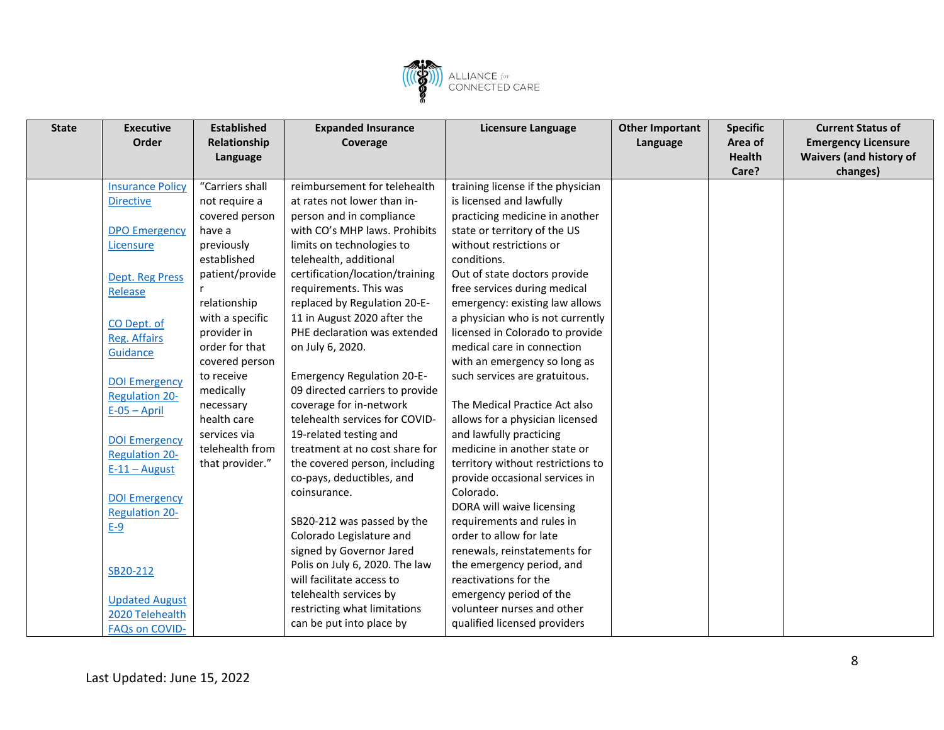

| <b>State</b> | <b>Executive</b>        | <b>Established</b> | <b>Expanded Insurance</b>         | <b>Licensure Language</b>         | <b>Other Important</b> | <b>Specific</b> | <b>Current Status of</b>       |
|--------------|-------------------------|--------------------|-----------------------------------|-----------------------------------|------------------------|-----------------|--------------------------------|
|              | Order                   | Relationship       | Coverage                          |                                   | Language               | Area of         | <b>Emergency Licensure</b>     |
|              |                         | Language           |                                   |                                   |                        | <b>Health</b>   | <b>Waivers (and history of</b> |
|              |                         |                    |                                   |                                   |                        | Care?           | changes)                       |
|              | <b>Insurance Policy</b> | "Carriers shall    | reimbursement for telehealth      | training license if the physician |                        |                 |                                |
|              | <b>Directive</b>        | not require a      | at rates not lower than in-       | is licensed and lawfully          |                        |                 |                                |
|              |                         | covered person     | person and in compliance          | practicing medicine in another    |                        |                 |                                |
|              | <b>DPO Emergency</b>    | have a             | with CO's MHP laws. Prohibits     | state or territory of the US      |                        |                 |                                |
|              | Licensure               | previously         | limits on technologies to         | without restrictions or           |                        |                 |                                |
|              |                         | established        | telehealth, additional            | conditions.                       |                        |                 |                                |
|              | Dept. Reg Press         | patient/provide    | certification/location/training   | Out of state doctors provide      |                        |                 |                                |
|              | Release                 |                    | requirements. This was            | free services during medical      |                        |                 |                                |
|              |                         | relationship       | replaced by Regulation 20-E-      | emergency: existing law allows    |                        |                 |                                |
|              | CO Dept. of             | with a specific    | 11 in August 2020 after the       | a physician who is not currently  |                        |                 |                                |
|              | Reg. Affairs            | provider in        | PHE declaration was extended      | licensed in Colorado to provide   |                        |                 |                                |
|              | Guidance                | order for that     | on July 6, 2020.                  | medical care in connection        |                        |                 |                                |
|              |                         | covered person     |                                   | with an emergency so long as      |                        |                 |                                |
|              | <b>DOI Emergency</b>    | to receive         | <b>Emergency Regulation 20-E-</b> | such services are gratuitous.     |                        |                 |                                |
|              | <b>Regulation 20-</b>   | medically          | 09 directed carriers to provide   |                                   |                        |                 |                                |
|              | $E-05 - April$          | necessary          | coverage for in-network           | The Medical Practice Act also     |                        |                 |                                |
|              |                         | health care        | telehealth services for COVID-    | allows for a physician licensed   |                        |                 |                                |
|              | <b>DOI Emergency</b>    | services via       | 19-related testing and            | and lawfully practicing           |                        |                 |                                |
|              | <b>Regulation 20-</b>   | telehealth from    | treatment at no cost share for    | medicine in another state or      |                        |                 |                                |
|              | $E-11 - August$         | that provider."    | the covered person, including     | territory without restrictions to |                        |                 |                                |
|              |                         |                    | co-pays, deductibles, and         | provide occasional services in    |                        |                 |                                |
|              | <b>DOI Emergency</b>    |                    | coinsurance.                      | Colorado.                         |                        |                 |                                |
|              | <b>Regulation 20-</b>   |                    |                                   | DORA will waive licensing         |                        |                 |                                |
|              | $E-9$                   |                    | SB20-212 was passed by the        | requirements and rules in         |                        |                 |                                |
|              |                         |                    | Colorado Legislature and          | order to allow for late           |                        |                 |                                |
|              |                         |                    | signed by Governor Jared          | renewals, reinstatements for      |                        |                 |                                |
|              | SB20-212                |                    | Polis on July 6, 2020. The law    | the emergency period, and         |                        |                 |                                |
|              |                         |                    | will facilitate access to         | reactivations for the             |                        |                 |                                |
|              | <b>Updated August</b>   |                    | telehealth services by            | emergency period of the           |                        |                 |                                |
|              | 2020 Telehealth         |                    | restricting what limitations      | volunteer nurses and other        |                        |                 |                                |
|              | <b>FAQs on COVID-</b>   |                    | can be put into place by          | qualified licensed providers      |                        |                 |                                |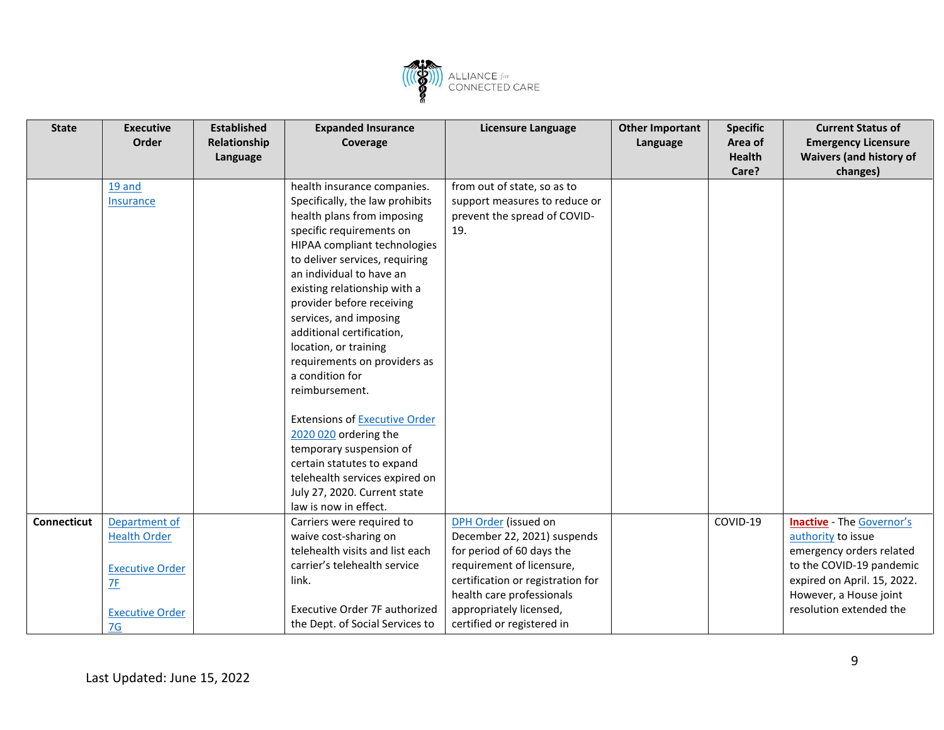

| <b>State</b> | <b>Executive</b><br>Order | <b>Established</b><br>Relationship | <b>Expanded Insurance</b><br>Coverage           | <b>Licensure Language</b>         | <b>Other Important</b><br>Language | <b>Specific</b><br>Area of | <b>Current Status of</b><br><b>Emergency Licensure</b> |
|--------------|---------------------------|------------------------------------|-------------------------------------------------|-----------------------------------|------------------------------------|----------------------------|--------------------------------------------------------|
|              |                           | Language                           |                                                 |                                   |                                    | <b>Health</b>              | <b>Waivers (and history of</b>                         |
|              |                           |                                    |                                                 |                                   |                                    | Care?                      | changes)                                               |
|              | 19 and                    |                                    | health insurance companies.                     | from out of state, so as to       |                                    |                            |                                                        |
|              | Insurance                 |                                    | Specifically, the law prohibits                 | support measures to reduce or     |                                    |                            |                                                        |
|              |                           |                                    | health plans from imposing                      | prevent the spread of COVID-      |                                    |                            |                                                        |
|              |                           |                                    | specific requirements on                        | 19.                               |                                    |                            |                                                        |
|              |                           |                                    | HIPAA compliant technologies                    |                                   |                                    |                            |                                                        |
|              |                           |                                    | to deliver services, requiring                  |                                   |                                    |                            |                                                        |
|              |                           |                                    | an individual to have an                        |                                   |                                    |                            |                                                        |
|              |                           |                                    | existing relationship with a                    |                                   |                                    |                            |                                                        |
|              |                           |                                    | provider before receiving                       |                                   |                                    |                            |                                                        |
|              |                           |                                    | services, and imposing                          |                                   |                                    |                            |                                                        |
|              |                           |                                    | additional certification,                       |                                   |                                    |                            |                                                        |
|              |                           |                                    | location, or training                           |                                   |                                    |                            |                                                        |
|              |                           |                                    | requirements on providers as<br>a condition for |                                   |                                    |                            |                                                        |
|              |                           |                                    | reimbursement.                                  |                                   |                                    |                            |                                                        |
|              |                           |                                    |                                                 |                                   |                                    |                            |                                                        |
|              |                           |                                    | <b>Extensions of Executive Order</b>            |                                   |                                    |                            |                                                        |
|              |                           |                                    | 2020 020 ordering the                           |                                   |                                    |                            |                                                        |
|              |                           |                                    | temporary suspension of                         |                                   |                                    |                            |                                                        |
|              |                           |                                    | certain statutes to expand                      |                                   |                                    |                            |                                                        |
|              |                           |                                    | telehealth services expired on                  |                                   |                                    |                            |                                                        |
|              |                           |                                    | July 27, 2020. Current state                    |                                   |                                    |                            |                                                        |
|              |                           |                                    | law is now in effect.                           |                                   |                                    |                            |                                                        |
| Connecticut  | Department of             |                                    | Carriers were required to                       | DPH Order (issued on              |                                    | COVID-19                   | <b>Inactive - The Governor's</b>                       |
|              | <b>Health Order</b>       |                                    | waive cost-sharing on                           | December 22, 2021) suspends       |                                    |                            | authority to issue                                     |
|              |                           |                                    | telehealth visits and list each                 | for period of 60 days the         |                                    |                            | emergency orders related                               |
|              | <b>Executive Order</b>    |                                    | carrier's telehealth service                    | requirement of licensure,         |                                    |                            | to the COVID-19 pandemic                               |
|              | 7F                        |                                    | link.                                           | certification or registration for |                                    |                            | expired on April. 15, 2022.                            |
|              |                           |                                    |                                                 | health care professionals         |                                    |                            | However, a House joint                                 |
|              | <b>Executive Order</b>    |                                    | Executive Order 7F authorized                   | appropriately licensed,           |                                    |                            | resolution extended the                                |
|              | 7G                        |                                    | the Dept. of Social Services to                 | certified or registered in        |                                    |                            |                                                        |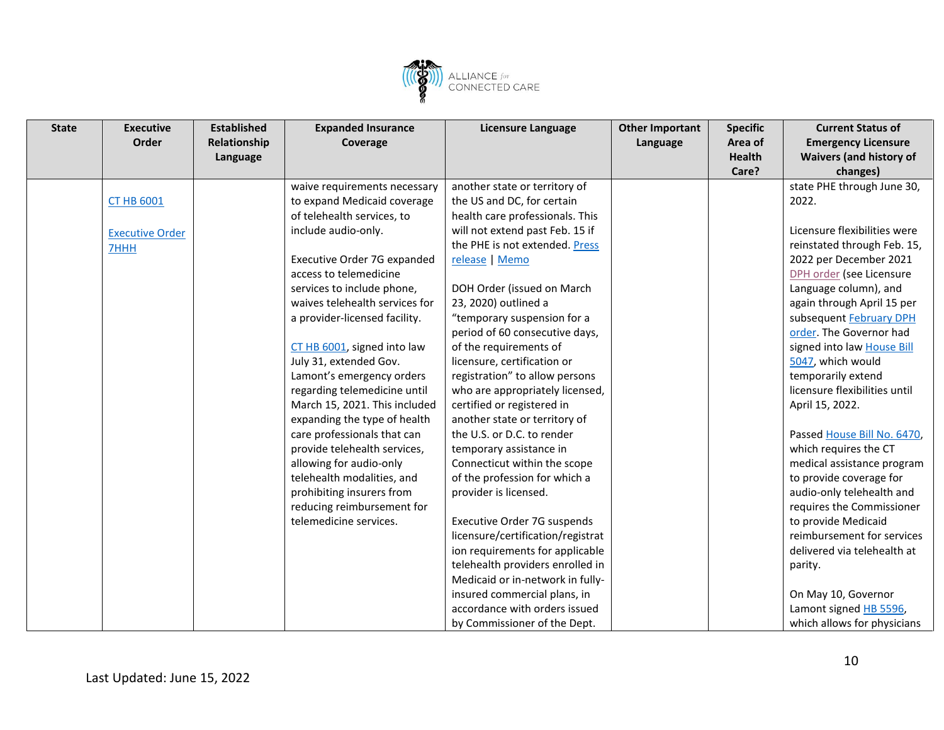

| <b>State</b> | <b>Executive</b>       | <b>Established</b> | <b>Expanded Insurance</b>      | <b>Licensure Language</b>         | <b>Other Important</b> | <b>Specific</b> | <b>Current Status of</b>       |
|--------------|------------------------|--------------------|--------------------------------|-----------------------------------|------------------------|-----------------|--------------------------------|
|              | Order                  | Relationship       | Coverage                       |                                   | Language               | Area of         | <b>Emergency Licensure</b>     |
|              |                        | Language           |                                |                                   |                        | <b>Health</b>   | <b>Waivers (and history of</b> |
|              |                        |                    |                                |                                   |                        | Care?           | changes)                       |
|              |                        |                    | waive requirements necessary   | another state or territory of     |                        |                 | state PHE through June 30,     |
|              | <b>CT HB 6001</b>      |                    | to expand Medicaid coverage    | the US and DC, for certain        |                        |                 | 2022.                          |
|              |                        |                    | of telehealth services, to     | health care professionals. This   |                        |                 |                                |
|              | <b>Executive Order</b> |                    | include audio-only.            | will not extend past Feb. 15 if   |                        |                 | Licensure flexibilities were   |
|              | 7HHH                   |                    |                                | the PHE is not extended. Press    |                        |                 | reinstated through Feb. 15,    |
|              |                        |                    | Executive Order 7G expanded    | release   Memo                    |                        |                 | 2022 per December 2021         |
|              |                        |                    | access to telemedicine         |                                   |                        |                 | DPH order (see Licensure       |
|              |                        |                    | services to include phone,     | DOH Order (issued on March        |                        |                 | Language column), and          |
|              |                        |                    | waives telehealth services for | 23, 2020) outlined a              |                        |                 | again through April 15 per     |
|              |                        |                    | a provider-licensed facility.  | "temporary suspension for a       |                        |                 | subsequent February DPH        |
|              |                        |                    |                                | period of 60 consecutive days,    |                        |                 | order. The Governor had        |
|              |                        |                    | CT HB 6001, signed into law    | of the requirements of            |                        |                 | signed into law House Bill     |
|              |                        |                    | July 31, extended Gov.         | licensure, certification or       |                        |                 | 5047, which would              |
|              |                        |                    | Lamont's emergency orders      | registration" to allow persons    |                        |                 | temporarily extend             |
|              |                        |                    | regarding telemedicine until   | who are appropriately licensed,   |                        |                 | licensure flexibilities until  |
|              |                        |                    | March 15, 2021. This included  | certified or registered in        |                        |                 | April 15, 2022.                |
|              |                        |                    | expanding the type of health   | another state or territory of     |                        |                 |                                |
|              |                        |                    | care professionals that can    | the U.S. or D.C. to render        |                        |                 | Passed House Bill No. 6470,    |
|              |                        |                    | provide telehealth services,   | temporary assistance in           |                        |                 | which requires the CT          |
|              |                        |                    | allowing for audio-only        | Connecticut within the scope      |                        |                 | medical assistance program     |
|              |                        |                    | telehealth modalities, and     | of the profession for which a     |                        |                 | to provide coverage for        |
|              |                        |                    | prohibiting insurers from      | provider is licensed.             |                        |                 | audio-only telehealth and      |
|              |                        |                    | reducing reimbursement for     |                                   |                        |                 | requires the Commissioner      |
|              |                        |                    | telemedicine services.         | Executive Order 7G suspends       |                        |                 | to provide Medicaid            |
|              |                        |                    |                                | licensure/certification/registrat |                        |                 | reimbursement for services     |
|              |                        |                    |                                | ion requirements for applicable   |                        |                 | delivered via telehealth at    |
|              |                        |                    |                                | telehealth providers enrolled in  |                        |                 | parity.                        |
|              |                        |                    |                                | Medicaid or in-network in fully-  |                        |                 |                                |
|              |                        |                    |                                | insured commercial plans, in      |                        |                 | On May 10, Governor            |
|              |                        |                    |                                | accordance with orders issued     |                        |                 | Lamont signed HB 5596,         |
|              |                        |                    |                                | by Commissioner of the Dept.      |                        |                 | which allows for physicians    |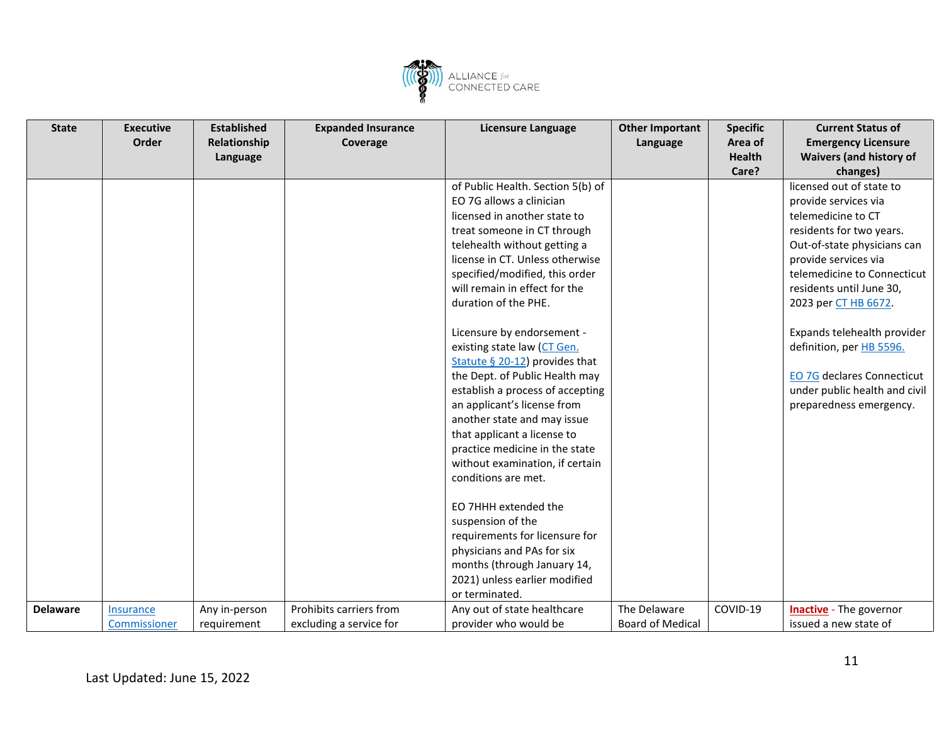

| <b>State</b>    | <b>Executive</b> | <b>Established</b> | <b>Expanded Insurance</b> | Licensure Language                | <b>Other Important</b>  | <b>Specific</b> | <b>Current Status of</b>          |
|-----------------|------------------|--------------------|---------------------------|-----------------------------------|-------------------------|-----------------|-----------------------------------|
|                 | Order            | Relationship       | Coverage                  |                                   | Language                | Area of         | <b>Emergency Licensure</b>        |
|                 |                  | Language           |                           |                                   |                         | <b>Health</b>   | <b>Waivers (and history of</b>    |
|                 |                  |                    |                           |                                   |                         | Care?           | changes)                          |
|                 |                  |                    |                           | of Public Health. Section 5(b) of |                         |                 | licensed out of state to          |
|                 |                  |                    |                           | EO 7G allows a clinician          |                         |                 | provide services via              |
|                 |                  |                    |                           | licensed in another state to      |                         |                 | telemedicine to CT                |
|                 |                  |                    |                           | treat someone in CT through       |                         |                 | residents for two years.          |
|                 |                  |                    |                           | telehealth without getting a      |                         |                 | Out-of-state physicians can       |
|                 |                  |                    |                           | license in CT. Unless otherwise   |                         |                 | provide services via              |
|                 |                  |                    |                           | specified/modified, this order    |                         |                 | telemedicine to Connecticut       |
|                 |                  |                    |                           | will remain in effect for the     |                         |                 | residents until June 30,          |
|                 |                  |                    |                           | duration of the PHE.              |                         |                 | 2023 per CT HB 6672.              |
|                 |                  |                    |                           | Licensure by endorsement -        |                         |                 | Expands telehealth provider       |
|                 |                  |                    |                           | existing state law (CT Gen.       |                         |                 | definition, per HB 5596.          |
|                 |                  |                    |                           | Statute § 20-12) provides that    |                         |                 |                                   |
|                 |                  |                    |                           | the Dept. of Public Health may    |                         |                 | <b>EO 7G declares Connecticut</b> |
|                 |                  |                    |                           | establish a process of accepting  |                         |                 | under public health and civil     |
|                 |                  |                    |                           | an applicant's license from       |                         |                 | preparedness emergency.           |
|                 |                  |                    |                           | another state and may issue       |                         |                 |                                   |
|                 |                  |                    |                           | that applicant a license to       |                         |                 |                                   |
|                 |                  |                    |                           | practice medicine in the state    |                         |                 |                                   |
|                 |                  |                    |                           | without examination, if certain   |                         |                 |                                   |
|                 |                  |                    |                           | conditions are met.               |                         |                 |                                   |
|                 |                  |                    |                           | EO 7HHH extended the              |                         |                 |                                   |
|                 |                  |                    |                           | suspension of the                 |                         |                 |                                   |
|                 |                  |                    |                           | requirements for licensure for    |                         |                 |                                   |
|                 |                  |                    |                           | physicians and PAs for six        |                         |                 |                                   |
|                 |                  |                    |                           | months (through January 14,       |                         |                 |                                   |
|                 |                  |                    |                           | 2021) unless earlier modified     |                         |                 |                                   |
|                 |                  |                    |                           | or terminated.                    |                         |                 |                                   |
| <b>Delaware</b> | <b>Insurance</b> | Any in-person      | Prohibits carriers from   | Any out of state healthcare       | The Delaware            | COVID-19        | <b>Inactive</b> - The governor    |
|                 | Commissioner     | requirement        | excluding a service for   | provider who would be             | <b>Board of Medical</b> |                 | issued a new state of             |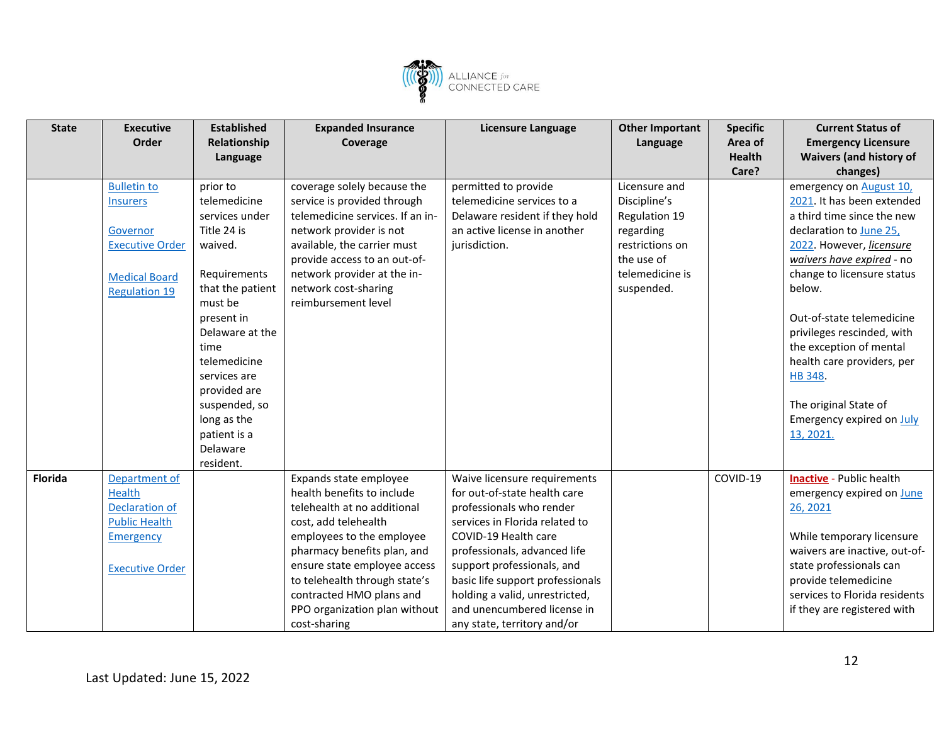

| <b>State</b>   | <b>Executive</b>       | <b>Established</b> | <b>Expanded Insurance</b>        | Licensure Language               | <b>Other Important</b> | <b>Specific</b> | <b>Current Status of</b>        |
|----------------|------------------------|--------------------|----------------------------------|----------------------------------|------------------------|-----------------|---------------------------------|
|                | Order                  | Relationship       | Coverage                         |                                  | Language               | Area of         | <b>Emergency Licensure</b>      |
|                |                        | Language           |                                  |                                  |                        | <b>Health</b>   | <b>Waivers (and history of</b>  |
|                |                        |                    |                                  |                                  |                        | Care?           | changes)                        |
|                | <b>Bulletin to</b>     | prior to           | coverage solely because the      | permitted to provide             | Licensure and          |                 | emergency on August 10,         |
|                | <b>Insurers</b>        | telemedicine       | service is provided through      | telemedicine services to a       | Discipline's           |                 | 2021. It has been extended      |
|                |                        | services under     | telemedicine services. If an in- | Delaware resident if they hold   | Regulation 19          |                 | a third time since the new      |
|                | Governor               | Title 24 is        | network provider is not          | an active license in another     | regarding              |                 | declaration to June 25,         |
|                | <b>Executive Order</b> | waived.            | available, the carrier must      | jurisdiction.                    | restrictions on        |                 | 2022. However, licensure        |
|                |                        |                    | provide access to an out-of-     |                                  | the use of             |                 | waivers have expired - no       |
|                | <b>Medical Board</b>   | Requirements       | network provider at the in-      |                                  | telemedicine is        |                 | change to licensure status      |
|                | <b>Regulation 19</b>   | that the patient   | network cost-sharing             |                                  | suspended.             |                 | below.                          |
|                |                        | must be            | reimbursement level              |                                  |                        |                 |                                 |
|                |                        | present in         |                                  |                                  |                        |                 | Out-of-state telemedicine       |
|                |                        | Delaware at the    |                                  |                                  |                        |                 | privileges rescinded, with      |
|                |                        | time               |                                  |                                  |                        |                 | the exception of mental         |
|                |                        | telemedicine       |                                  |                                  |                        |                 | health care providers, per      |
|                |                        | services are       |                                  |                                  |                        |                 | HB 348.                         |
|                |                        | provided are       |                                  |                                  |                        |                 |                                 |
|                |                        | suspended, so      |                                  |                                  |                        |                 | The original State of           |
|                |                        | long as the        |                                  |                                  |                        |                 | Emergency expired on July       |
|                |                        | patient is a       |                                  |                                  |                        |                 | 13, 2021.                       |
|                |                        | Delaware           |                                  |                                  |                        |                 |                                 |
|                |                        | resident.          |                                  |                                  |                        |                 |                                 |
| <b>Florida</b> | Department of          |                    | Expands state employee           | Waive licensure requirements     |                        | COVID-19        | <b>Inactive</b> - Public health |
|                | <b>Health</b>          |                    | health benefits to include       | for out-of-state health care     |                        |                 | emergency expired on June       |
|                | <b>Declaration of</b>  |                    | telehealth at no additional      | professionals who render         |                        |                 | 26, 2021                        |
|                | <b>Public Health</b>   |                    | cost, add telehealth             | services in Florida related to   |                        |                 |                                 |
|                | <b>Emergency</b>       |                    | employees to the employee        | COVID-19 Health care             |                        |                 | While temporary licensure       |
|                |                        |                    | pharmacy benefits plan, and      | professionals, advanced life     |                        |                 | waivers are inactive, out-of-   |
|                | <b>Executive Order</b> |                    | ensure state employee access     | support professionals, and       |                        |                 | state professionals can         |
|                |                        |                    | to telehealth through state's    | basic life support professionals |                        |                 | provide telemedicine            |
|                |                        |                    | contracted HMO plans and         | holding a valid, unrestricted,   |                        |                 | services to Florida residents   |
|                |                        |                    | PPO organization plan without    | and unencumbered license in      |                        |                 | if they are registered with     |
|                |                        |                    | cost-sharing                     | any state, territory and/or      |                        |                 |                                 |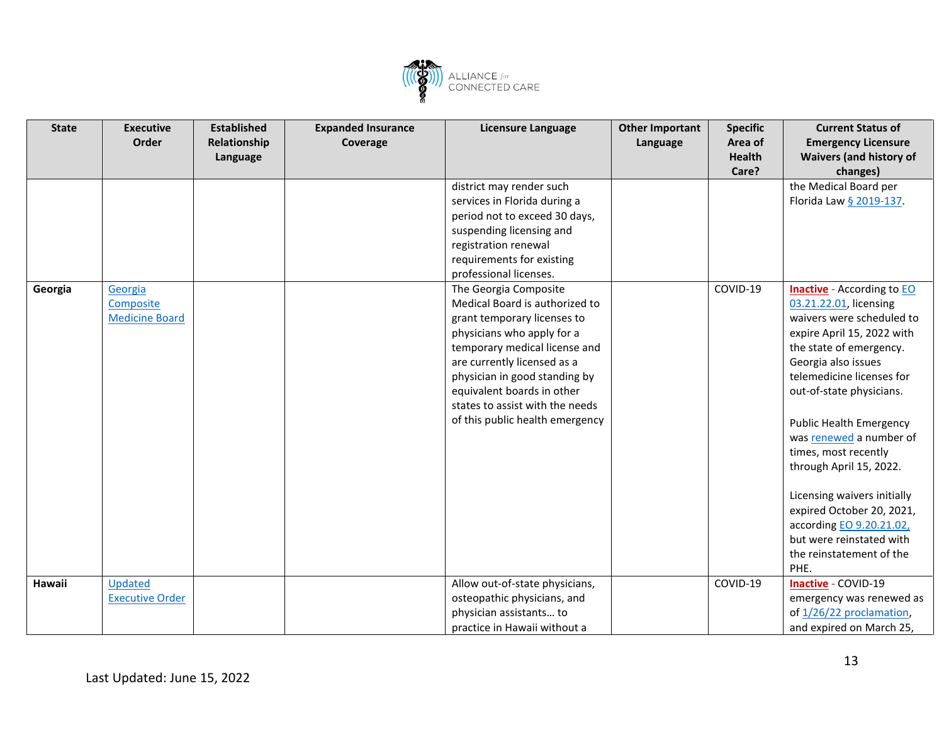

| <b>State</b> | <b>Executive</b>       | <b>Established</b> | <b>Expanded Insurance</b> | Licensure Language              | <b>Other Important</b> | <b>Specific</b> | <b>Current Status of</b>                 |
|--------------|------------------------|--------------------|---------------------------|---------------------------------|------------------------|-----------------|------------------------------------------|
|              | Order                  | Relationship       | Coverage                  |                                 | Language               | Area of         | <b>Emergency Licensure</b>               |
|              |                        | Language           |                           |                                 |                        | <b>Health</b>   | <b>Waivers (and history of</b>           |
|              |                        |                    |                           |                                 |                        | Care?           | changes)                                 |
|              |                        |                    |                           | district may render such        |                        |                 | the Medical Board per                    |
|              |                        |                    |                           | services in Florida during a    |                        |                 | Florida Law § 2019-137.                  |
|              |                        |                    |                           | period not to exceed 30 days,   |                        |                 |                                          |
|              |                        |                    |                           | suspending licensing and        |                        |                 |                                          |
|              |                        |                    |                           | registration renewal            |                        |                 |                                          |
|              |                        |                    |                           | requirements for existing       |                        |                 |                                          |
|              |                        |                    |                           | professional licenses.          |                        |                 |                                          |
| Georgia      | Georgia                |                    |                           | The Georgia Composite           |                        | COVID-19        | <b>Inactive</b> - According to <b>EO</b> |
|              | Composite              |                    |                           | Medical Board is authorized to  |                        |                 | 03.21.22.01, licensing                   |
|              | <b>Medicine Board</b>  |                    |                           | grant temporary licenses to     |                        |                 | waivers were scheduled to                |
|              |                        |                    |                           | physicians who apply for a      |                        |                 | expire April 15, 2022 with               |
|              |                        |                    |                           | temporary medical license and   |                        |                 | the state of emergency.                  |
|              |                        |                    |                           | are currently licensed as a     |                        |                 | Georgia also issues                      |
|              |                        |                    |                           | physician in good standing by   |                        |                 | telemedicine licenses for                |
|              |                        |                    |                           | equivalent boards in other      |                        |                 | out-of-state physicians.                 |
|              |                        |                    |                           | states to assist with the needs |                        |                 |                                          |
|              |                        |                    |                           | of this public health emergency |                        |                 | <b>Public Health Emergency</b>           |
|              |                        |                    |                           |                                 |                        |                 | was renewed a number of                  |
|              |                        |                    |                           |                                 |                        |                 | times, most recently                     |
|              |                        |                    |                           |                                 |                        |                 | through April 15, 2022.                  |
|              |                        |                    |                           |                                 |                        |                 |                                          |
|              |                        |                    |                           |                                 |                        |                 | Licensing waivers initially              |
|              |                        |                    |                           |                                 |                        |                 | expired October 20, 2021,                |
|              |                        |                    |                           |                                 |                        |                 | according EO 9.20.21.02,                 |
|              |                        |                    |                           |                                 |                        |                 | but were reinstated with                 |
|              |                        |                    |                           |                                 |                        |                 | the reinstatement of the                 |
|              |                        |                    |                           |                                 |                        |                 | PHE.                                     |
| Hawaii       | Updated                |                    |                           | Allow out-of-state physicians,  |                        | COVID-19        | Inactive - COVID-19                      |
|              | <b>Executive Order</b> |                    |                           | osteopathic physicians, and     |                        |                 | emergency was renewed as                 |
|              |                        |                    |                           | physician assistants to         |                        |                 | of 1/26/22 proclamation,                 |
|              |                        |                    |                           | practice in Hawaii without a    |                        |                 | and expired on March 25,                 |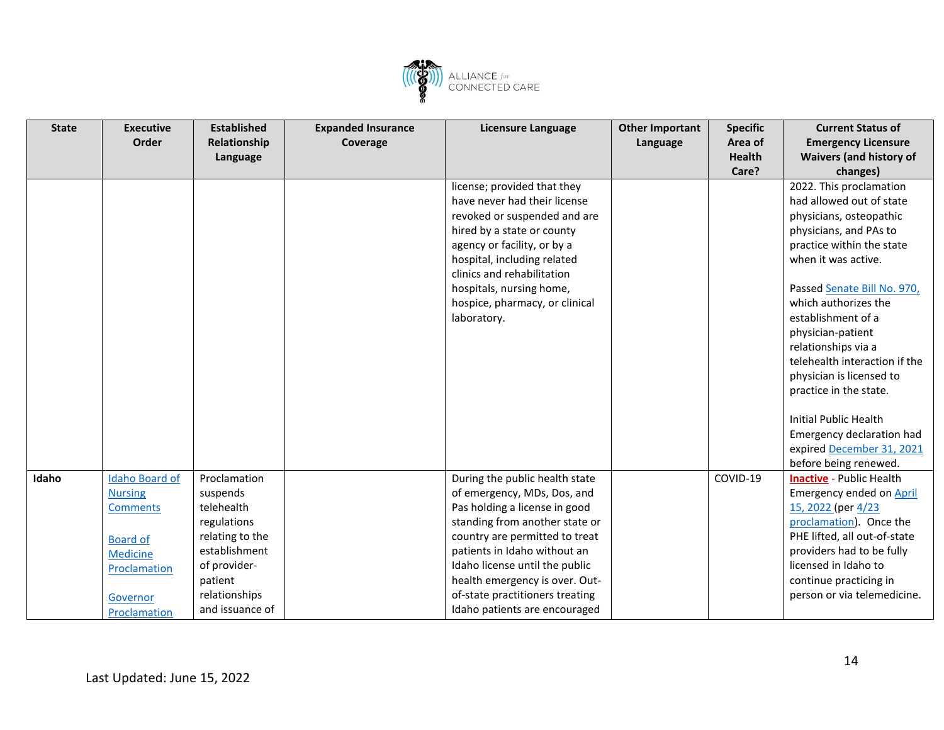

| <b>State</b> | <b>Executive</b>      | <b>Established</b> | <b>Expanded Insurance</b> | Licensure Language              | <b>Other Important</b> | <b>Specific</b> | <b>Current Status of</b>        |
|--------------|-----------------------|--------------------|---------------------------|---------------------------------|------------------------|-----------------|---------------------------------|
|              | Order                 | Relationship       | Coverage                  |                                 | Language               | Area of         | <b>Emergency Licensure</b>      |
|              |                       | Language           |                           |                                 |                        | <b>Health</b>   | <b>Waivers (and history of</b>  |
|              |                       |                    |                           |                                 |                        | Care?           | changes)                        |
|              |                       |                    |                           | license; provided that they     |                        |                 | 2022. This proclamation         |
|              |                       |                    |                           | have never had their license    |                        |                 | had allowed out of state        |
|              |                       |                    |                           | revoked or suspended and are    |                        |                 | physicians, osteopathic         |
|              |                       |                    |                           | hired by a state or county      |                        |                 | physicians, and PAs to          |
|              |                       |                    |                           | agency or facility, or by a     |                        |                 | practice within the state       |
|              |                       |                    |                           | hospital, including related     |                        |                 | when it was active.             |
|              |                       |                    |                           | clinics and rehabilitation      |                        |                 |                                 |
|              |                       |                    |                           | hospitals, nursing home,        |                        |                 | Passed Senate Bill No. 970,     |
|              |                       |                    |                           | hospice, pharmacy, or clinical  |                        |                 | which authorizes the            |
|              |                       |                    |                           | laboratory.                     |                        |                 | establishment of a              |
|              |                       |                    |                           |                                 |                        |                 | physician-patient               |
|              |                       |                    |                           |                                 |                        |                 | relationships via a             |
|              |                       |                    |                           |                                 |                        |                 | telehealth interaction if the   |
|              |                       |                    |                           |                                 |                        |                 | physician is licensed to        |
|              |                       |                    |                           |                                 |                        |                 | practice in the state.          |
|              |                       |                    |                           |                                 |                        |                 |                                 |
|              |                       |                    |                           |                                 |                        |                 | <b>Initial Public Health</b>    |
|              |                       |                    |                           |                                 |                        |                 | Emergency declaration had       |
|              |                       |                    |                           |                                 |                        |                 | expired December 31, 2021       |
|              |                       |                    |                           |                                 |                        |                 | before being renewed.           |
| Idaho        | <b>Idaho Board of</b> | Proclamation       |                           | During the public health state  |                        | COVID-19        | <b>Inactive</b> - Public Health |
|              | <b>Nursing</b>        | suspends           |                           | of emergency, MDs, Dos, and     |                        |                 | Emergency ended on April        |
|              | <b>Comments</b>       | telehealth         |                           | Pas holding a license in good   |                        |                 | 15, 2022 (per 4/23              |
|              |                       | regulations        |                           | standing from another state or  |                        |                 | proclamation). Once the         |
|              | <b>Board of</b>       | relating to the    |                           | country are permitted to treat  |                        |                 | PHE lifted, all out-of-state    |
|              | Medicine              | establishment      |                           | patients in Idaho without an    |                        |                 | providers had to be fully       |
|              | Proclamation          | of provider-       |                           | Idaho license until the public  |                        |                 | licensed in Idaho to            |
|              |                       | patient            |                           | health emergency is over. Out-  |                        |                 | continue practicing in          |
|              | Governor              | relationships      |                           | of-state practitioners treating |                        |                 | person or via telemedicine.     |
|              | Proclamation          | and issuance of    |                           | Idaho patients are encouraged   |                        |                 |                                 |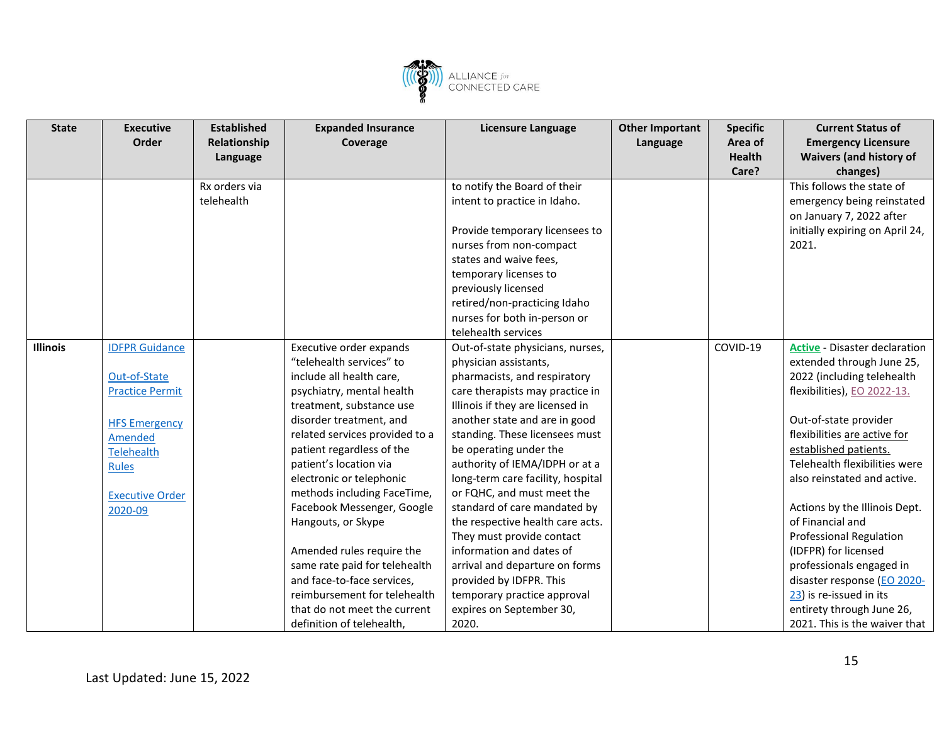

| <b>State</b>    | <b>Executive</b>       | <b>Established</b> | <b>Expanded Insurance</b>      | <b>Licensure Language</b>         | <b>Other Important</b> | <b>Specific</b> | <b>Current Status of</b>             |
|-----------------|------------------------|--------------------|--------------------------------|-----------------------------------|------------------------|-----------------|--------------------------------------|
|                 | Order                  | Relationship       | Coverage                       |                                   | Language               | Area of         | <b>Emergency Licensure</b>           |
|                 |                        | Language           |                                |                                   |                        | <b>Health</b>   | <b>Waivers (and history of</b>       |
|                 |                        |                    |                                |                                   |                        | Care?           | changes)                             |
|                 |                        | Rx orders via      |                                | to notify the Board of their      |                        |                 | This follows the state of            |
|                 |                        | telehealth         |                                | intent to practice in Idaho.      |                        |                 | emergency being reinstated           |
|                 |                        |                    |                                |                                   |                        |                 | on January 7, 2022 after             |
|                 |                        |                    |                                | Provide temporary licensees to    |                        |                 | initially expiring on April 24,      |
|                 |                        |                    |                                | nurses from non-compact           |                        |                 | 2021.                                |
|                 |                        |                    |                                | states and waive fees,            |                        |                 |                                      |
|                 |                        |                    |                                | temporary licenses to             |                        |                 |                                      |
|                 |                        |                    |                                | previously licensed               |                        |                 |                                      |
|                 |                        |                    |                                | retired/non-practicing Idaho      |                        |                 |                                      |
|                 |                        |                    |                                | nurses for both in-person or      |                        |                 |                                      |
|                 |                        |                    |                                | telehealth services               |                        |                 |                                      |
| <b>Illinois</b> | <b>IDFPR Guidance</b>  |                    | Executive order expands        | Out-of-state physicians, nurses,  |                        | COVID-19        | <b>Active - Disaster declaration</b> |
|                 |                        |                    | "telehealth services" to       | physician assistants,             |                        |                 | extended through June 25,            |
|                 | Out-of-State           |                    | include all health care,       | pharmacists, and respiratory      |                        |                 | 2022 (including telehealth           |
|                 | <b>Practice Permit</b> |                    | psychiatry, mental health      | care therapists may practice in   |                        |                 | flexibilities), EO 2022-13.          |
|                 |                        |                    | treatment, substance use       | Illinois if they are licensed in  |                        |                 |                                      |
|                 | <b>HFS Emergency</b>   |                    | disorder treatment, and        | another state and are in good     |                        |                 | Out-of-state provider                |
|                 | <b>Amended</b>         |                    | related services provided to a | standing. These licensees must    |                        |                 | flexibilities are active for         |
|                 | <b>Telehealth</b>      |                    | patient regardless of the      | be operating under the            |                        |                 | established patients.                |
|                 | Rules                  |                    | patient's location via         | authority of IEMA/IDPH or at a    |                        |                 | Telehealth flexibilities were        |
|                 |                        |                    | electronic or telephonic       | long-term care facility, hospital |                        |                 | also reinstated and active.          |
|                 | <b>Executive Order</b> |                    | methods including FaceTime,    | or FQHC, and must meet the        |                        |                 |                                      |
|                 | 2020-09                |                    | Facebook Messenger, Google     | standard of care mandated by      |                        |                 | Actions by the Illinois Dept.        |
|                 |                        |                    | Hangouts, or Skype             | the respective health care acts.  |                        |                 | of Financial and                     |
|                 |                        |                    |                                | They must provide contact         |                        |                 | <b>Professional Regulation</b>       |
|                 |                        |                    | Amended rules require the      | information and dates of          |                        |                 | (IDFPR) for licensed                 |
|                 |                        |                    | same rate paid for telehealth  | arrival and departure on forms    |                        |                 | professionals engaged in             |
|                 |                        |                    | and face-to-face services,     | provided by IDFPR. This           |                        |                 | disaster response (EO 2020-          |
|                 |                        |                    | reimbursement for telehealth   | temporary practice approval       |                        |                 | 23) is re-issued in its              |
|                 |                        |                    | that do not meet the current   | expires on September 30,          |                        |                 | entirety through June 26,            |
|                 |                        |                    | definition of telehealth,      | 2020.                             |                        |                 | 2021. This is the waiver that        |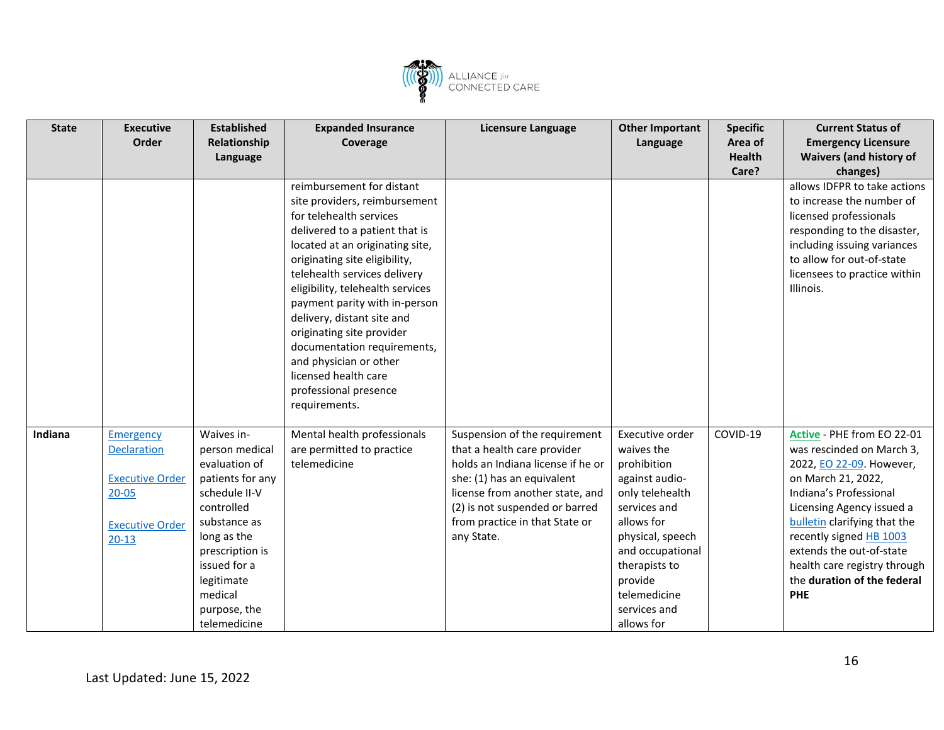

| <b>State</b> | <b>Executive</b><br>Order                                                                                            | <b>Established</b><br>Relationship<br>Language                                                                                                                                                                              | <b>Expanded Insurance</b><br>Coverage                                                                                                                                                                                                                                                                                                                                                                                                                                                  | <b>Licensure Language</b>                                                                                                                                                                                                                            | <b>Other Important</b><br>Language                                                                                                                                                                                                | <b>Specific</b><br>Area of<br><b>Health</b> | <b>Current Status of</b><br><b>Emergency Licensure</b><br><b>Waivers (and history of</b>                                                                                                                                                                                                                                                    |
|--------------|----------------------------------------------------------------------------------------------------------------------|-----------------------------------------------------------------------------------------------------------------------------------------------------------------------------------------------------------------------------|----------------------------------------------------------------------------------------------------------------------------------------------------------------------------------------------------------------------------------------------------------------------------------------------------------------------------------------------------------------------------------------------------------------------------------------------------------------------------------------|------------------------------------------------------------------------------------------------------------------------------------------------------------------------------------------------------------------------------------------------------|-----------------------------------------------------------------------------------------------------------------------------------------------------------------------------------------------------------------------------------|---------------------------------------------|---------------------------------------------------------------------------------------------------------------------------------------------------------------------------------------------------------------------------------------------------------------------------------------------------------------------------------------------|
|              |                                                                                                                      |                                                                                                                                                                                                                             | reimbursement for distant<br>site providers, reimbursement<br>for telehealth services<br>delivered to a patient that is<br>located at an originating site,<br>originating site eligibility,<br>telehealth services delivery<br>eligibility, telehealth services<br>payment parity with in-person<br>delivery, distant site and<br>originating site provider<br>documentation requirements,<br>and physician or other<br>licensed health care<br>professional presence<br>requirements. |                                                                                                                                                                                                                                                      |                                                                                                                                                                                                                                   | Care?                                       | changes)<br>allows IDFPR to take actions<br>to increase the number of<br>licensed professionals<br>responding to the disaster,<br>including issuing variances<br>to allow for out-of-state<br>licensees to practice within<br>Illinois.                                                                                                     |
| Indiana      | <b>Emergency</b><br><b>Declaration</b><br><b>Executive Order</b><br>$20 - 05$<br><b>Executive Order</b><br>$20 - 13$ | Waives in-<br>person medical<br>evaluation of<br>patients for any<br>schedule II-V<br>controlled<br>substance as<br>long as the<br>prescription is<br>issued for a<br>legitimate<br>medical<br>purpose, the<br>telemedicine | Mental health professionals<br>are permitted to practice<br>telemedicine                                                                                                                                                                                                                                                                                                                                                                                                               | Suspension of the requirement<br>that a health care provider<br>holds an Indiana license if he or<br>she: (1) has an equivalent<br>license from another state, and<br>(2) is not suspended or barred<br>from practice in that State or<br>any State. | Executive order<br>waives the<br>prohibition<br>against audio-<br>only telehealth<br>services and<br>allows for<br>physical, speech<br>and occupational<br>therapists to<br>provide<br>telemedicine<br>services and<br>allows for | COVID-19                                    | Active - PHE from EO 22-01<br>was rescinded on March 3,<br>2022, EO 22-09. However,<br>on March 21, 2022,<br>Indiana's Professional<br>Licensing Agency issued a<br><b>bulletin</b> clarifying that the<br>recently signed HB 1003<br>extends the out-of-state<br>health care registry through<br>the duration of the federal<br><b>PHE</b> |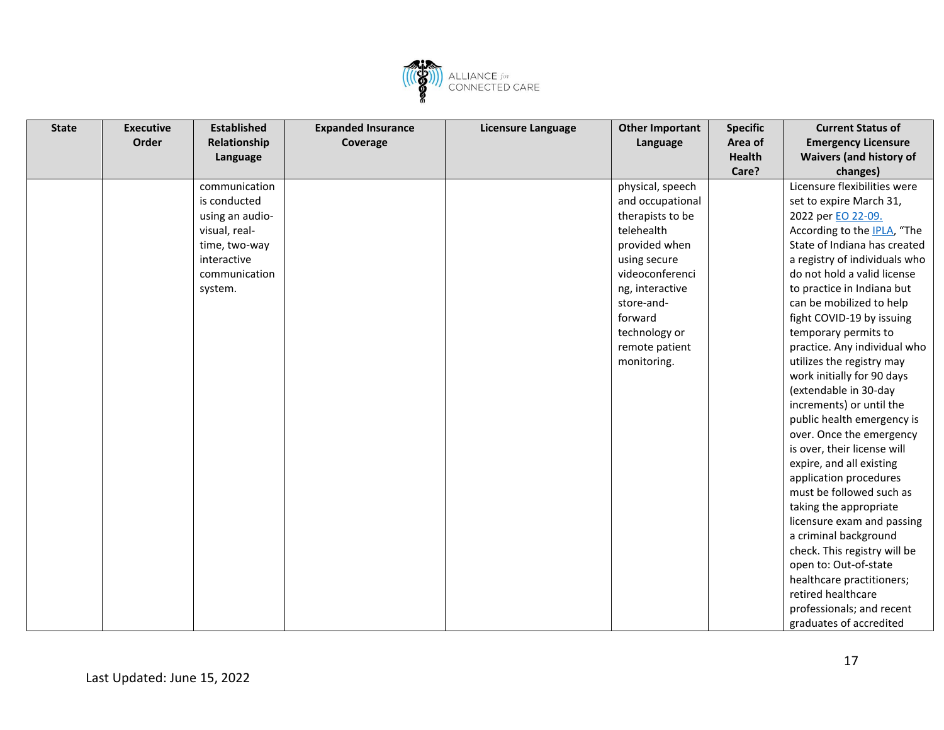

| <b>State</b> | <b>Executive</b> | <b>Established</b> | <b>Expanded Insurance</b> | Licensure Language | <b>Other Important</b> | <b>Specific</b> | <b>Current Status of</b>            |
|--------------|------------------|--------------------|---------------------------|--------------------|------------------------|-----------------|-------------------------------------|
|              | Order            | Relationship       | Coverage                  |                    | Language               | Area of         | <b>Emergency Licensure</b>          |
|              |                  | Language           |                           |                    |                        | <b>Health</b>   | <b>Waivers (and history of</b>      |
|              |                  |                    |                           |                    |                        | Care?           | changes)                            |
|              |                  | communication      |                           |                    | physical, speech       |                 | Licensure flexibilities were        |
|              |                  | is conducted       |                           |                    | and occupational       |                 | set to expire March 31,             |
|              |                  | using an audio-    |                           |                    | therapists to be       |                 | 2022 per EO 22-09.                  |
|              |                  | visual, real-      |                           |                    | telehealth             |                 | According to the <b>IPLA</b> , "The |
|              |                  | time, two-way      |                           |                    | provided when          |                 | State of Indiana has created        |
|              |                  | interactive        |                           |                    | using secure           |                 | a registry of individuals who       |
|              |                  | communication      |                           |                    | videoconferenci        |                 | do not hold a valid license         |
|              |                  | system.            |                           |                    | ng, interactive        |                 | to practice in Indiana but          |
|              |                  |                    |                           |                    | store-and-             |                 | can be mobilized to help            |
|              |                  |                    |                           |                    | forward                |                 | fight COVID-19 by issuing           |
|              |                  |                    |                           |                    | technology or          |                 | temporary permits to                |
|              |                  |                    |                           |                    | remote patient         |                 | practice. Any individual who        |
|              |                  |                    |                           |                    | monitoring.            |                 | utilizes the registry may           |
|              |                  |                    |                           |                    |                        |                 | work initially for 90 days          |
|              |                  |                    |                           |                    |                        |                 | (extendable in 30-day               |
|              |                  |                    |                           |                    |                        |                 | increments) or until the            |
|              |                  |                    |                           |                    |                        |                 | public health emergency is          |
|              |                  |                    |                           |                    |                        |                 | over. Once the emergency            |
|              |                  |                    |                           |                    |                        |                 | is over, their license will         |
|              |                  |                    |                           |                    |                        |                 | expire, and all existing            |
|              |                  |                    |                           |                    |                        |                 | application procedures              |
|              |                  |                    |                           |                    |                        |                 | must be followed such as            |
|              |                  |                    |                           |                    |                        |                 | taking the appropriate              |
|              |                  |                    |                           |                    |                        |                 | licensure exam and passing          |
|              |                  |                    |                           |                    |                        |                 | a criminal background               |
|              |                  |                    |                           |                    |                        |                 | check. This registry will be        |
|              |                  |                    |                           |                    |                        |                 | open to: Out-of-state               |
|              |                  |                    |                           |                    |                        |                 | healthcare practitioners;           |
|              |                  |                    |                           |                    |                        |                 | retired healthcare                  |
|              |                  |                    |                           |                    |                        |                 | professionals; and recent           |
|              |                  |                    |                           |                    |                        |                 | graduates of accredited             |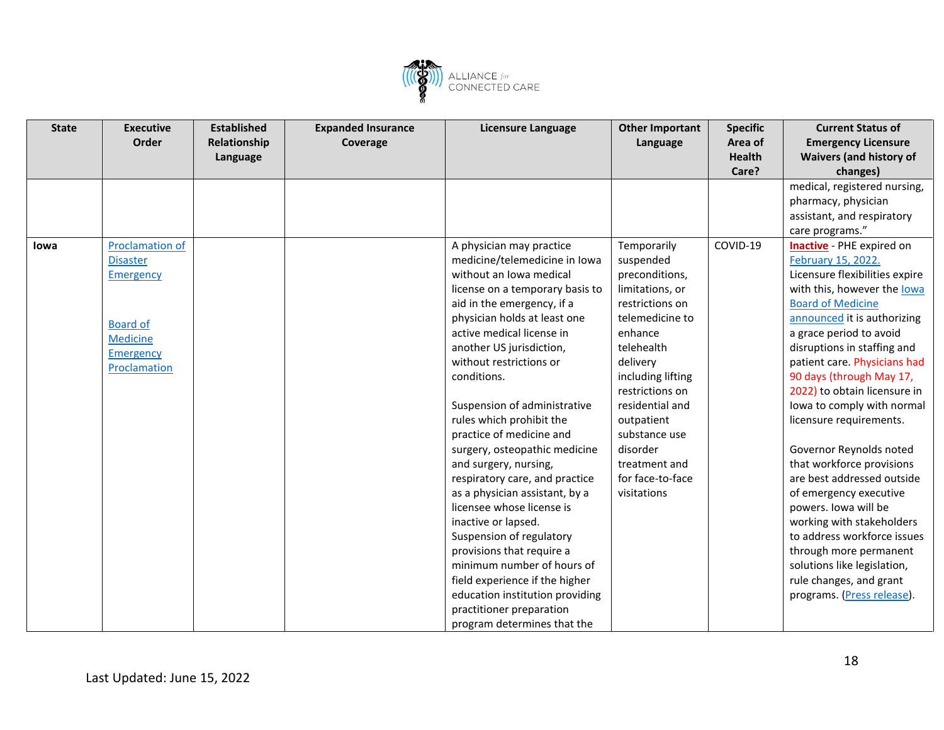

| <b>State</b> | <b>Executive</b>       | <b>Established</b> | <b>Expanded Insurance</b> | Licensure Language              | <b>Other Important</b> | <b>Specific</b> | <b>Current Status of</b>       |
|--------------|------------------------|--------------------|---------------------------|---------------------------------|------------------------|-----------------|--------------------------------|
|              | Order                  | Relationship       | Coverage                  |                                 | Language               | Area of         | <b>Emergency Licensure</b>     |
|              |                        | Language           |                           |                                 |                        | <b>Health</b>   | <b>Waivers (and history of</b> |
|              |                        |                    |                           |                                 |                        | Care?           | changes)                       |
|              |                        |                    |                           |                                 |                        |                 | medical, registered nursing,   |
|              |                        |                    |                           |                                 |                        |                 | pharmacy, physician            |
|              |                        |                    |                           |                                 |                        |                 | assistant, and respiratory     |
|              |                        |                    |                           |                                 |                        |                 | care programs."                |
| lowa         | <b>Proclamation of</b> |                    |                           | A physician may practice        | Temporarily            | COVID-19        | Inactive - PHE expired on      |
|              | <b>Disaster</b>        |                    |                           | medicine/telemedicine in Iowa   | suspended              |                 | February 15, 2022.             |
|              | Emergency              |                    |                           | without an Iowa medical         | preconditions,         |                 | Licensure flexibilities expire |
|              |                        |                    |                           | license on a temporary basis to | limitations, or        |                 | with this, however the lowa    |
|              |                        |                    |                           | aid in the emergency, if a      | restrictions on        |                 | <b>Board of Medicine</b>       |
|              | <b>Board of</b>        |                    |                           | physician holds at least one    | telemedicine to        |                 | announced it is authorizing    |
|              | <b>Medicine</b>        |                    |                           | active medical license in       | enhance                |                 | a grace period to avoid        |
|              | Emergency              |                    |                           | another US jurisdiction,        | telehealth             |                 | disruptions in staffing and    |
|              | Proclamation           |                    |                           | without restrictions or         | delivery               |                 | patient care. Physicians had   |
|              |                        |                    |                           | conditions.                     | including lifting      |                 | 90 days (through May 17,       |
|              |                        |                    |                           |                                 | restrictions on        |                 | 2022) to obtain licensure in   |
|              |                        |                    |                           | Suspension of administrative    | residential and        |                 | lowa to comply with normal     |
|              |                        |                    |                           | rules which prohibit the        | outpatient             |                 | licensure requirements.        |
|              |                        |                    |                           | practice of medicine and        | substance use          |                 |                                |
|              |                        |                    |                           | surgery, osteopathic medicine   | disorder               |                 | Governor Reynolds noted        |
|              |                        |                    |                           | and surgery, nursing,           | treatment and          |                 | that workforce provisions      |
|              |                        |                    |                           | respiratory care, and practice  | for face-to-face       |                 | are best addressed outside     |
|              |                        |                    |                           | as a physician assistant, by a  | visitations            |                 | of emergency executive         |
|              |                        |                    |                           | licensee whose license is       |                        |                 | powers. Iowa will be           |
|              |                        |                    |                           | inactive or lapsed.             |                        |                 | working with stakeholders      |
|              |                        |                    |                           | Suspension of regulatory        |                        |                 | to address workforce issues    |
|              |                        |                    |                           | provisions that require a       |                        |                 | through more permanent         |
|              |                        |                    |                           | minimum number of hours of      |                        |                 | solutions like legislation,    |
|              |                        |                    |                           | field experience if the higher  |                        |                 | rule changes, and grant        |
|              |                        |                    |                           | education institution providing |                        |                 | programs. (Press release).     |
|              |                        |                    |                           | practitioner preparation        |                        |                 |                                |
|              |                        |                    |                           | program determines that the     |                        |                 |                                |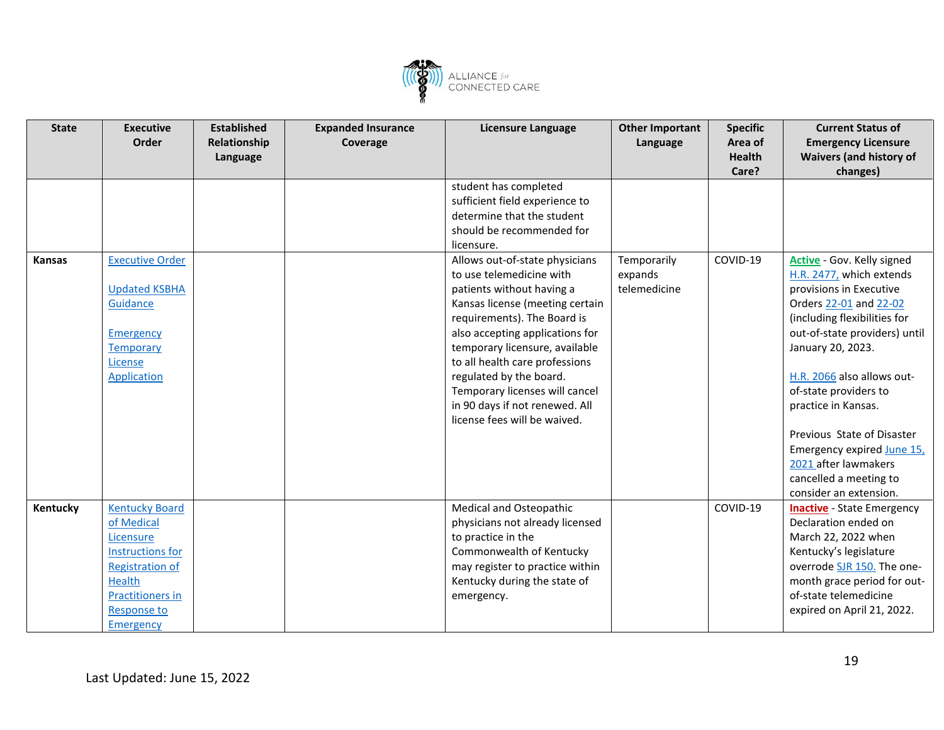

| <b>State</b>  | <b>Executive</b>        | <b>Established</b> | <b>Expanded Insurance</b> | <b>Licensure Language</b>       | <b>Other Important</b> | <b>Specific</b> | <b>Current Status of</b>          |
|---------------|-------------------------|--------------------|---------------------------|---------------------------------|------------------------|-----------------|-----------------------------------|
|               | Order                   | Relationship       | Coverage                  |                                 | Language               | Area of         | <b>Emergency Licensure</b>        |
|               |                         | Language           |                           |                                 |                        | <b>Health</b>   | <b>Waivers (and history of</b>    |
|               |                         |                    |                           |                                 |                        | Care?           | changes)                          |
|               |                         |                    |                           | student has completed           |                        |                 |                                   |
|               |                         |                    |                           | sufficient field experience to  |                        |                 |                                   |
|               |                         |                    |                           | determine that the student      |                        |                 |                                   |
|               |                         |                    |                           | should be recommended for       |                        |                 |                                   |
|               |                         |                    |                           | licensure.                      |                        |                 |                                   |
| <b>Kansas</b> | <b>Executive Order</b>  |                    |                           | Allows out-of-state physicians  | Temporarily            | COVID-19        | Active - Gov. Kelly signed        |
|               |                         |                    |                           | to use telemedicine with        | expands                |                 | H.R. 2477, which extends          |
|               | <b>Updated KSBHA</b>    |                    |                           | patients without having a       | telemedicine           |                 | provisions in Executive           |
|               | Guidance                |                    |                           | Kansas license (meeting certain |                        |                 | Orders 22-01 and 22-02            |
|               |                         |                    |                           | requirements). The Board is     |                        |                 | (including flexibilities for      |
|               | <b>Emergency</b>        |                    |                           | also accepting applications for |                        |                 | out-of-state providers) until     |
|               | <b>Temporary</b>        |                    |                           | temporary licensure, available  |                        |                 | January 20, 2023.                 |
|               | License                 |                    |                           | to all health care professions  |                        |                 |                                   |
|               | Application             |                    |                           | regulated by the board.         |                        |                 | H.R. 2066 also allows out-        |
|               |                         |                    |                           | Temporary licenses will cancel  |                        |                 | of-state providers to             |
|               |                         |                    |                           | in 90 days if not renewed. All  |                        |                 | practice in Kansas.               |
|               |                         |                    |                           | license fees will be waived.    |                        |                 |                                   |
|               |                         |                    |                           |                                 |                        |                 | Previous State of Disaster        |
|               |                         |                    |                           |                                 |                        |                 | Emergency expired June 15,        |
|               |                         |                    |                           |                                 |                        |                 | 2021 after lawmakers              |
|               |                         |                    |                           |                                 |                        |                 | cancelled a meeting to            |
|               |                         |                    |                           |                                 |                        |                 | consider an extension.            |
| Kentucky      | <b>Kentucky Board</b>   |                    |                           | Medical and Osteopathic         |                        | COVID-19        | <b>Inactive</b> - State Emergency |
|               | of Medical              |                    |                           | physicians not already licensed |                        |                 | Declaration ended on              |
|               | Licensure               |                    |                           | to practice in the              |                        |                 | March 22, 2022 when               |
|               | Instructions for        |                    |                           | Commonwealth of Kentucky        |                        |                 | Kentucky's legislature            |
|               | <b>Registration of</b>  |                    |                           | may register to practice within |                        |                 | overrode SJR 150. The one-        |
|               | Health                  |                    |                           | Kentucky during the state of    |                        |                 | month grace period for out-       |
|               | <b>Practitioners in</b> |                    |                           | emergency.                      |                        |                 | of-state telemedicine             |
|               | <b>Response to</b>      |                    |                           |                                 |                        |                 | expired on April 21, 2022.        |
|               | Emergency               |                    |                           |                                 |                        |                 |                                   |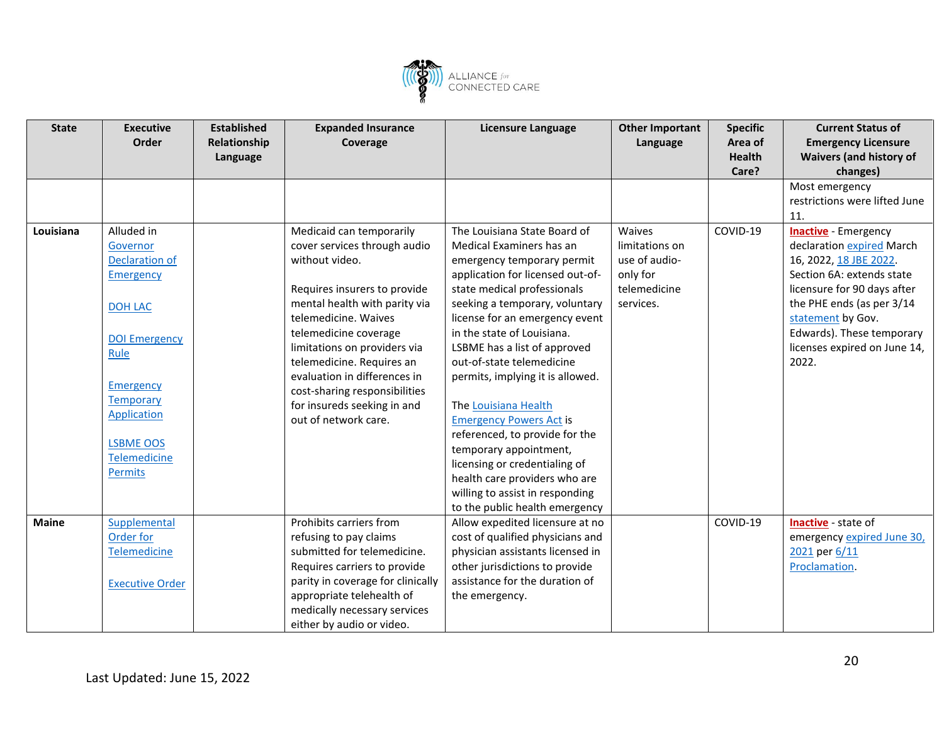

| <b>State</b> | <b>Executive</b><br>Order | <b>Established</b><br>Relationship | <b>Expanded Insurance</b><br>Coverage | <b>Licensure Language</b>        | <b>Other Important</b><br>Language | <b>Specific</b><br>Area of | <b>Current Status of</b><br><b>Emergency Licensure</b> |
|--------------|---------------------------|------------------------------------|---------------------------------------|----------------------------------|------------------------------------|----------------------------|--------------------------------------------------------|
|              |                           | Language                           |                                       |                                  |                                    | <b>Health</b>              | <b>Waivers (and history of</b>                         |
|              |                           |                                    |                                       |                                  |                                    | Care?                      | changes)                                               |
|              |                           |                                    |                                       |                                  |                                    |                            | Most emergency                                         |
|              |                           |                                    |                                       |                                  |                                    |                            | restrictions were lifted June                          |
|              |                           |                                    |                                       |                                  |                                    |                            | 11.                                                    |
| Louisiana    | Alluded in                |                                    | Medicaid can temporarily              | The Louisiana State Board of     | Waives                             | COVID-19                   | <b>Inactive</b> - Emergency                            |
|              | Governor                  |                                    | cover services through audio          | Medical Examiners has an         | limitations on                     |                            | declaration expired March                              |
|              | <b>Declaration of</b>     |                                    | without video.                        | emergency temporary permit       | use of audio-                      |                            | 16, 2022, 18 JBE 2022.                                 |
|              | <b>Emergency</b>          |                                    |                                       | application for licensed out-of- | only for                           |                            | Section 6A: extends state                              |
|              |                           |                                    | Requires insurers to provide          | state medical professionals      | telemedicine                       |                            | licensure for 90 days after                            |
|              | DOH LAC                   |                                    | mental health with parity via         | seeking a temporary, voluntary   | services.                          |                            | the PHE ends (as per 3/14                              |
|              |                           |                                    | telemedicine. Waives                  | license for an emergency event   |                                    |                            | statement by Gov.                                      |
|              | <b>DOI Emergency</b>      |                                    | telemedicine coverage                 | in the state of Louisiana.       |                                    |                            | Edwards). These temporary                              |
|              | Rule                      |                                    | limitations on providers via          | LSBME has a list of approved     |                                    |                            | licenses expired on June 14,                           |
|              |                           |                                    | telemedicine. Requires an             | out-of-state telemedicine        |                                    |                            | 2022.                                                  |
|              |                           |                                    | evaluation in differences in          | permits, implying it is allowed. |                                    |                            |                                                        |
|              | <b>Emergency</b>          |                                    | cost-sharing responsibilities         |                                  |                                    |                            |                                                        |
|              | Temporary                 |                                    | for insureds seeking in and           | The Louisiana Health             |                                    |                            |                                                        |
|              | <b>Application</b>        |                                    | out of network care.                  | <b>Emergency Powers Act is</b>   |                                    |                            |                                                        |
|              |                           |                                    |                                       | referenced, to provide for the   |                                    |                            |                                                        |
|              | <b>LSBME OOS</b>          |                                    |                                       | temporary appointment,           |                                    |                            |                                                        |
|              | Telemedicine              |                                    |                                       | licensing or credentialing of    |                                    |                            |                                                        |
|              | <b>Permits</b>            |                                    |                                       | health care providers who are    |                                    |                            |                                                        |
|              |                           |                                    |                                       | willing to assist in responding  |                                    |                            |                                                        |
|              |                           |                                    |                                       | to the public health emergency   |                                    |                            |                                                        |
| <b>Maine</b> | Supplemental              |                                    | Prohibits carriers from               | Allow expedited licensure at no  |                                    | COVID-19                   | Inactive - state of                                    |
|              | Order for                 |                                    | refusing to pay claims                | cost of qualified physicians and |                                    |                            | emergency expired June 30,                             |
|              | <b>Telemedicine</b>       |                                    | submitted for telemedicine.           | physician assistants licensed in |                                    |                            | 2021 per 6/11                                          |
|              |                           |                                    | Requires carriers to provide          | other jurisdictions to provide   |                                    |                            | Proclamation.                                          |
|              | <b>Executive Order</b>    |                                    | parity in coverage for clinically     | assistance for the duration of   |                                    |                            |                                                        |
|              |                           |                                    | appropriate telehealth of             | the emergency.                   |                                    |                            |                                                        |
|              |                           |                                    | medically necessary services          |                                  |                                    |                            |                                                        |
|              |                           |                                    | either by audio or video.             |                                  |                                    |                            |                                                        |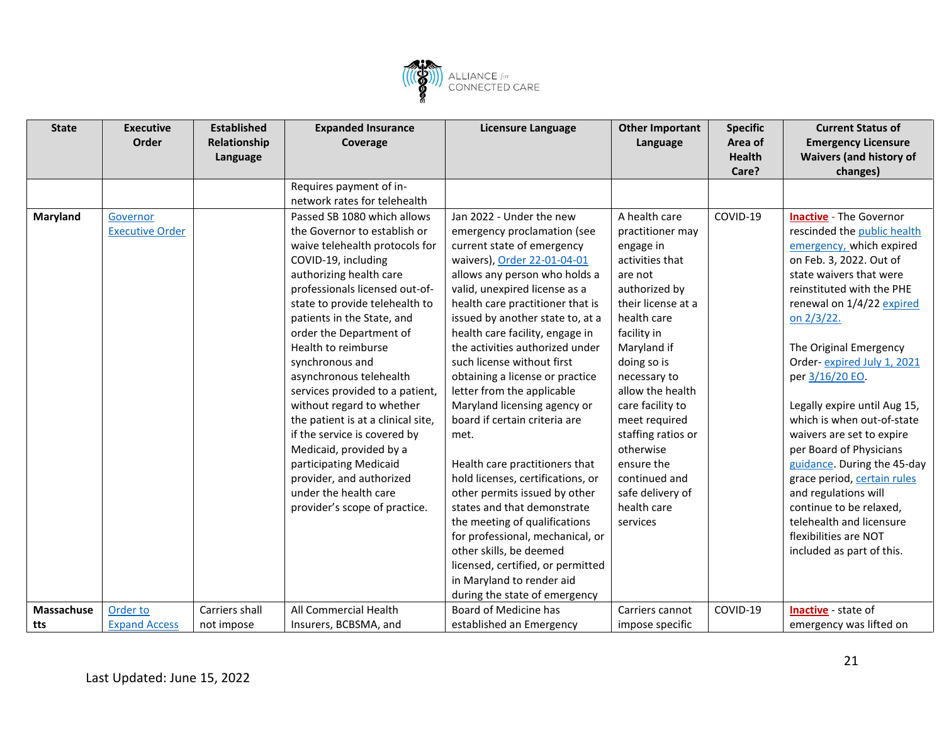

| <b>State</b>      | <b>Executive</b>       | <b>Established</b> | <b>Expanded Insurance</b>          | Licensure Language                | <b>Other Important</b> | <b>Specific</b> | <b>Current Status of</b>       |
|-------------------|------------------------|--------------------|------------------------------------|-----------------------------------|------------------------|-----------------|--------------------------------|
|                   | Order                  | Relationship       | Coverage                           |                                   | Language               | Area of         | <b>Emergency Licensure</b>     |
|                   |                        | Language           |                                    |                                   |                        | <b>Health</b>   | <b>Waivers (and history of</b> |
|                   |                        |                    |                                    |                                   |                        | Care?           | changes)                       |
|                   |                        |                    | Requires payment of in-            |                                   |                        |                 |                                |
|                   |                        |                    | network rates for telehealth       |                                   |                        |                 |                                |
| Maryland          | Governor               |                    | Passed SB 1080 which allows        | Jan 2022 - Under the new          | A health care          | COVID-19        | <b>Inactive</b> - The Governor |
|                   | <b>Executive Order</b> |                    | the Governor to establish or       | emergency proclamation (see       | practitioner may       |                 | rescinded the public health    |
|                   |                        |                    | waive telehealth protocols for     | current state of emergency        | engage in              |                 | emergency, which expired       |
|                   |                        |                    | COVID-19, including                | waivers), Order 22-01-04-01       | activities that        |                 | on Feb. 3, 2022. Out of        |
|                   |                        |                    | authorizing health care            | allows any person who holds a     | are not                |                 | state waivers that were        |
|                   |                        |                    | professionals licensed out-of-     | valid, unexpired license as a     | authorized by          |                 | reinstituted with the PHE      |
|                   |                        |                    | state to provide telehealth to     | health care practitioner that is  | their license at a     |                 | renewal on 1/4/22 expired      |
|                   |                        |                    | patients in the State, and         | issued by another state to, at a  | health care            |                 | on 2/3/22.                     |
|                   |                        |                    | order the Department of            | health care facility, engage in   | facility in            |                 |                                |
|                   |                        |                    | Health to reimburse                | the activities authorized under   | Maryland if            |                 | The Original Emergency         |
|                   |                        |                    | synchronous and                    | such license without first        | doing so is            |                 | Order-expired July 1, 2021     |
|                   |                        |                    | asynchronous telehealth            | obtaining a license or practice   | necessary to           |                 | per 3/16/20 EO.                |
|                   |                        |                    | services provided to a patient,    | letter from the applicable        | allow the health       |                 |                                |
|                   |                        |                    | without regard to whether          | Maryland licensing agency or      | care facility to       |                 | Legally expire until Aug 15,   |
|                   |                        |                    | the patient is at a clinical site, | board if certain criteria are     | meet required          |                 | which is when out-of-state     |
|                   |                        |                    | if the service is covered by       | met.                              | staffing ratios or     |                 | waivers are set to expire      |
|                   |                        |                    | Medicaid, provided by a            |                                   | otherwise              |                 | per Board of Physicians        |
|                   |                        |                    | participating Medicaid             | Health care practitioners that    | ensure the             |                 | guidance. During the 45-day    |
|                   |                        |                    | provider, and authorized           | hold licenses, certifications, or | continued and          |                 | grace period, certain rules    |
|                   |                        |                    | under the health care              | other permits issued by other     | safe delivery of       |                 | and regulations will           |
|                   |                        |                    | provider's scope of practice.      | states and that demonstrate       | health care            |                 | continue to be relaxed,        |
|                   |                        |                    |                                    | the meeting of qualifications     | services               |                 | telehealth and licensure       |
|                   |                        |                    |                                    | for professional, mechanical, or  |                        |                 | flexibilities are NOT          |
|                   |                        |                    |                                    | other skills, be deemed           |                        |                 | included as part of this.      |
|                   |                        |                    |                                    | licensed, certified, or permitted |                        |                 |                                |
|                   |                        |                    |                                    | in Maryland to render aid         |                        |                 |                                |
|                   |                        |                    |                                    | during the state of emergency     |                        |                 |                                |
| <b>Massachuse</b> | Order to               | Carriers shall     | All Commercial Health              | Board of Medicine has             | Carriers cannot        | COVID-19        | Inactive - state of            |
| tts               | <b>Expand Access</b>   | not impose         | Insurers, BCBSMA, and              | established an Emergency          | impose specific        |                 | emergency was lifted on        |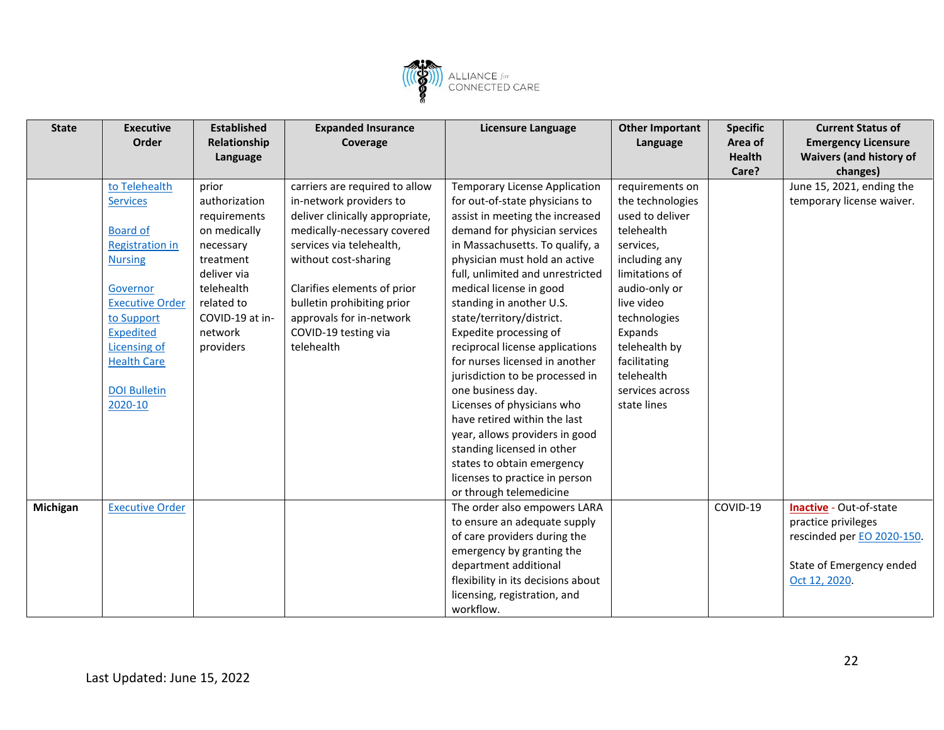

| <b>State</b> | <b>Executive</b><br>Order                                                                                                                                                                                                                       | <b>Established</b><br>Relationship<br>Language                                                                                                                         | <b>Expanded Insurance</b><br>Coverage                                                                                                                                                                                                                                                                          | Licensure Language                                                                                                                                                                                                                                                                                                                                                                                                                                                                                                                                                                                                                                                                                                     | <b>Other Important</b><br>Language                                                                                                                                                                                                                              | <b>Specific</b><br>Area of<br>Health<br>Care? | <b>Current Status of</b><br><b>Emergency Licensure</b><br><b>Waivers (and history of</b><br>changes)                      |
|--------------|-------------------------------------------------------------------------------------------------------------------------------------------------------------------------------------------------------------------------------------------------|------------------------------------------------------------------------------------------------------------------------------------------------------------------------|----------------------------------------------------------------------------------------------------------------------------------------------------------------------------------------------------------------------------------------------------------------------------------------------------------------|------------------------------------------------------------------------------------------------------------------------------------------------------------------------------------------------------------------------------------------------------------------------------------------------------------------------------------------------------------------------------------------------------------------------------------------------------------------------------------------------------------------------------------------------------------------------------------------------------------------------------------------------------------------------------------------------------------------------|-----------------------------------------------------------------------------------------------------------------------------------------------------------------------------------------------------------------------------------------------------------------|-----------------------------------------------|---------------------------------------------------------------------------------------------------------------------------|
|              | to Telehealth<br><b>Services</b><br><b>Board of</b><br><b>Registration in</b><br><b>Nursing</b><br>Governor<br><b>Executive Order</b><br>to Support<br><b>Expedited</b><br>Licensing of<br><b>Health Care</b><br><b>DOI Bulletin</b><br>2020-10 | prior<br>authorization<br>requirements<br>on medically<br>necessary<br>treatment<br>deliver via<br>telehealth<br>related to<br>COVID-19 at in-<br>network<br>providers | carriers are required to allow<br>in-network providers to<br>deliver clinically appropriate,<br>medically-necessary covered<br>services via telehealth,<br>without cost-sharing<br>Clarifies elements of prior<br>bulletin prohibiting prior<br>approvals for in-network<br>COVID-19 testing via<br>telehealth | <b>Temporary License Application</b><br>for out-of-state physicians to<br>assist in meeting the increased<br>demand for physician services<br>in Massachusetts. To qualify, a<br>physician must hold an active<br>full, unlimited and unrestricted<br>medical license in good<br>standing in another U.S.<br>state/territory/district.<br>Expedite processing of<br>reciprocal license applications<br>for nurses licensed in another<br>jurisdiction to be processed in<br>one business day.<br>Licenses of physicians who<br>have retired within the last<br>year, allows providers in good<br>standing licensed in other<br>states to obtain emergency<br>licenses to practice in person<br>or through telemedicine | requirements on<br>the technologies<br>used to deliver<br>telehealth<br>services,<br>including any<br>limitations of<br>audio-only or<br>live video<br>technologies<br>Expands<br>telehealth by<br>facilitating<br>telehealth<br>services across<br>state lines |                                               | June 15, 2021, ending the<br>temporary license waiver.                                                                    |
| Michigan     | <b>Executive Order</b>                                                                                                                                                                                                                          |                                                                                                                                                                        |                                                                                                                                                                                                                                                                                                                | The order also empowers LARA<br>to ensure an adequate supply<br>of care providers during the<br>emergency by granting the<br>department additional<br>flexibility in its decisions about<br>licensing, registration, and<br>workflow.                                                                                                                                                                                                                                                                                                                                                                                                                                                                                  |                                                                                                                                                                                                                                                                 | COVID-19                                      | Inactive - Out-of-state<br>practice privileges<br>rescinded per EO 2020-150.<br>State of Emergency ended<br>Oct 12, 2020. |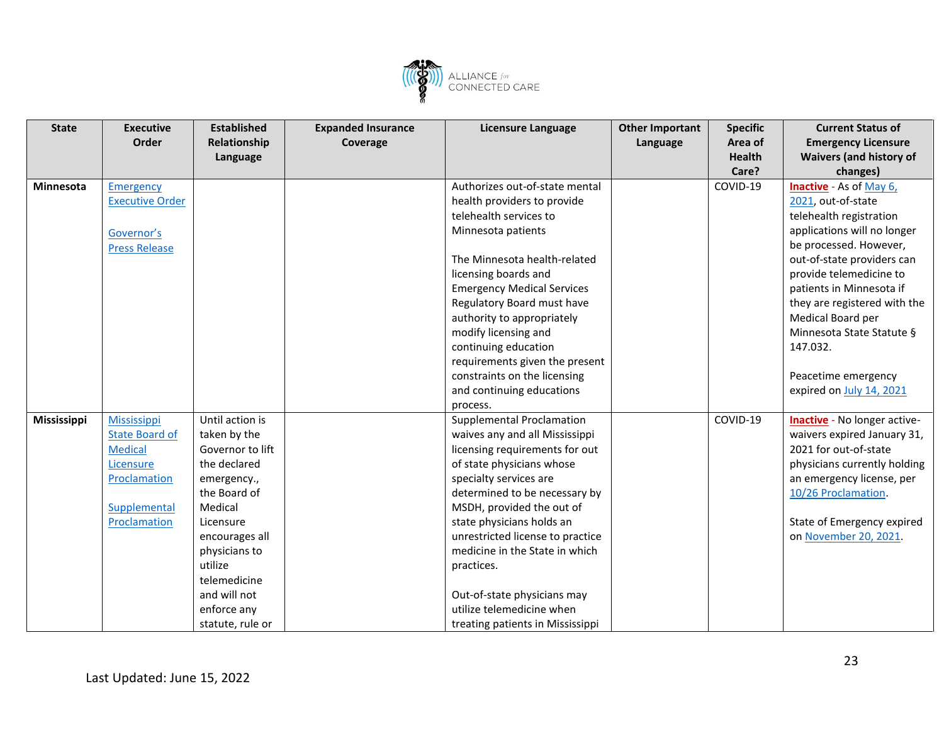

| <b>State</b>     | <b>Executive</b>       | <b>Established</b> | <b>Expanded Insurance</b> | <b>Licensure Language</b>         | <b>Other Important</b> | <b>Specific</b> | <b>Current Status of</b>            |
|------------------|------------------------|--------------------|---------------------------|-----------------------------------|------------------------|-----------------|-------------------------------------|
|                  | Order                  | Relationship       | Coverage                  |                                   | Language               | Area of         | <b>Emergency Licensure</b>          |
|                  |                        | Language           |                           |                                   |                        | <b>Health</b>   | <b>Waivers (and history of</b>      |
|                  |                        |                    |                           |                                   |                        | Care?           | changes)                            |
| <b>Minnesota</b> | <b>Emergency</b>       |                    |                           | Authorizes out-of-state mental    |                        | COVID-19        | <b>Inactive</b> - As of May 6,      |
|                  | <b>Executive Order</b> |                    |                           | health providers to provide       |                        |                 | 2021, out-of-state                  |
|                  |                        |                    |                           | telehealth services to            |                        |                 | telehealth registration             |
|                  | Governor's             |                    |                           | Minnesota patients                |                        |                 | applications will no longer         |
|                  | <b>Press Release</b>   |                    |                           |                                   |                        |                 | be processed. However,              |
|                  |                        |                    |                           | The Minnesota health-related      |                        |                 | out-of-state providers can          |
|                  |                        |                    |                           | licensing boards and              |                        |                 | provide telemedicine to             |
|                  |                        |                    |                           | <b>Emergency Medical Services</b> |                        |                 | patients in Minnesota if            |
|                  |                        |                    |                           | Regulatory Board must have        |                        |                 | they are registered with the        |
|                  |                        |                    |                           | authority to appropriately        |                        |                 | Medical Board per                   |
|                  |                        |                    |                           | modify licensing and              |                        |                 | Minnesota State Statute §           |
|                  |                        |                    |                           | continuing education              |                        |                 | 147.032.                            |
|                  |                        |                    |                           | requirements given the present    |                        |                 |                                     |
|                  |                        |                    |                           | constraints on the licensing      |                        |                 | Peacetime emergency                 |
|                  |                        |                    |                           | and continuing educations         |                        |                 | expired on July 14, 2021            |
|                  |                        |                    |                           | process.                          |                        |                 |                                     |
| Mississippi      | <b>Mississippi</b>     | Until action is    |                           | Supplemental Proclamation         |                        | COVID-19        | <b>Inactive</b> - No longer active- |
|                  | <b>State Board of</b>  | taken by the       |                           | waives any and all Mississippi    |                        |                 | waivers expired January 31,         |
|                  | <b>Medical</b>         | Governor to lift   |                           | licensing requirements for out    |                        |                 | 2021 for out-of-state               |
|                  | Licensure              | the declared       |                           | of state physicians whose         |                        |                 | physicians currently holding        |
|                  | Proclamation           | emergency.,        |                           | specialty services are            |                        |                 | an emergency license, per           |
|                  |                        | the Board of       |                           | determined to be necessary by     |                        |                 | 10/26 Proclamation                  |
|                  | Supplemental           | Medical            |                           | MSDH, provided the out of         |                        |                 |                                     |
|                  | Proclamation           | Licensure          |                           | state physicians holds an         |                        |                 | State of Emergency expired          |
|                  |                        | encourages all     |                           | unrestricted license to practice  |                        |                 | on November 20, 2021.               |
|                  |                        | physicians to      |                           | medicine in the State in which    |                        |                 |                                     |
|                  |                        | utilize            |                           | practices.                        |                        |                 |                                     |
|                  |                        | telemedicine       |                           |                                   |                        |                 |                                     |
|                  |                        | and will not       |                           | Out-of-state physicians may       |                        |                 |                                     |
|                  |                        | enforce any        |                           | utilize telemedicine when         |                        |                 |                                     |
|                  |                        | statute, rule or   |                           | treating patients in Mississippi  |                        |                 |                                     |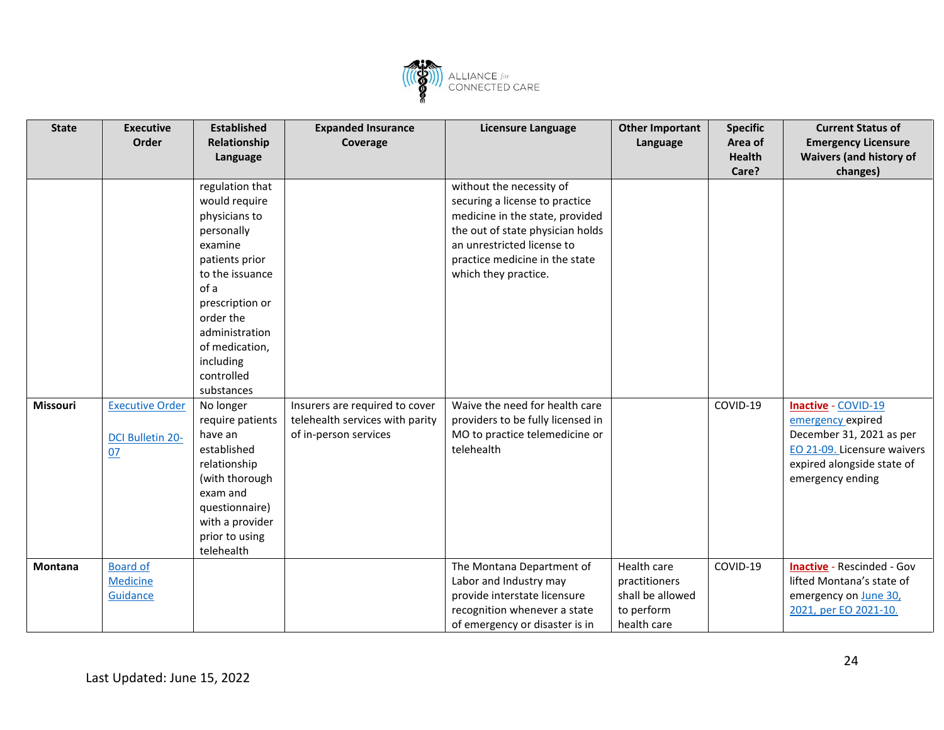

| <b>State</b> | <b>Executive</b><br>Order                               | <b>Established</b><br>Relationship<br>Language                                                                                                                                                                                       | <b>Expanded Insurance</b><br>Coverage                                                      | <b>Licensure Language</b>                                                                                                                                                                                                 | <b>Other Important</b><br>Language                                            | <b>Specific</b><br>Area of<br><b>Health</b><br>Care? | <b>Current Status of</b><br><b>Emergency Licensure</b><br><b>Waivers (and history of</b><br>changes)                                                  |
|--------------|---------------------------------------------------------|--------------------------------------------------------------------------------------------------------------------------------------------------------------------------------------------------------------------------------------|--------------------------------------------------------------------------------------------|---------------------------------------------------------------------------------------------------------------------------------------------------------------------------------------------------------------------------|-------------------------------------------------------------------------------|------------------------------------------------------|-------------------------------------------------------------------------------------------------------------------------------------------------------|
|              |                                                         | regulation that<br>would require<br>physicians to<br>personally<br>examine<br>patients prior<br>to the issuance<br>of a<br>prescription or<br>order the<br>administration<br>of medication,<br>including<br>controlled<br>substances |                                                                                            | without the necessity of<br>securing a license to practice<br>medicine in the state, provided<br>the out of state physician holds<br>an unrestricted license to<br>practice medicine in the state<br>which they practice. |                                                                               |                                                      |                                                                                                                                                       |
| Missouri     | <b>Executive Order</b><br><b>DCI Bulletin 20-</b><br>07 | No longer<br>require patients<br>have an<br>established<br>relationship<br>(with thorough<br>exam and<br>questionnaire)<br>with a provider<br>prior to using<br>telehealth                                                           | Insurers are required to cover<br>telehealth services with parity<br>of in-person services | Waive the need for health care<br>providers to be fully licensed in<br>MO to practice telemedicine or<br>telehealth                                                                                                       |                                                                               | COVID-19                                             | Inactive - COVID-19<br>emergency expired<br>December 31, 2021 as per<br>EO 21-09. Licensure waivers<br>expired alongside state of<br>emergency ending |
| Montana      | <b>Board of</b><br><b>Medicine</b><br>Guidance          |                                                                                                                                                                                                                                      |                                                                                            | The Montana Department of<br>Labor and Industry may<br>provide interstate licensure<br>recognition whenever a state<br>of emergency or disaster is in                                                                     | Health care<br>practitioners<br>shall be allowed<br>to perform<br>health care | COVID-19                                             | <b>Inactive</b> - Rescinded - Gov<br>lifted Montana's state of<br>emergency on June 30,<br>2021, per EO 2021-10.                                      |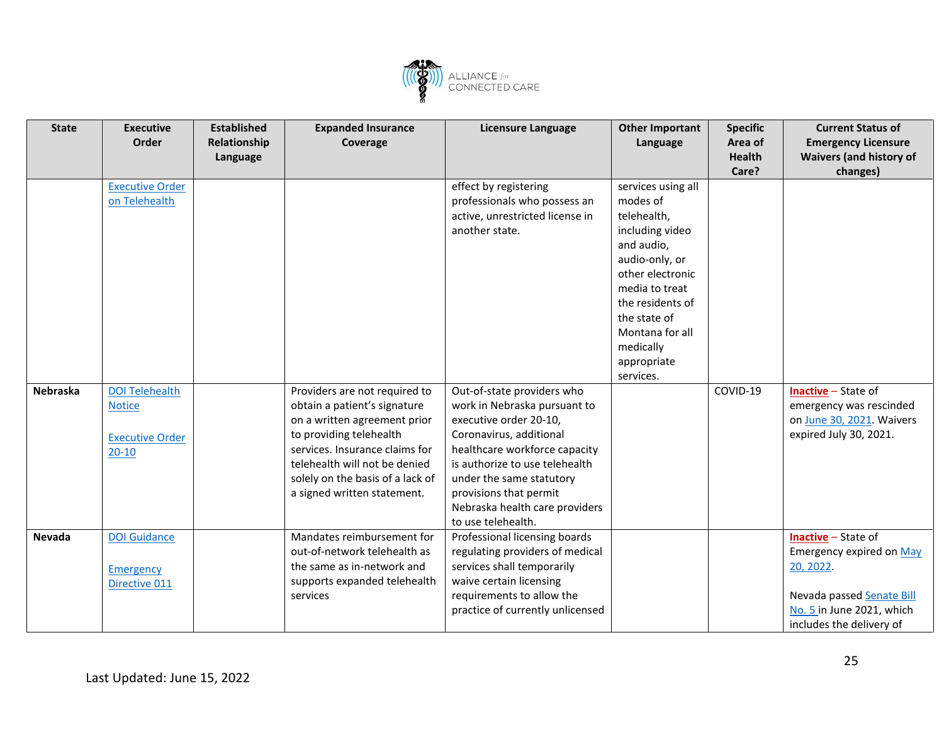

| <b>State</b>    | <b>Executive</b>       | <b>Established</b> | <b>Expanded Insurance</b>        | <b>Licensure Language</b>        | <b>Other Important</b> | <b>Specific</b> | <b>Current Status of</b>       |
|-----------------|------------------------|--------------------|----------------------------------|----------------------------------|------------------------|-----------------|--------------------------------|
|                 | Order                  | Relationship       | Coverage                         |                                  | Language               | Area of         | <b>Emergency Licensure</b>     |
|                 |                        | Language           |                                  |                                  |                        | <b>Health</b>   | <b>Waivers (and history of</b> |
|                 |                        |                    |                                  |                                  |                        | Care?           | changes)                       |
|                 | <b>Executive Order</b> |                    |                                  | effect by registering            | services using all     |                 |                                |
|                 | on Telehealth          |                    |                                  | professionals who possess an     | modes of               |                 |                                |
|                 |                        |                    |                                  | active, unrestricted license in  | telehealth,            |                 |                                |
|                 |                        |                    |                                  | another state.                   | including video        |                 |                                |
|                 |                        |                    |                                  |                                  | and audio,             |                 |                                |
|                 |                        |                    |                                  |                                  | audio-only, or         |                 |                                |
|                 |                        |                    |                                  |                                  | other electronic       |                 |                                |
|                 |                        |                    |                                  |                                  | media to treat         |                 |                                |
|                 |                        |                    |                                  |                                  | the residents of       |                 |                                |
|                 |                        |                    |                                  |                                  | the state of           |                 |                                |
|                 |                        |                    |                                  |                                  | Montana for all        |                 |                                |
|                 |                        |                    |                                  |                                  | medically              |                 |                                |
|                 |                        |                    |                                  |                                  | appropriate            |                 |                                |
|                 |                        |                    |                                  |                                  | services.              |                 |                                |
| <b>Nebraska</b> | <b>DOI Telehealth</b>  |                    | Providers are not required to    | Out-of-state providers who       |                        | COVID-19        | <b>Inactive</b> – State of     |
|                 | <b>Notice</b>          |                    | obtain a patient's signature     | work in Nebraska pursuant to     |                        |                 | emergency was rescinded        |
|                 |                        |                    | on a written agreement prior     | executive order 20-10,           |                        |                 | on June 30, 2021. Waivers      |
|                 | <b>Executive Order</b> |                    | to providing telehealth          | Coronavirus, additional          |                        |                 | expired July 30, 2021.         |
|                 | $20 - 10$              |                    | services. Insurance claims for   | healthcare workforce capacity    |                        |                 |                                |
|                 |                        |                    | telehealth will not be denied    | is authorize to use telehealth   |                        |                 |                                |
|                 |                        |                    | solely on the basis of a lack of | under the same statutory         |                        |                 |                                |
|                 |                        |                    | a signed written statement.      | provisions that permit           |                        |                 |                                |
|                 |                        |                    |                                  | Nebraska health care providers   |                        |                 |                                |
|                 |                        |                    |                                  | to use telehealth.               |                        |                 |                                |
| <b>Nevada</b>   | <b>DOI Guidance</b>    |                    | Mandates reimbursement for       | Professional licensing boards    |                        |                 | <b>Inactive</b> – State of     |
|                 |                        |                    | out-of-network telehealth as     | regulating providers of medical  |                        |                 | Emergency expired on May       |
|                 | <b>Emergency</b>       |                    | the same as in-network and       | services shall temporarily       |                        |                 | 20, 2022.                      |
|                 | Directive 011          |                    | supports expanded telehealth     | waive certain licensing          |                        |                 |                                |
|                 |                        |                    | services                         | requirements to allow the        |                        |                 | Nevada passed Senate Bill      |
|                 |                        |                    |                                  | practice of currently unlicensed |                        |                 | No. 5 in June 2021, which      |
|                 |                        |                    |                                  |                                  |                        |                 | includes the delivery of       |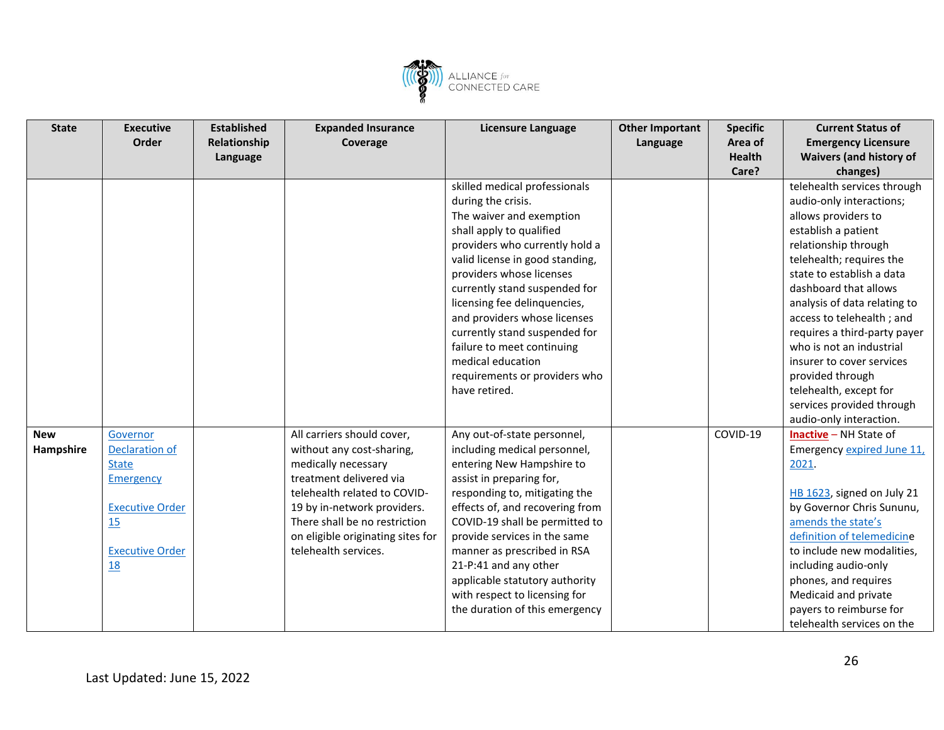

| <b>State</b> | <b>Executive</b>       | <b>Established</b> | <b>Expanded Insurance</b>         | <b>Licensure Language</b>       | <b>Other Important</b> | <b>Specific</b> | <b>Current Status of</b>       |
|--------------|------------------------|--------------------|-----------------------------------|---------------------------------|------------------------|-----------------|--------------------------------|
|              | Order                  | Relationship       | Coverage                          |                                 | Language               | Area of         | <b>Emergency Licensure</b>     |
|              |                        | Language           |                                   |                                 |                        | <b>Health</b>   | <b>Waivers (and history of</b> |
|              |                        |                    |                                   |                                 |                        | Care?           | changes)                       |
|              |                        |                    |                                   | skilled medical professionals   |                        |                 | telehealth services through    |
|              |                        |                    |                                   | during the crisis.              |                        |                 | audio-only interactions;       |
|              |                        |                    |                                   | The waiver and exemption        |                        |                 | allows providers to            |
|              |                        |                    |                                   | shall apply to qualified        |                        |                 | establish a patient            |
|              |                        |                    |                                   | providers who currently hold a  |                        |                 | relationship through           |
|              |                        |                    |                                   | valid license in good standing, |                        |                 | telehealth; requires the       |
|              |                        |                    |                                   | providers whose licenses        |                        |                 | state to establish a data      |
|              |                        |                    |                                   | currently stand suspended for   |                        |                 | dashboard that allows          |
|              |                        |                    |                                   | licensing fee delinquencies,    |                        |                 | analysis of data relating to   |
|              |                        |                    |                                   | and providers whose licenses    |                        |                 | access to telehealth; and      |
|              |                        |                    |                                   | currently stand suspended for   |                        |                 | requires a third-party payer   |
|              |                        |                    |                                   | failure to meet continuing      |                        |                 | who is not an industrial       |
|              |                        |                    |                                   | medical education               |                        |                 | insurer to cover services      |
|              |                        |                    |                                   | requirements or providers who   |                        |                 | provided through               |
|              |                        |                    |                                   | have retired.                   |                        |                 | telehealth, except for         |
|              |                        |                    |                                   |                                 |                        |                 | services provided through      |
|              |                        |                    |                                   |                                 |                        |                 | audio-only interaction.        |
| <b>New</b>   | Governor               |                    | All carriers should cover,        | Any out-of-state personnel,     |                        | COVID-19        | <b>Inactive</b> - NH State of  |
| Hampshire    | Declaration of         |                    | without any cost-sharing,         | including medical personnel,    |                        |                 | Emergency expired June 11,     |
|              | <b>State</b>           |                    | medically necessary               | entering New Hampshire to       |                        |                 | 2021.                          |
|              | <b>Emergency</b>       |                    | treatment delivered via           | assist in preparing for,        |                        |                 |                                |
|              |                        |                    | telehealth related to COVID-      | responding to, mitigating the   |                        |                 | HB 1623, signed on July 21     |
|              | <b>Executive Order</b> |                    | 19 by in-network providers.       | effects of, and recovering from |                        |                 | by Governor Chris Sununu,      |
|              | 15                     |                    | There shall be no restriction     | COVID-19 shall be permitted to  |                        |                 | amends the state's             |
|              |                        |                    | on eligible originating sites for | provide services in the same    |                        |                 | definition of telemedicine     |
|              | <b>Executive Order</b> |                    | telehealth services.              | manner as prescribed in RSA     |                        |                 | to include new modalities,     |
|              | <b>18</b>              |                    |                                   | 21-P:41 and any other           |                        |                 | including audio-only           |
|              |                        |                    |                                   | applicable statutory authority  |                        |                 | phones, and requires           |
|              |                        |                    |                                   | with respect to licensing for   |                        |                 | Medicaid and private           |
|              |                        |                    |                                   | the duration of this emergency  |                        |                 | payers to reimburse for        |
|              |                        |                    |                                   |                                 |                        |                 | telehealth services on the     |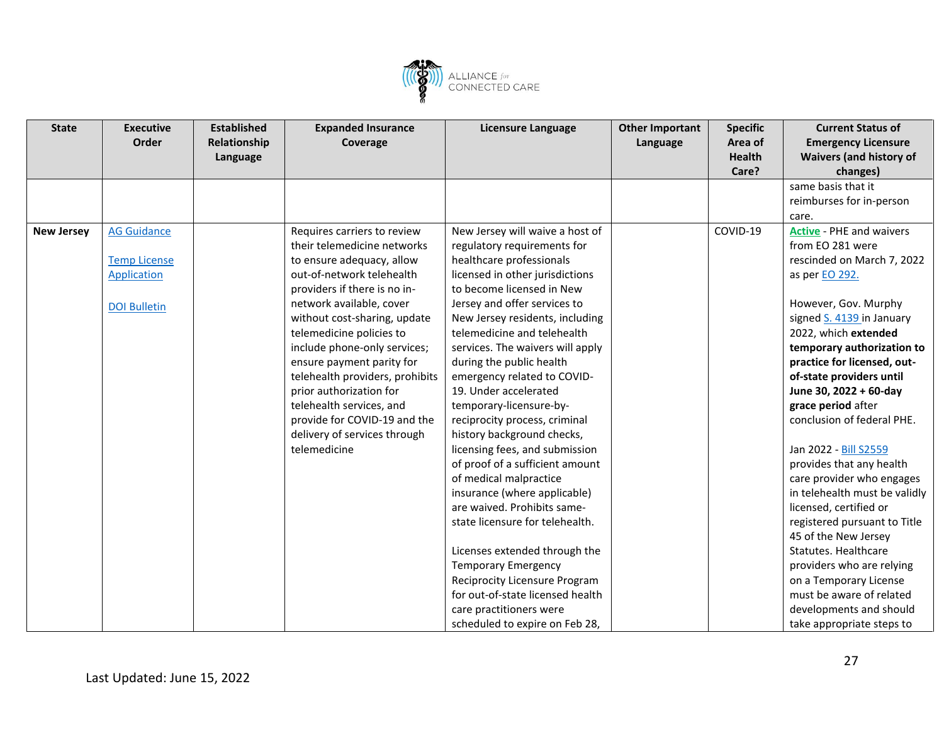![](_page_26_Picture_0.jpeg)

| <b>State</b>      | <b>Executive</b>    | <b>Established</b> | <b>Expanded Insurance</b>       | Licensure Language               | <b>Other Important</b> | <b>Specific</b> | <b>Current Status of</b>        |
|-------------------|---------------------|--------------------|---------------------------------|----------------------------------|------------------------|-----------------|---------------------------------|
|                   | Order               | Relationship       | Coverage                        |                                  | Language               | Area of         | <b>Emergency Licensure</b>      |
|                   |                     | Language           |                                 |                                  |                        | <b>Health</b>   | <b>Waivers (and history of</b>  |
|                   |                     |                    |                                 |                                  |                        | Care?           | changes)                        |
|                   |                     |                    |                                 |                                  |                        |                 | same basis that it              |
|                   |                     |                    |                                 |                                  |                        |                 | reimburses for in-person        |
|                   |                     |                    |                                 |                                  |                        |                 | care.                           |
| <b>New Jersey</b> | <b>AG Guidance</b>  |                    | Requires carriers to review     | New Jersey will waive a host of  |                        | COVID-19        | <b>Active - PHE and waivers</b> |
|                   |                     |                    | their telemedicine networks     | regulatory requirements for      |                        |                 | from EO 281 were                |
|                   | <b>Temp License</b> |                    | to ensure adequacy, allow       | healthcare professionals         |                        |                 | rescinded on March 7, 2022      |
|                   | <b>Application</b>  |                    | out-of-network telehealth       | licensed in other jurisdictions  |                        |                 | as per EO 292.                  |
|                   |                     |                    | providers if there is no in-    | to become licensed in New        |                        |                 |                                 |
|                   | <b>DOI Bulletin</b> |                    | network available, cover        | Jersey and offer services to     |                        |                 | However, Gov. Murphy            |
|                   |                     |                    | without cost-sharing, update    | New Jersey residents, including  |                        |                 | signed S. 4139 in January       |
|                   |                     |                    | telemedicine policies to        | telemedicine and telehealth      |                        |                 | 2022, which extended            |
|                   |                     |                    | include phone-only services;    | services. The waivers will apply |                        |                 | temporary authorization to      |
|                   |                     |                    | ensure payment parity for       | during the public health         |                        |                 | practice for licensed, out-     |
|                   |                     |                    | telehealth providers, prohibits | emergency related to COVID-      |                        |                 | of-state providers until        |
|                   |                     |                    | prior authorization for         | 19. Under accelerated            |                        |                 | June 30, 2022 + 60-day          |
|                   |                     |                    | telehealth services, and        | temporary-licensure-by-          |                        |                 | grace period after              |
|                   |                     |                    | provide for COVID-19 and the    | reciprocity process, criminal    |                        |                 | conclusion of federal PHE.      |
|                   |                     |                    | delivery of services through    | history background checks,       |                        |                 |                                 |
|                   |                     |                    | telemedicine                    | licensing fees, and submission   |                        |                 | Jan 2022 - Bill S2559           |
|                   |                     |                    |                                 | of proof of a sufficient amount  |                        |                 | provides that any health        |
|                   |                     |                    |                                 | of medical malpractice           |                        |                 | care provider who engages       |
|                   |                     |                    |                                 | insurance (where applicable)     |                        |                 | in telehealth must be validly   |
|                   |                     |                    |                                 | are waived. Prohibits same-      |                        |                 | licensed, certified or          |
|                   |                     |                    |                                 | state licensure for telehealth.  |                        |                 | registered pursuant to Title    |
|                   |                     |                    |                                 |                                  |                        |                 | 45 of the New Jersey            |
|                   |                     |                    |                                 | Licenses extended through the    |                        |                 | Statutes. Healthcare            |
|                   |                     |                    |                                 | <b>Temporary Emergency</b>       |                        |                 | providers who are relying       |
|                   |                     |                    |                                 | Reciprocity Licensure Program    |                        |                 | on a Temporary License          |
|                   |                     |                    |                                 | for out-of-state licensed health |                        |                 | must be aware of related        |
|                   |                     |                    |                                 | care practitioners were          |                        |                 | developments and should         |
|                   |                     |                    |                                 | scheduled to expire on Feb 28,   |                        |                 | take appropriate steps to       |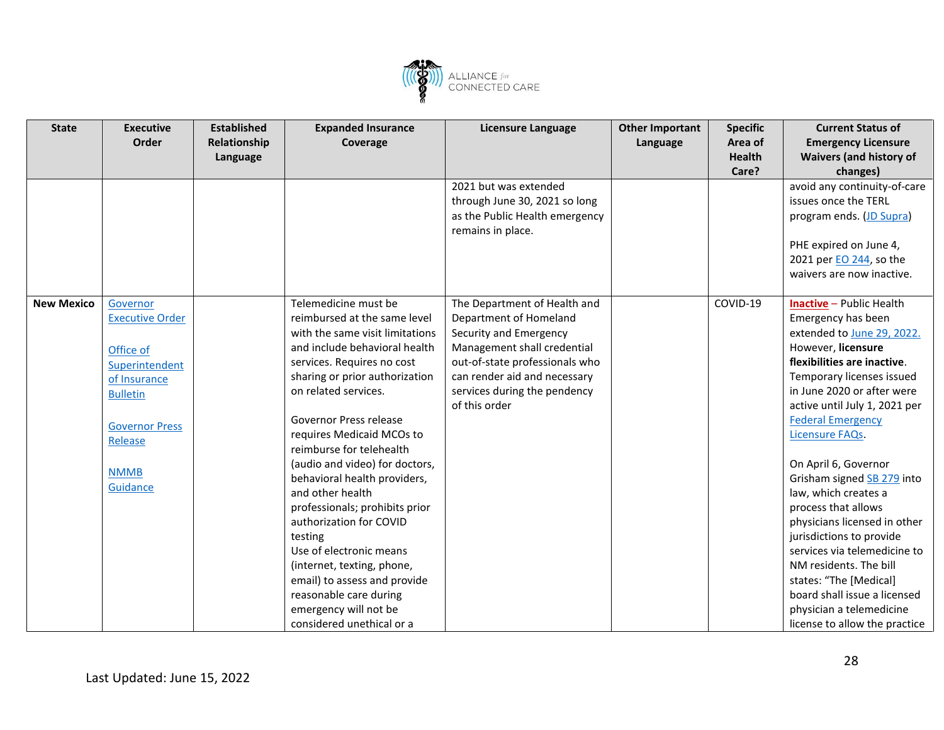![](_page_27_Picture_0.jpeg)

| <b>State</b>      | <b>Executive</b>        | <b>Established</b> | <b>Expanded Insurance</b>       | <b>Licensure Language</b>      | <b>Other Important</b> | <b>Specific</b> | <b>Current Status of</b>        |
|-------------------|-------------------------|--------------------|---------------------------------|--------------------------------|------------------------|-----------------|---------------------------------|
|                   | Order                   | Relationship       | Coverage                        |                                | Language               | Area of         | <b>Emergency Licensure</b>      |
|                   |                         | Language           |                                 |                                |                        | <b>Health</b>   | <b>Waivers (and history of</b>  |
|                   |                         |                    |                                 |                                |                        | Care?           | changes)                        |
|                   |                         |                    |                                 | 2021 but was extended          |                        |                 | avoid any continuity-of-care    |
|                   |                         |                    |                                 | through June 30, 2021 so long  |                        |                 | issues once the TERL            |
|                   |                         |                    |                                 | as the Public Health emergency |                        |                 | program ends. (JD Supra)        |
|                   |                         |                    |                                 | remains in place.              |                        |                 |                                 |
|                   |                         |                    |                                 |                                |                        |                 | PHE expired on June 4,          |
|                   |                         |                    |                                 |                                |                        |                 | 2021 per EO 244, so the         |
|                   |                         |                    |                                 |                                |                        |                 | waivers are now inactive.       |
|                   |                         |                    |                                 |                                |                        |                 |                                 |
| <b>New Mexico</b> | Governor                |                    | Telemedicine must be            | The Department of Health and   |                        | COVID-19        | <b>Inactive</b> - Public Health |
|                   | <b>Executive Order</b>  |                    | reimbursed at the same level    | Department of Homeland         |                        |                 | Emergency has been              |
|                   |                         |                    | with the same visit limitations | Security and Emergency         |                        |                 | extended to June 29, 2022.      |
|                   | Office of               |                    | and include behavioral health   | Management shall credential    |                        |                 | However, licensure              |
|                   | Superintendent          |                    | services. Requires no cost      | out-of-state professionals who |                        |                 | flexibilities are inactive.     |
|                   | of Insurance            |                    | sharing or prior authorization  | can render aid and necessary   |                        |                 | Temporary licenses issued       |
|                   | <b>Bulletin</b>         |                    | on related services.            | services during the pendency   |                        |                 | in June 2020 or after were      |
|                   |                         |                    |                                 | of this order                  |                        |                 | active until July 1, 2021 per   |
|                   | <b>Governor Press</b>   |                    | Governor Press release          |                                |                        |                 | <b>Federal Emergency</b>        |
|                   | Release                 |                    | requires Medicaid MCOs to       |                                |                        |                 | Licensure FAQs.                 |
|                   |                         |                    | reimburse for telehealth        |                                |                        |                 |                                 |
|                   |                         |                    | (audio and video) for doctors,  |                                |                        |                 | On April 6, Governor            |
|                   | <b>NMMB</b><br>Guidance |                    | behavioral health providers,    |                                |                        |                 | Grisham signed SB 279 into      |
|                   |                         |                    | and other health                |                                |                        |                 | law, which creates a            |
|                   |                         |                    | professionals; prohibits prior  |                                |                        |                 | process that allows             |
|                   |                         |                    | authorization for COVID         |                                |                        |                 | physicians licensed in other    |
|                   |                         |                    | testing                         |                                |                        |                 | jurisdictions to provide        |
|                   |                         |                    | Use of electronic means         |                                |                        |                 | services via telemedicine to    |
|                   |                         |                    | (internet, texting, phone,      |                                |                        |                 | NM residents. The bill          |
|                   |                         |                    | email) to assess and provide    |                                |                        |                 | states: "The [Medical]          |
|                   |                         |                    | reasonable care during          |                                |                        |                 | board shall issue a licensed    |
|                   |                         |                    | emergency will not be           |                                |                        |                 | physician a telemedicine        |
|                   |                         |                    | considered unethical or a       |                                |                        |                 | license to allow the practice   |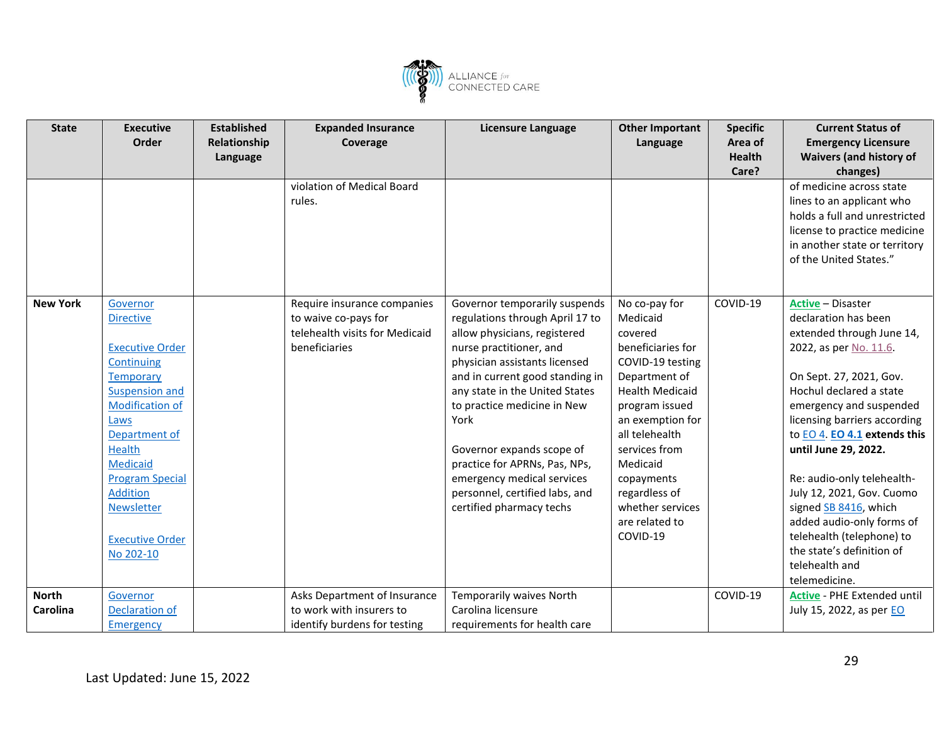![](_page_28_Picture_0.jpeg)

| <b>State</b>    | <b>Executive</b>       | <b>Established</b> | <b>Expanded Insurance</b>      | Licensure Language              | <b>Other Important</b> | <b>Specific</b> | <b>Current Status of</b>           |
|-----------------|------------------------|--------------------|--------------------------------|---------------------------------|------------------------|-----------------|------------------------------------|
|                 | Order                  | Relationship       | Coverage                       |                                 | Language               | Area of         | <b>Emergency Licensure</b>         |
|                 |                        | Language           |                                |                                 |                        | <b>Health</b>   | <b>Waivers (and history of</b>     |
|                 |                        |                    |                                |                                 |                        | Care?           | changes)                           |
|                 |                        |                    | violation of Medical Board     |                                 |                        |                 | of medicine across state           |
|                 |                        |                    | rules.                         |                                 |                        |                 | lines to an applicant who          |
|                 |                        |                    |                                |                                 |                        |                 | holds a full and unrestricted      |
|                 |                        |                    |                                |                                 |                        |                 | license to practice medicine       |
|                 |                        |                    |                                |                                 |                        |                 | in another state or territory      |
|                 |                        |                    |                                |                                 |                        |                 | of the United States."             |
|                 |                        |                    |                                |                                 |                        |                 |                                    |
|                 |                        |                    |                                |                                 |                        |                 |                                    |
| <b>New York</b> | Governor               |                    | Require insurance companies    | Governor temporarily suspends   | No co-pay for          | COVID-19        | <b>Active - Disaster</b>           |
|                 | <b>Directive</b>       |                    | to waive co-pays for           | regulations through April 17 to | Medicaid               |                 | declaration has been               |
|                 |                        |                    | telehealth visits for Medicaid | allow physicians, registered    | covered                |                 | extended through June 14,          |
|                 | <b>Executive Order</b> |                    | beneficiaries                  | nurse practitioner, and         | beneficiaries for      |                 | 2022, as per No. 11.6.             |
|                 | Continuing             |                    |                                | physician assistants licensed   | COVID-19 testing       |                 |                                    |
|                 | <b>Temporary</b>       |                    |                                | and in current good standing in | Department of          |                 | On Sept. 27, 2021, Gov.            |
|                 | <b>Suspension and</b>  |                    |                                | any state in the United States  | <b>Health Medicaid</b> |                 | Hochul declared a state            |
|                 | Modification of        |                    |                                | to practice medicine in New     | program issued         |                 | emergency and suspended            |
|                 | Laws                   |                    |                                | York                            | an exemption for       |                 | licensing barriers according       |
|                 | Department of          |                    |                                |                                 | all telehealth         |                 | to EO 4. EO 4.1 extends this       |
|                 | <b>Health</b>          |                    |                                | Governor expands scope of       | services from          |                 | until June 29, 2022.               |
|                 | <b>Medicaid</b>        |                    |                                | practice for APRNs, Pas, NPs,   | Medicaid               |                 |                                    |
|                 | <b>Program Special</b> |                    |                                | emergency medical services      | copayments             |                 | Re: audio-only telehealth-         |
|                 | <b>Addition</b>        |                    |                                | personnel, certified labs, and  | regardless of          |                 | July 12, 2021, Gov. Cuomo          |
|                 | Newsletter             |                    |                                | certified pharmacy techs        | whether services       |                 | signed SB 8416, which              |
|                 |                        |                    |                                |                                 | are related to         |                 | added audio-only forms of          |
|                 | <b>Executive Order</b> |                    |                                |                                 | COVID-19               |                 | telehealth (telephone) to          |
|                 | No 202-10              |                    |                                |                                 |                        |                 | the state's definition of          |
|                 |                        |                    |                                |                                 |                        |                 | telehealth and                     |
|                 |                        |                    |                                |                                 |                        |                 | telemedicine.                      |
| <b>North</b>    | Governor               |                    | Asks Department of Insurance   | Temporarily waives North        |                        | COVID-19        | <b>Active</b> - PHE Extended until |
| Carolina        | Declaration of         |                    | to work with insurers to       | Carolina licensure              |                        |                 | July 15, 2022, as per EO           |
|                 | Emergency              |                    | identify burdens for testing   | requirements for health care    |                        |                 |                                    |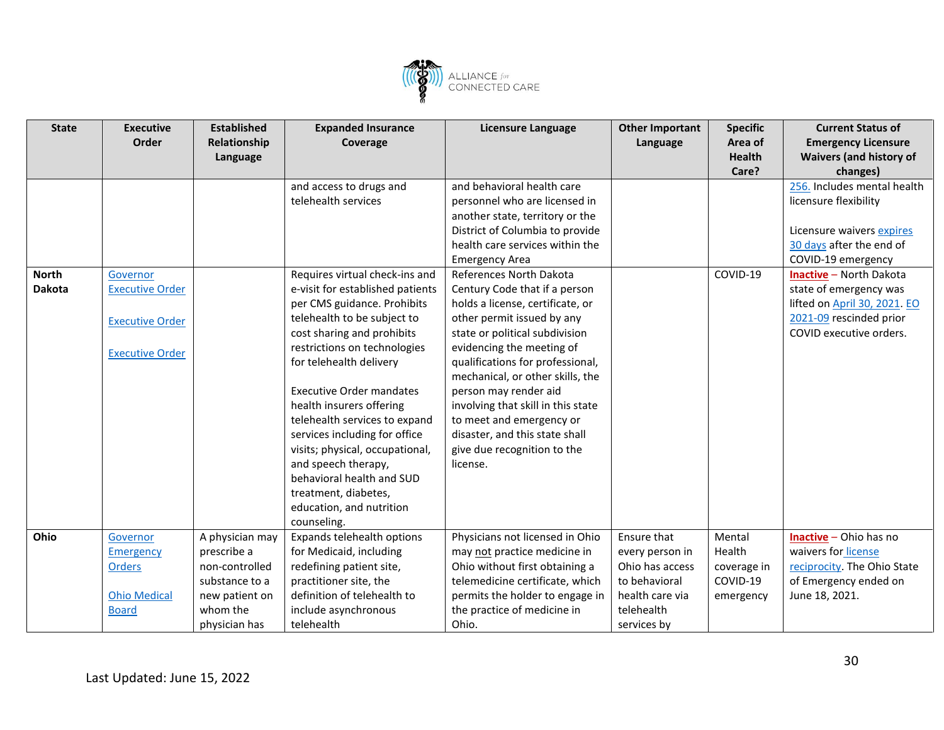![](_page_29_Picture_0.jpeg)

| <b>State</b>  | <b>Executive</b>       | <b>Established</b> | <b>Expanded Insurance</b>        | <b>Licensure Language</b>          | <b>Other Important</b> | <b>Specific</b> | <b>Current Status of</b>       |
|---------------|------------------------|--------------------|----------------------------------|------------------------------------|------------------------|-----------------|--------------------------------|
|               | Order                  | Relationship       | Coverage                         |                                    | Language               | Area of         | <b>Emergency Licensure</b>     |
|               |                        | Language           |                                  |                                    |                        | <b>Health</b>   | <b>Waivers (and history of</b> |
|               |                        |                    |                                  |                                    |                        | Care?           | changes)                       |
|               |                        |                    | and access to drugs and          | and behavioral health care         |                        |                 | 256. Includes mental health    |
|               |                        |                    | telehealth services              | personnel who are licensed in      |                        |                 | licensure flexibility          |
|               |                        |                    |                                  | another state, territory or the    |                        |                 |                                |
|               |                        |                    |                                  | District of Columbia to provide    |                        |                 | Licensure waivers expires      |
|               |                        |                    |                                  | health care services within the    |                        |                 | 30 days after the end of       |
|               |                        |                    |                                  | <b>Emergency Area</b>              |                        |                 | COVID-19 emergency             |
| <b>North</b>  | Governor               |                    | Requires virtual check-ins and   | References North Dakota            |                        | COVID-19        | <b>Inactive</b> - North Dakota |
| <b>Dakota</b> | <b>Executive Order</b> |                    | e-visit for established patients | Century Code that if a person      |                        |                 | state of emergency was         |
|               |                        |                    | per CMS guidance. Prohibits      | holds a license, certificate, or   |                        |                 | lifted on April 30, 2021. EO   |
|               | <b>Executive Order</b> |                    | telehealth to be subject to      | other permit issued by any         |                        |                 | 2021-09 rescinded prior        |
|               |                        |                    | cost sharing and prohibits       | state or political subdivision     |                        |                 | COVID executive orders.        |
|               | <b>Executive Order</b> |                    | restrictions on technologies     | evidencing the meeting of          |                        |                 |                                |
|               |                        |                    | for telehealth delivery          | qualifications for professional,   |                        |                 |                                |
|               |                        |                    |                                  | mechanical, or other skills, the   |                        |                 |                                |
|               |                        |                    | <b>Executive Order mandates</b>  | person may render aid              |                        |                 |                                |
|               |                        |                    | health insurers offering         | involving that skill in this state |                        |                 |                                |
|               |                        |                    | telehealth services to expand    | to meet and emergency or           |                        |                 |                                |
|               |                        |                    | services including for office    | disaster, and this state shall     |                        |                 |                                |
|               |                        |                    | visits; physical, occupational,  | give due recognition to the        |                        |                 |                                |
|               |                        |                    | and speech therapy,              | license.                           |                        |                 |                                |
|               |                        |                    | behavioral health and SUD        |                                    |                        |                 |                                |
|               |                        |                    | treatment, diabetes,             |                                    |                        |                 |                                |
|               |                        |                    | education, and nutrition         |                                    |                        |                 |                                |
|               |                        |                    | counseling.                      |                                    |                        |                 |                                |
| Ohio          | Governor               | A physician may    | Expands telehealth options       | Physicians not licensed in Ohio    | Ensure that            | Mental          | Inactive - Ohio has no         |
|               | Emergency              | prescribe a        | for Medicaid, including          | may not practice medicine in       | every person in        | Health          | waivers for license            |
|               | <b>Orders</b>          | non-controlled     | redefining patient site,         | Ohio without first obtaining a     | Ohio has access        | coverage in     | reciprocity. The Ohio State    |
|               |                        | substance to a     | practitioner site, the           | telemedicine certificate, which    | to behavioral          | COVID-19        | of Emergency ended on          |
|               | <b>Ohio Medical</b>    | new patient on     | definition of telehealth to      | permits the holder to engage in    | health care via        | emergency       | June 18, 2021.                 |
|               | <b>Board</b>           | whom the           | include asynchronous             | the practice of medicine in        | telehealth             |                 |                                |
|               |                        | physician has      | telehealth                       | Ohio.                              | services by            |                 |                                |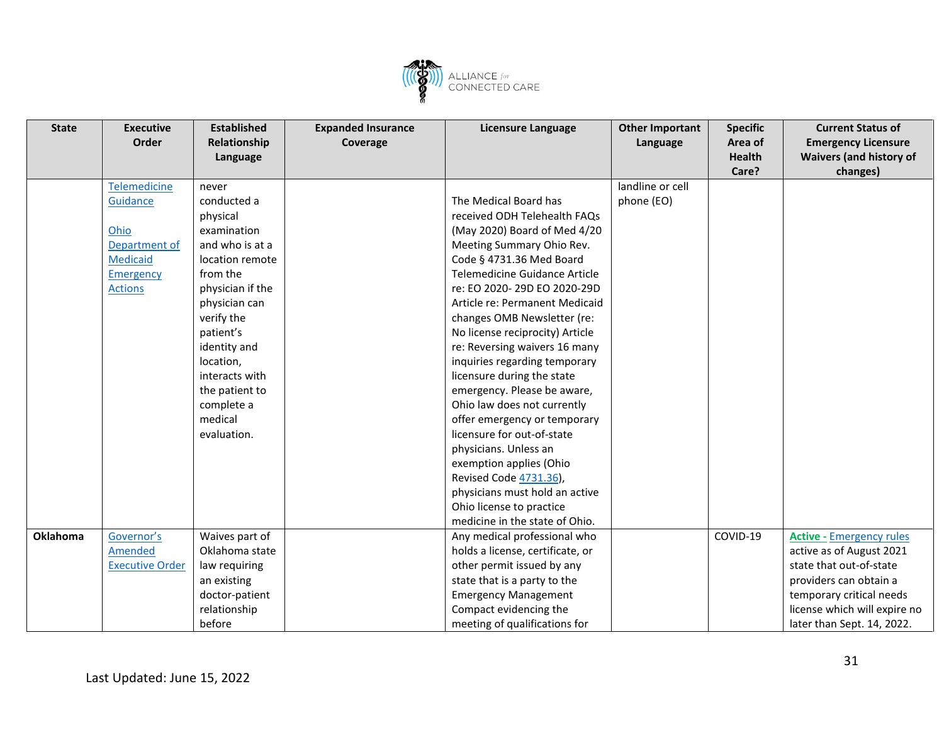![](_page_30_Picture_0.jpeg)

| <b>State</b> | <b>Executive</b>       | <b>Established</b> | <b>Expanded Insurance</b> | Licensure Language               | <b>Other Important</b> | <b>Specific</b> | <b>Current Status of</b>        |
|--------------|------------------------|--------------------|---------------------------|----------------------------------|------------------------|-----------------|---------------------------------|
|              | Order                  | Relationship       | Coverage                  |                                  | Language               | Area of         | <b>Emergency Licensure</b>      |
|              |                        | Language           |                           |                                  |                        | <b>Health</b>   | <b>Waivers (and history of</b>  |
|              |                        |                    |                           |                                  |                        | Care?           | changes)                        |
|              | Telemedicine           | never              |                           |                                  | landline or cell       |                 |                                 |
|              | Guidance               | conducted a        |                           | The Medical Board has            | phone (EO)             |                 |                                 |
|              |                        | physical           |                           | received ODH Telehealth FAQs     |                        |                 |                                 |
|              | Ohio                   | examination        |                           | (May 2020) Board of Med 4/20     |                        |                 |                                 |
|              | Department of          | and who is at a    |                           | Meeting Summary Ohio Rev.        |                        |                 |                                 |
|              | <b>Medicaid</b>        | location remote    |                           | Code § 4731.36 Med Board         |                        |                 |                                 |
|              | Emergency              | from the           |                           | Telemedicine Guidance Article    |                        |                 |                                 |
|              | <b>Actions</b>         | physician if the   |                           | re: EO 2020-29D EO 2020-29D      |                        |                 |                                 |
|              |                        | physician can      |                           | Article re: Permanent Medicaid   |                        |                 |                                 |
|              |                        | verify the         |                           | changes OMB Newsletter (re:      |                        |                 |                                 |
|              |                        | patient's          |                           | No license reciprocity) Article  |                        |                 |                                 |
|              |                        | identity and       |                           | re: Reversing waivers 16 many    |                        |                 |                                 |
|              |                        | location,          |                           | inquiries regarding temporary    |                        |                 |                                 |
|              |                        | interacts with     |                           | licensure during the state       |                        |                 |                                 |
|              |                        | the patient to     |                           | emergency. Please be aware,      |                        |                 |                                 |
|              |                        | complete a         |                           | Ohio law does not currently      |                        |                 |                                 |
|              |                        | medical            |                           | offer emergency or temporary     |                        |                 |                                 |
|              |                        | evaluation.        |                           | licensure for out-of-state       |                        |                 |                                 |
|              |                        |                    |                           | physicians. Unless an            |                        |                 |                                 |
|              |                        |                    |                           | exemption applies (Ohio          |                        |                 |                                 |
|              |                        |                    |                           | Revised Code 4731.36),           |                        |                 |                                 |
|              |                        |                    |                           | physicians must hold an active   |                        |                 |                                 |
|              |                        |                    |                           | Ohio license to practice         |                        |                 |                                 |
|              |                        |                    |                           | medicine in the state of Ohio.   |                        |                 |                                 |
| Oklahoma     | Governor's             | Waives part of     |                           | Any medical professional who     |                        | COVID-19        | <b>Active - Emergency rules</b> |
|              | Amended                | Oklahoma state     |                           | holds a license, certificate, or |                        |                 | active as of August 2021        |
|              | <b>Executive Order</b> | law requiring      |                           | other permit issued by any       |                        |                 | state that out-of-state         |
|              |                        | an existing        |                           | state that is a party to the     |                        |                 | providers can obtain a          |
|              |                        | doctor-patient     |                           | <b>Emergency Management</b>      |                        |                 | temporary critical needs        |
|              |                        | relationship       |                           | Compact evidencing the           |                        |                 | license which will expire no    |
|              |                        | before             |                           | meeting of qualifications for    |                        |                 | later than Sept. 14, 2022.      |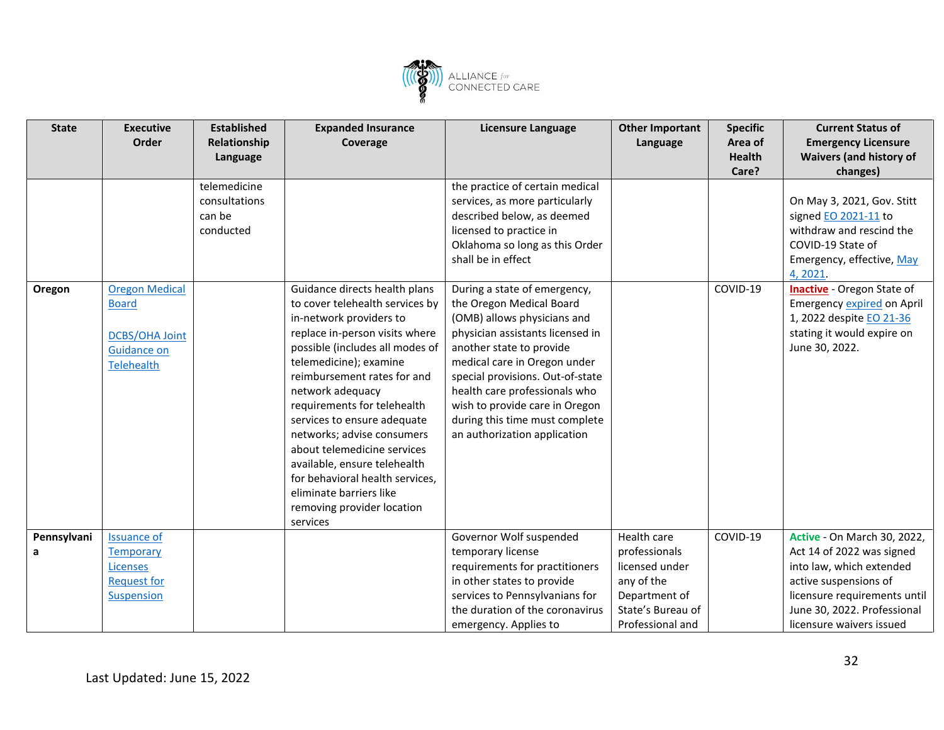![](_page_31_Picture_0.jpeg)

| <b>State</b> | <b>Executive</b>      | <b>Established</b> | <b>Expanded Insurance</b>       | Licensure Language                                           | <b>Other Important</b>             | <b>Specific</b> | <b>Current Status of</b>                                    |
|--------------|-----------------------|--------------------|---------------------------------|--------------------------------------------------------------|------------------------------------|-----------------|-------------------------------------------------------------|
|              | Order                 | Relationship       | Coverage                        |                                                              | Language                           | Area of         | <b>Emergency Licensure</b>                                  |
|              |                       | Language           |                                 |                                                              |                                    | <b>Health</b>   | <b>Waivers (and history of</b>                              |
|              |                       |                    |                                 |                                                              |                                    | Care?           | changes)                                                    |
|              |                       | telemedicine       |                                 | the practice of certain medical                              |                                    |                 |                                                             |
|              |                       | consultations      |                                 | services, as more particularly                               |                                    |                 | On May 3, 2021, Gov. Stitt                                  |
|              |                       | can be             |                                 | described below, as deemed                                   |                                    |                 | signed <b>EO 2021-11</b> to                                 |
|              |                       | conducted          |                                 | licensed to practice in                                      |                                    |                 | withdraw and rescind the                                    |
|              |                       |                    |                                 | Oklahoma so long as this Order                               |                                    |                 | COVID-19 State of                                           |
|              |                       |                    |                                 | shall be in effect                                           |                                    |                 | Emergency, effective, May                                   |
|              |                       |                    |                                 |                                                              |                                    |                 | 4, 2021.                                                    |
| Oregon       | <b>Oregon Medical</b> |                    | Guidance directs health plans   | During a state of emergency,                                 |                                    | COVID-19        | <b>Inactive</b> - Oregon State of                           |
|              | <b>Board</b>          |                    | to cover telehealth services by | the Oregon Medical Board                                     |                                    |                 | Emergency expired on April                                  |
|              |                       |                    | in-network providers to         | (OMB) allows physicians and                                  |                                    |                 | 1, 2022 despite EO 21-36                                    |
|              | <b>DCBS/OHA Joint</b> |                    | replace in-person visits where  | physician assistants licensed in                             |                                    |                 | stating it would expire on                                  |
|              | <b>Guidance on</b>    |                    | possible (includes all modes of | another state to provide                                     |                                    |                 | June 30, 2022.                                              |
|              | <b>Telehealth</b>     |                    | telemedicine); examine          | medical care in Oregon under                                 |                                    |                 |                                                             |
|              |                       |                    | reimbursement rates for and     | special provisions. Out-of-state                             |                                    |                 |                                                             |
|              |                       |                    | network adequacy                | health care professionals who                                |                                    |                 |                                                             |
|              |                       |                    | requirements for telehealth     | wish to provide care in Oregon                               |                                    |                 |                                                             |
|              |                       |                    | services to ensure adequate     | during this time must complete                               |                                    |                 |                                                             |
|              |                       |                    | networks; advise consumers      | an authorization application                                 |                                    |                 |                                                             |
|              |                       |                    | about telemedicine services     |                                                              |                                    |                 |                                                             |
|              |                       |                    | available, ensure telehealth    |                                                              |                                    |                 |                                                             |
|              |                       |                    | for behavioral health services, |                                                              |                                    |                 |                                                             |
|              |                       |                    | eliminate barriers like         |                                                              |                                    |                 |                                                             |
|              |                       |                    | removing provider location      |                                                              |                                    |                 |                                                             |
|              |                       |                    | services                        |                                                              |                                    |                 |                                                             |
| Pennsylvani  | <b>Issuance of</b>    |                    |                                 | Governor Wolf suspended                                      | Health care                        | COVID-19        | <b>Active - On March 30, 2022,</b>                          |
| a            | <b>Temporary</b>      |                    |                                 | temporary license                                            | professionals                      |                 | Act 14 of 2022 was signed                                   |
|              | <b>Licenses</b>       |                    |                                 | requirements for practitioners                               | licensed under                     |                 | into law, which extended                                    |
|              | <b>Request for</b>    |                    |                                 | in other states to provide<br>services to Pennsylvanians for | any of the                         |                 | active suspensions of                                       |
|              | <b>Suspension</b>     |                    |                                 | the duration of the coronavirus                              | Department of<br>State's Bureau of |                 | licensure requirements until<br>June 30, 2022. Professional |
|              |                       |                    |                                 |                                                              |                                    |                 |                                                             |
|              |                       |                    |                                 | emergency. Applies to                                        | Professional and                   |                 | licensure waivers issued                                    |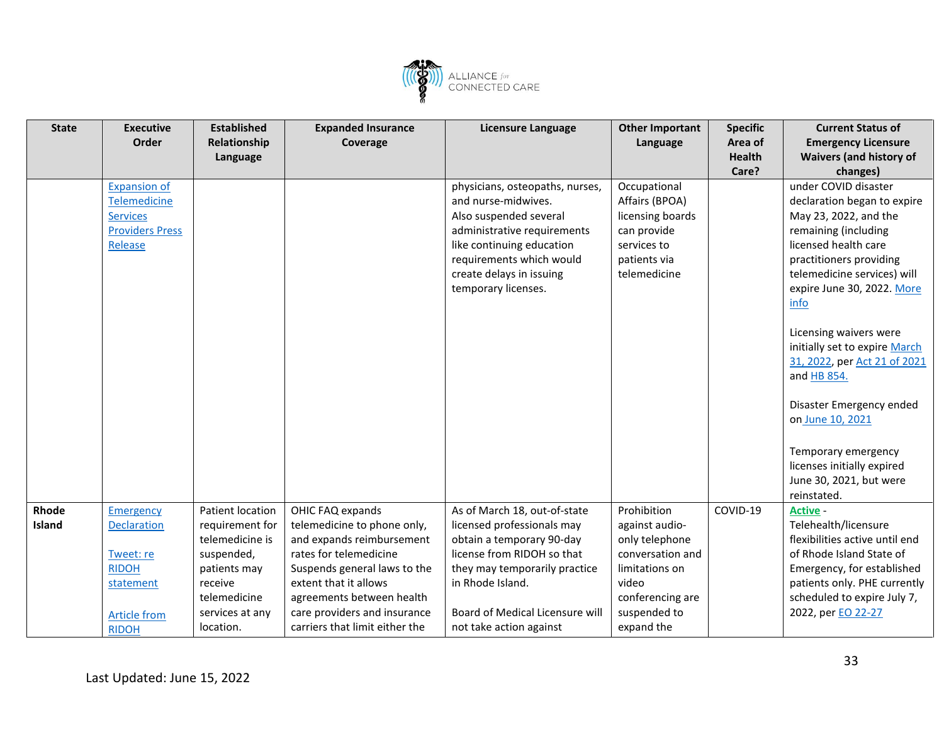![](_page_32_Picture_0.jpeg)

| <b>State</b> | <b>Executive</b>       | <b>Established</b> | <b>Expanded Insurance</b>      | <b>Licensure Language</b>       | <b>Other Important</b> | <b>Specific</b>        | <b>Current Status of</b>                                      |
|--------------|------------------------|--------------------|--------------------------------|---------------------------------|------------------------|------------------------|---------------------------------------------------------------|
|              | Order                  | Relationship       | Coverage                       |                                 | Language               | Area of                | <b>Emergency Licensure</b>                                    |
|              |                        | Language           |                                |                                 |                        | <b>Health</b><br>Care? | <b>Waivers (and history of</b><br>changes)                    |
|              | <b>Expansion of</b>    |                    |                                | physicians, osteopaths, nurses, | Occupational           |                        | under COVID disaster                                          |
|              | <b>Telemedicine</b>    |                    |                                | and nurse-midwives.             | Affairs (BPOA)         |                        | declaration began to expire                                   |
|              | <b>Services</b>        |                    |                                | Also suspended several          | licensing boards       |                        | May 23, 2022, and the                                         |
|              | <b>Providers Press</b> |                    |                                | administrative requirements     | can provide            |                        | remaining (including                                          |
|              | Release                |                    |                                | like continuing education       | services to            |                        | licensed health care                                          |
|              |                        |                    |                                | requirements which would        | patients via           |                        | practitioners providing                                       |
|              |                        |                    |                                | create delays in issuing        | telemedicine           |                        | telemedicine services) will                                   |
|              |                        |                    |                                | temporary licenses.             |                        |                        | expire June 30, 2022. More                                    |
|              |                        |                    |                                |                                 |                        |                        | info                                                          |
|              |                        |                    |                                |                                 |                        |                        |                                                               |
|              |                        |                    |                                |                                 |                        |                        | Licensing waivers were                                        |
|              |                        |                    |                                |                                 |                        |                        | initially set to expire March<br>31, 2022, per Act 21 of 2021 |
|              |                        |                    |                                |                                 |                        |                        | and HB 854.                                                   |
|              |                        |                    |                                |                                 |                        |                        |                                                               |
|              |                        |                    |                                |                                 |                        |                        | Disaster Emergency ended                                      |
|              |                        |                    |                                |                                 |                        |                        | on June 10, 2021                                              |
|              |                        |                    |                                |                                 |                        |                        |                                                               |
|              |                        |                    |                                |                                 |                        |                        | Temporary emergency                                           |
|              |                        |                    |                                |                                 |                        |                        | licenses initially expired                                    |
|              |                        |                    |                                |                                 |                        |                        | June 30, 2021, but were                                       |
|              |                        |                    |                                |                                 |                        |                        | reinstated.                                                   |
| Rhode        | <b>Emergency</b>       | Patient location   | OHIC FAQ expands               | As of March 18, out-of-state    | Prohibition            | COVID-19               | <b>Active -</b>                                               |
| Island       | <b>Declaration</b>     | requirement for    | telemedicine to phone only,    | licensed professionals may      | against audio-         |                        | Telehealth/licensure                                          |
|              |                        | telemedicine is    | and expands reimbursement      | obtain a temporary 90-day       | only telephone         |                        | flexibilities active until end                                |
|              | Tweet: re              | suspended,         | rates for telemedicine         | license from RIDOH so that      | conversation and       |                        | of Rhode Island State of                                      |
|              | <b>RIDOH</b>           | patients may       | Suspends general laws to the   | they may temporarily practice   | limitations on         |                        | Emergency, for established                                    |
|              | statement              | receive            | extent that it allows          | in Rhode Island.                | video                  |                        | patients only. PHE currently                                  |
|              |                        | telemedicine       | agreements between health      |                                 | conferencing are       |                        | scheduled to expire July 7,                                   |
|              | <b>Article from</b>    | services at any    | care providers and insurance   | Board of Medical Licensure will | suspended to           |                        | 2022, per EO 22-27                                            |
|              | <b>RIDOH</b>           | location.          | carriers that limit either the | not take action against         | expand the             |                        |                                                               |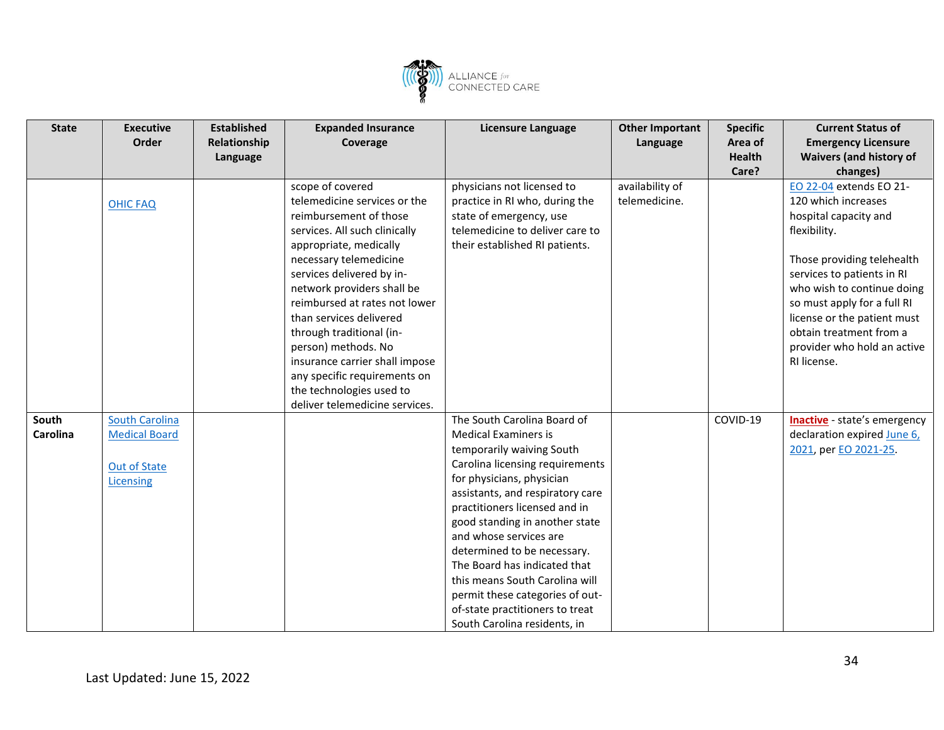![](_page_33_Picture_0.jpeg)

| <b>State</b>      | <b>Executive</b><br>Order                                                         | <b>Established</b><br>Relationship<br>Language | <b>Expanded Insurance</b><br>Coverage                                                                                                                                                                                                                                                                                                                                                                                                   | <b>Licensure Language</b>                                                                                                                                                                                                                                                                                                                                                                                                                                                                       | <b>Other Important</b><br>Language | <b>Specific</b><br>Area of<br><b>Health</b> | <b>Current Status of</b><br><b>Emergency Licensure</b><br><b>Waivers (and history of</b>                                                                                                                                                                                                                                 |
|-------------------|-----------------------------------------------------------------------------------|------------------------------------------------|-----------------------------------------------------------------------------------------------------------------------------------------------------------------------------------------------------------------------------------------------------------------------------------------------------------------------------------------------------------------------------------------------------------------------------------------|-------------------------------------------------------------------------------------------------------------------------------------------------------------------------------------------------------------------------------------------------------------------------------------------------------------------------------------------------------------------------------------------------------------------------------------------------------------------------------------------------|------------------------------------|---------------------------------------------|--------------------------------------------------------------------------------------------------------------------------------------------------------------------------------------------------------------------------------------------------------------------------------------------------------------------------|
|                   |                                                                                   |                                                |                                                                                                                                                                                                                                                                                                                                                                                                                                         |                                                                                                                                                                                                                                                                                                                                                                                                                                                                                                 |                                    | Care?                                       | changes)                                                                                                                                                                                                                                                                                                                 |
|                   | <b>OHIC FAQ</b>                                                                   |                                                | scope of covered<br>telemedicine services or the<br>reimbursement of those<br>services. All such clinically<br>appropriate, medically<br>necessary telemedicine<br>services delivered by in-<br>network providers shall be<br>reimbursed at rates not lower<br>than services delivered<br>through traditional (in-<br>person) methods. No<br>insurance carrier shall impose<br>any specific requirements on<br>the technologies used to | physicians not licensed to<br>practice in RI who, during the<br>state of emergency, use<br>telemedicine to deliver care to<br>their established RI patients.                                                                                                                                                                                                                                                                                                                                    | availability of<br>telemedicine.   |                                             | EO 22-04 extends EO 21-<br>120 which increases<br>hospital capacity and<br>flexibility.<br>Those providing telehealth<br>services to patients in RI<br>who wish to continue doing<br>so must apply for a full RI<br>license or the patient must<br>obtain treatment from a<br>provider who hold an active<br>RI license. |
|                   |                                                                                   |                                                | deliver telemedicine services.                                                                                                                                                                                                                                                                                                                                                                                                          |                                                                                                                                                                                                                                                                                                                                                                                                                                                                                                 |                                    |                                             |                                                                                                                                                                                                                                                                                                                          |
| South<br>Carolina | <b>South Carolina</b><br><b>Medical Board</b><br><b>Out of State</b><br>Licensing |                                                |                                                                                                                                                                                                                                                                                                                                                                                                                                         | The South Carolina Board of<br><b>Medical Examiners is</b><br>temporarily waiving South<br>Carolina licensing requirements<br>for physicians, physician<br>assistants, and respiratory care<br>practitioners licensed and in<br>good standing in another state<br>and whose services are<br>determined to be necessary.<br>The Board has indicated that<br>this means South Carolina will<br>permit these categories of out-<br>of-state practitioners to treat<br>South Carolina residents, in |                                    | COVID-19                                    | <b>Inactive</b> - state's emergency<br>declaration expired June 6,<br>2021, per EO 2021-25.                                                                                                                                                                                                                              |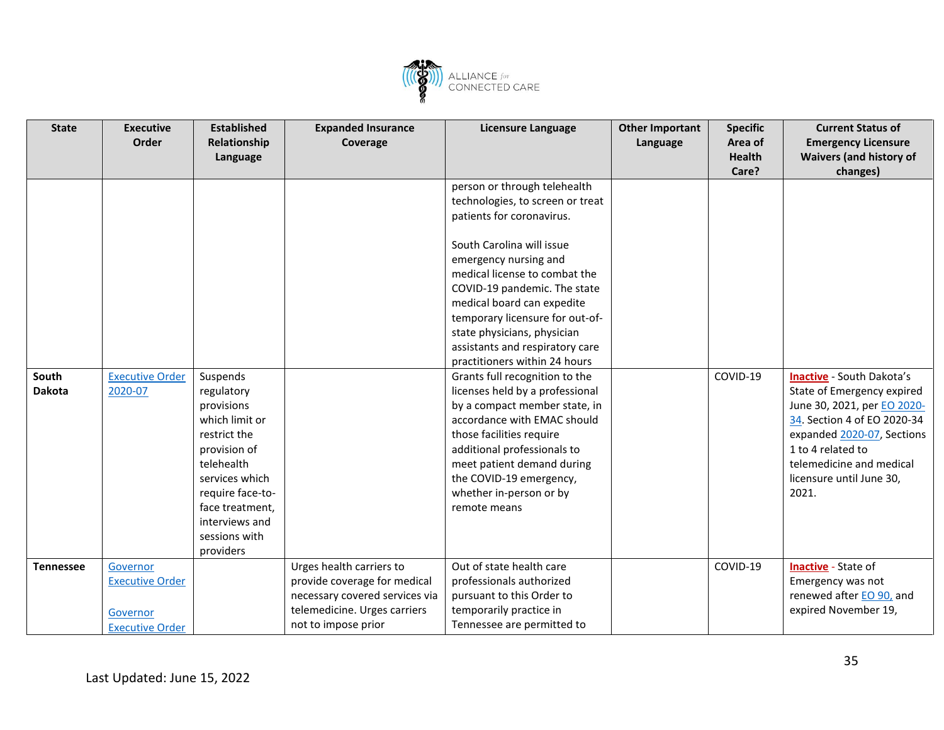![](_page_34_Picture_0.jpeg)

| <b>State</b>     | <b>Executive</b>       | <b>Established</b> | <b>Expanded Insurance</b>      | <b>Licensure Language</b>                              | <b>Other Important</b> | <b>Specific</b> | <b>Current Status of</b>         |
|------------------|------------------------|--------------------|--------------------------------|--------------------------------------------------------|------------------------|-----------------|----------------------------------|
|                  | Order                  | Relationship       | Coverage                       |                                                        | Language               | Area of         | <b>Emergency Licensure</b>       |
|                  |                        | Language           |                                |                                                        |                        | <b>Health</b>   | <b>Waivers (and history of</b>   |
|                  |                        |                    |                                |                                                        |                        | Care?           | changes)                         |
|                  |                        |                    |                                | person or through telehealth                           |                        |                 |                                  |
|                  |                        |                    |                                | technologies, to screen or treat                       |                        |                 |                                  |
|                  |                        |                    |                                | patients for coronavirus.                              |                        |                 |                                  |
|                  |                        |                    |                                | South Carolina will issue                              |                        |                 |                                  |
|                  |                        |                    |                                |                                                        |                        |                 |                                  |
|                  |                        |                    |                                | emergency nursing and<br>medical license to combat the |                        |                 |                                  |
|                  |                        |                    |                                |                                                        |                        |                 |                                  |
|                  |                        |                    |                                | COVID-19 pandemic. The state                           |                        |                 |                                  |
|                  |                        |                    |                                | medical board can expedite                             |                        |                 |                                  |
|                  |                        |                    |                                | temporary licensure for out-of-                        |                        |                 |                                  |
|                  |                        |                    |                                | state physicians, physician                            |                        |                 |                                  |
|                  |                        |                    |                                | assistants and respiratory care                        |                        |                 |                                  |
|                  |                        |                    |                                | practitioners within 24 hours                          |                        |                 |                                  |
| South            | <b>Executive Order</b> | Suspends           |                                | Grants full recognition to the                         |                        | COVID-19        | <b>Inactive</b> - South Dakota's |
| <b>Dakota</b>    | 2020-07                | regulatory         |                                | licenses held by a professional                        |                        |                 | State of Emergency expired       |
|                  |                        | provisions         |                                | by a compact member state, in                          |                        |                 | June 30, 2021, per EO 2020-      |
|                  |                        | which limit or     |                                | accordance with EMAC should                            |                        |                 | 34. Section 4 of EO 2020-34      |
|                  |                        | restrict the       |                                | those facilities require                               |                        |                 | expanded 2020-07, Sections       |
|                  |                        | provision of       |                                | additional professionals to                            |                        |                 | 1 to 4 related to                |
|                  |                        | telehealth         |                                | meet patient demand during                             |                        |                 | telemedicine and medical         |
|                  |                        | services which     |                                | the COVID-19 emergency,                                |                        |                 | licensure until June 30,         |
|                  |                        | require face-to-   |                                | whether in-person or by                                |                        |                 | 2021.                            |
|                  |                        | face treatment,    |                                | remote means                                           |                        |                 |                                  |
|                  |                        | interviews and     |                                |                                                        |                        |                 |                                  |
|                  |                        | sessions with      |                                |                                                        |                        |                 |                                  |
|                  |                        | providers          |                                |                                                        |                        |                 |                                  |
| <b>Tennessee</b> | Governor               |                    | Urges health carriers to       | Out of state health care                               |                        | COVID-19        | <b>Inactive</b> - State of       |
|                  | <b>Executive Order</b> |                    | provide coverage for medical   | professionals authorized                               |                        |                 | Emergency was not                |
|                  |                        |                    | necessary covered services via | pursuant to this Order to                              |                        |                 | renewed after EO 90, and         |
|                  | Governor               |                    | telemedicine. Urges carriers   | temporarily practice in                                |                        |                 | expired November 19,             |
|                  | <b>Executive Order</b> |                    | not to impose prior            | Tennessee are permitted to                             |                        |                 |                                  |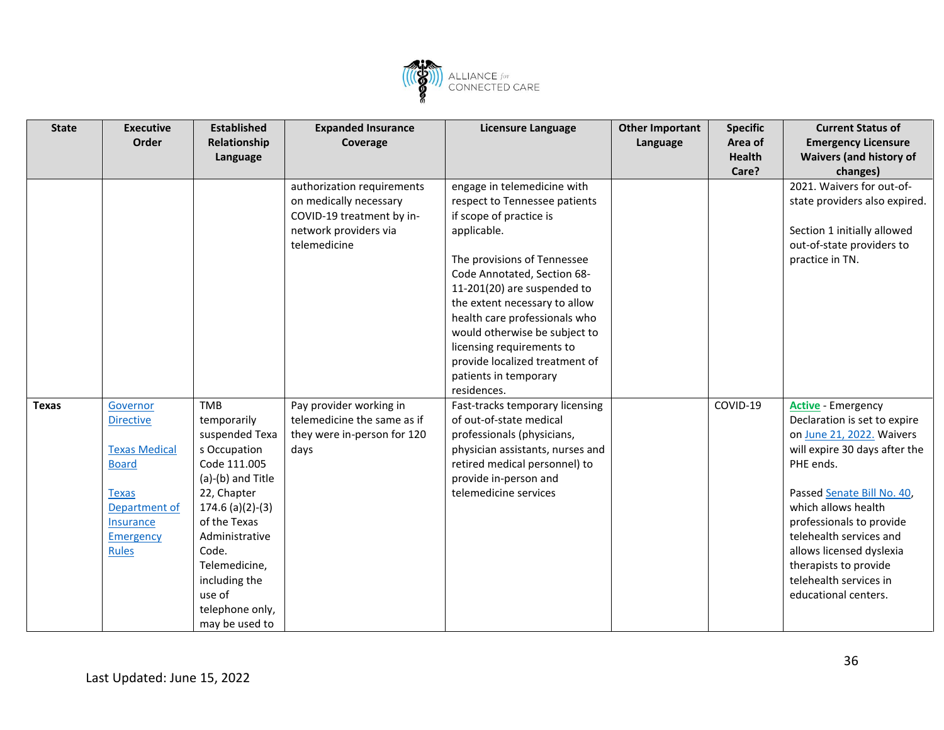![](_page_35_Picture_0.jpeg)

| <b>State</b> | <b>Executive</b><br>Order                                                                                                                                     | <b>Established</b><br>Relationship                                                                                                                                                                                                                                | <b>Expanded Insurance</b><br>Coverage                                                                                      | <b>Licensure Language</b>                                                                                                                                                                                                                                                                                                                                                                      | <b>Other Important</b><br>Language | <b>Specific</b><br>Area of | <b>Current Status of</b><br><b>Emergency Licensure</b>                                                                                                                                                                                                                                                                                                  |
|--------------|---------------------------------------------------------------------------------------------------------------------------------------------------------------|-------------------------------------------------------------------------------------------------------------------------------------------------------------------------------------------------------------------------------------------------------------------|----------------------------------------------------------------------------------------------------------------------------|------------------------------------------------------------------------------------------------------------------------------------------------------------------------------------------------------------------------------------------------------------------------------------------------------------------------------------------------------------------------------------------------|------------------------------------|----------------------------|---------------------------------------------------------------------------------------------------------------------------------------------------------------------------------------------------------------------------------------------------------------------------------------------------------------------------------------------------------|
|              |                                                                                                                                                               | Language                                                                                                                                                                                                                                                          |                                                                                                                            |                                                                                                                                                                                                                                                                                                                                                                                                |                                    | <b>Health</b>              | <b>Waivers (and history of</b>                                                                                                                                                                                                                                                                                                                          |
|              |                                                                                                                                                               |                                                                                                                                                                                                                                                                   |                                                                                                                            |                                                                                                                                                                                                                                                                                                                                                                                                |                                    | Care?                      | changes)                                                                                                                                                                                                                                                                                                                                                |
|              |                                                                                                                                                               |                                                                                                                                                                                                                                                                   | authorization requirements<br>on medically necessary<br>COVID-19 treatment by in-<br>network providers via<br>telemedicine | engage in telemedicine with<br>respect to Tennessee patients<br>if scope of practice is<br>applicable.<br>The provisions of Tennessee<br>Code Annotated, Section 68-<br>11-201(20) are suspended to<br>the extent necessary to allow<br>health care professionals who<br>would otherwise be subject to<br>licensing requirements to<br>provide localized treatment of<br>patients in temporary |                                    |                            | 2021. Waivers for out-of-<br>state providers also expired.<br>Section 1 initially allowed<br>out-of-state providers to<br>practice in TN.                                                                                                                                                                                                               |
|              |                                                                                                                                                               |                                                                                                                                                                                                                                                                   |                                                                                                                            | residences.                                                                                                                                                                                                                                                                                                                                                                                    |                                    |                            |                                                                                                                                                                                                                                                                                                                                                         |
| <b>Texas</b> | Governor<br><b>Directive</b><br><b>Texas Medical</b><br><b>Board</b><br><b>Texas</b><br>Department of<br><b>Insurance</b><br><b>Emergency</b><br><b>Rules</b> | <b>TMB</b><br>temporarily<br>suspended Texa<br>s Occupation<br>Code 111.005<br>(a)-(b) and Title<br>22, Chapter<br>$174.6$ (a)(2)-(3)<br>of the Texas<br>Administrative<br>Code.<br>Telemedicine,<br>including the<br>use of<br>telephone only,<br>may be used to | Pay provider working in<br>telemedicine the same as if<br>they were in-person for 120<br>days                              | Fast-tracks temporary licensing<br>of out-of-state medical<br>professionals (physicians,<br>physician assistants, nurses and<br>retired medical personnel) to<br>provide in-person and<br>telemedicine services                                                                                                                                                                                |                                    | COVID-19                   | <b>Active</b> - Emergency<br>Declaration is set to expire<br>on June 21, 2022. Waivers<br>will expire 30 days after the<br>PHE ends.<br>Passed Senate Bill No. 40,<br>which allows health<br>professionals to provide<br>telehealth services and<br>allows licensed dyslexia<br>therapists to provide<br>telehealth services in<br>educational centers. |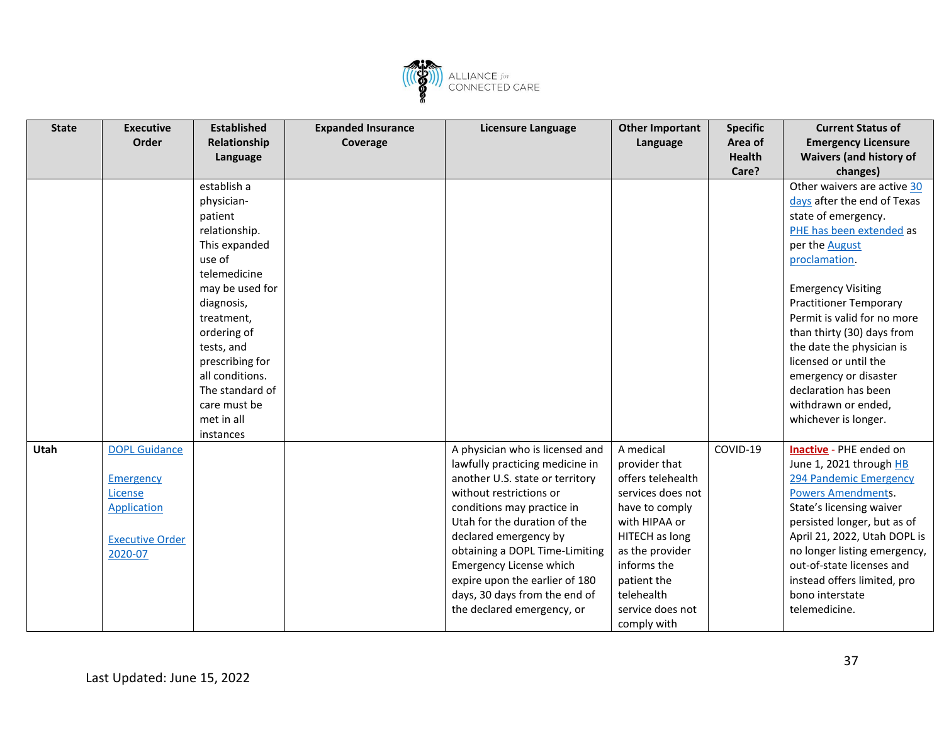![](_page_36_Picture_0.jpeg)

| <b>State</b> | <b>Executive</b>                                                                                        | <b>Established</b>                                                                                                            | <b>Expanded Insurance</b> | <b>Licensure Language</b>                                                                                                                                                                                                                                                                                                                                                             | <b>Other Important</b>                                                                                                                                                                                                      | <b>Specific</b> | <b>Current Status of</b>                                                                                                                                                                                                                                                                                                                                                                                                                                                                                                 |
|--------------|---------------------------------------------------------------------------------------------------------|-------------------------------------------------------------------------------------------------------------------------------|---------------------------|---------------------------------------------------------------------------------------------------------------------------------------------------------------------------------------------------------------------------------------------------------------------------------------------------------------------------------------------------------------------------------------|-----------------------------------------------------------------------------------------------------------------------------------------------------------------------------------------------------------------------------|-----------------|--------------------------------------------------------------------------------------------------------------------------------------------------------------------------------------------------------------------------------------------------------------------------------------------------------------------------------------------------------------------------------------------------------------------------------------------------------------------------------------------------------------------------|
|              | Order                                                                                                   | Relationship                                                                                                                  | Coverage                  |                                                                                                                                                                                                                                                                                                                                                                                       | Language                                                                                                                                                                                                                    | Area of         | <b>Emergency Licensure</b>                                                                                                                                                                                                                                                                                                                                                                                                                                                                                               |
|              |                                                                                                         | Language                                                                                                                      |                           |                                                                                                                                                                                                                                                                                                                                                                                       |                                                                                                                                                                                                                             | <b>Health</b>   | <b>Waivers (and history of</b>                                                                                                                                                                                                                                                                                                                                                                                                                                                                                           |
|              |                                                                                                         |                                                                                                                               |                           |                                                                                                                                                                                                                                                                                                                                                                                       |                                                                                                                                                                                                                             | Care?           | changes)                                                                                                                                                                                                                                                                                                                                                                                                                                                                                                                 |
|              |                                                                                                         | establish a                                                                                                                   |                           |                                                                                                                                                                                                                                                                                                                                                                                       |                                                                                                                                                                                                                             |                 | Other waivers are active 30                                                                                                                                                                                                                                                                                                                                                                                                                                                                                              |
|              |                                                                                                         | physician-                                                                                                                    |                           |                                                                                                                                                                                                                                                                                                                                                                                       |                                                                                                                                                                                                                             |                 | days after the end of Texas                                                                                                                                                                                                                                                                                                                                                                                                                                                                                              |
|              |                                                                                                         | patient                                                                                                                       |                           |                                                                                                                                                                                                                                                                                                                                                                                       |                                                                                                                                                                                                                             |                 | state of emergency.                                                                                                                                                                                                                                                                                                                                                                                                                                                                                                      |
|              |                                                                                                         | relationship.                                                                                                                 |                           |                                                                                                                                                                                                                                                                                                                                                                                       |                                                                                                                                                                                                                             |                 | PHE has been extended as                                                                                                                                                                                                                                                                                                                                                                                                                                                                                                 |
|              |                                                                                                         | This expanded                                                                                                                 |                           |                                                                                                                                                                                                                                                                                                                                                                                       |                                                                                                                                                                                                                             |                 | per the August                                                                                                                                                                                                                                                                                                                                                                                                                                                                                                           |
|              |                                                                                                         | use of                                                                                                                        |                           |                                                                                                                                                                                                                                                                                                                                                                                       |                                                                                                                                                                                                                             |                 | proclamation.                                                                                                                                                                                                                                                                                                                                                                                                                                                                                                            |
|              |                                                                                                         | telemedicine                                                                                                                  |                           |                                                                                                                                                                                                                                                                                                                                                                                       |                                                                                                                                                                                                                             |                 |                                                                                                                                                                                                                                                                                                                                                                                                                                                                                                                          |
|              |                                                                                                         | may be used for                                                                                                               |                           |                                                                                                                                                                                                                                                                                                                                                                                       |                                                                                                                                                                                                                             |                 | <b>Emergency Visiting</b>                                                                                                                                                                                                                                                                                                                                                                                                                                                                                                |
|              |                                                                                                         | diagnosis,                                                                                                                    |                           |                                                                                                                                                                                                                                                                                                                                                                                       |                                                                                                                                                                                                                             |                 | <b>Practitioner Temporary</b>                                                                                                                                                                                                                                                                                                                                                                                                                                                                                            |
|              |                                                                                                         | treatment,                                                                                                                    |                           |                                                                                                                                                                                                                                                                                                                                                                                       |                                                                                                                                                                                                                             |                 | Permit is valid for no more                                                                                                                                                                                                                                                                                                                                                                                                                                                                                              |
|              |                                                                                                         |                                                                                                                               |                           |                                                                                                                                                                                                                                                                                                                                                                                       |                                                                                                                                                                                                                             |                 |                                                                                                                                                                                                                                                                                                                                                                                                                                                                                                                          |
|              |                                                                                                         |                                                                                                                               |                           |                                                                                                                                                                                                                                                                                                                                                                                       |                                                                                                                                                                                                                             |                 |                                                                                                                                                                                                                                                                                                                                                                                                                                                                                                                          |
|              |                                                                                                         |                                                                                                                               |                           |                                                                                                                                                                                                                                                                                                                                                                                       |                                                                                                                                                                                                                             |                 |                                                                                                                                                                                                                                                                                                                                                                                                                                                                                                                          |
|              |                                                                                                         |                                                                                                                               |                           |                                                                                                                                                                                                                                                                                                                                                                                       |                                                                                                                                                                                                                             |                 |                                                                                                                                                                                                                                                                                                                                                                                                                                                                                                                          |
|              |                                                                                                         |                                                                                                                               |                           |                                                                                                                                                                                                                                                                                                                                                                                       |                                                                                                                                                                                                                             |                 |                                                                                                                                                                                                                                                                                                                                                                                                                                                                                                                          |
|              |                                                                                                         |                                                                                                                               |                           |                                                                                                                                                                                                                                                                                                                                                                                       |                                                                                                                                                                                                                             |                 |                                                                                                                                                                                                                                                                                                                                                                                                                                                                                                                          |
|              |                                                                                                         |                                                                                                                               |                           |                                                                                                                                                                                                                                                                                                                                                                                       |                                                                                                                                                                                                                             |                 |                                                                                                                                                                                                                                                                                                                                                                                                                                                                                                                          |
|              |                                                                                                         |                                                                                                                               |                           |                                                                                                                                                                                                                                                                                                                                                                                       |                                                                                                                                                                                                                             |                 |                                                                                                                                                                                                                                                                                                                                                                                                                                                                                                                          |
|              |                                                                                                         |                                                                                                                               |                           |                                                                                                                                                                                                                                                                                                                                                                                       |                                                                                                                                                                                                                             |                 |                                                                                                                                                                                                                                                                                                                                                                                                                                                                                                                          |
|              |                                                                                                         |                                                                                                                               |                           |                                                                                                                                                                                                                                                                                                                                                                                       |                                                                                                                                                                                                                             |                 |                                                                                                                                                                                                                                                                                                                                                                                                                                                                                                                          |
|              |                                                                                                         |                                                                                                                               |                           |                                                                                                                                                                                                                                                                                                                                                                                       |                                                                                                                                                                                                                             |                 |                                                                                                                                                                                                                                                                                                                                                                                                                                                                                                                          |
|              |                                                                                                         |                                                                                                                               |                           |                                                                                                                                                                                                                                                                                                                                                                                       |                                                                                                                                                                                                                             |                 |                                                                                                                                                                                                                                                                                                                                                                                                                                                                                                                          |
|              |                                                                                                         |                                                                                                                               |                           |                                                                                                                                                                                                                                                                                                                                                                                       |                                                                                                                                                                                                                             |                 |                                                                                                                                                                                                                                                                                                                                                                                                                                                                                                                          |
|              |                                                                                                         |                                                                                                                               |                           |                                                                                                                                                                                                                                                                                                                                                                                       |                                                                                                                                                                                                                             |                 |                                                                                                                                                                                                                                                                                                                                                                                                                                                                                                                          |
|              |                                                                                                         |                                                                                                                               |                           |                                                                                                                                                                                                                                                                                                                                                                                       |                                                                                                                                                                                                                             |                 |                                                                                                                                                                                                                                                                                                                                                                                                                                                                                                                          |
|              |                                                                                                         |                                                                                                                               |                           |                                                                                                                                                                                                                                                                                                                                                                                       |                                                                                                                                                                                                                             |                 |                                                                                                                                                                                                                                                                                                                                                                                                                                                                                                                          |
|              |                                                                                                         |                                                                                                                               |                           |                                                                                                                                                                                                                                                                                                                                                                                       |                                                                                                                                                                                                                             |                 |                                                                                                                                                                                                                                                                                                                                                                                                                                                                                                                          |
|              |                                                                                                         |                                                                                                                               |                           |                                                                                                                                                                                                                                                                                                                                                                                       |                                                                                                                                                                                                                             |                 |                                                                                                                                                                                                                                                                                                                                                                                                                                                                                                                          |
|              |                                                                                                         |                                                                                                                               |                           |                                                                                                                                                                                                                                                                                                                                                                                       |                                                                                                                                                                                                                             |                 |                                                                                                                                                                                                                                                                                                                                                                                                                                                                                                                          |
|              |                                                                                                         |                                                                                                                               |                           |                                                                                                                                                                                                                                                                                                                                                                                       |                                                                                                                                                                                                                             |                 |                                                                                                                                                                                                                                                                                                                                                                                                                                                                                                                          |
| Utah         | <b>DOPL Guidance</b><br>Emergency<br>License<br><b>Application</b><br><b>Executive Order</b><br>2020-07 | ordering of<br>tests, and<br>prescribing for<br>all conditions.<br>The standard of<br>care must be<br>met in all<br>instances |                           | A physician who is licensed and<br>lawfully practicing medicine in<br>another U.S. state or territory<br>without restrictions or<br>conditions may practice in<br>Utah for the duration of the<br>declared emergency by<br>obtaining a DOPL Time-Limiting<br>Emergency License which<br>expire upon the earlier of 180<br>days, 30 days from the end of<br>the declared emergency, or | A medical<br>provider that<br>offers telehealth<br>services does not<br>have to comply<br>with HIPAA or<br>HITECH as long<br>as the provider<br>informs the<br>patient the<br>telehealth<br>service does not<br>comply with | COVID-19        | than thirty (30) days from<br>the date the physician is<br>licensed or until the<br>emergency or disaster<br>declaration has been<br>withdrawn or ended,<br>whichever is longer.<br>Inactive - PHE ended on<br>June 1, 2021 through HB<br>294 Pandemic Emergency<br><b>Powers Amendments.</b><br>State's licensing waiver<br>persisted longer, but as of<br>April 21, 2022, Utah DOPL is<br>no longer listing emergency,<br>out-of-state licenses and<br>instead offers limited, pro<br>bono interstate<br>telemedicine. |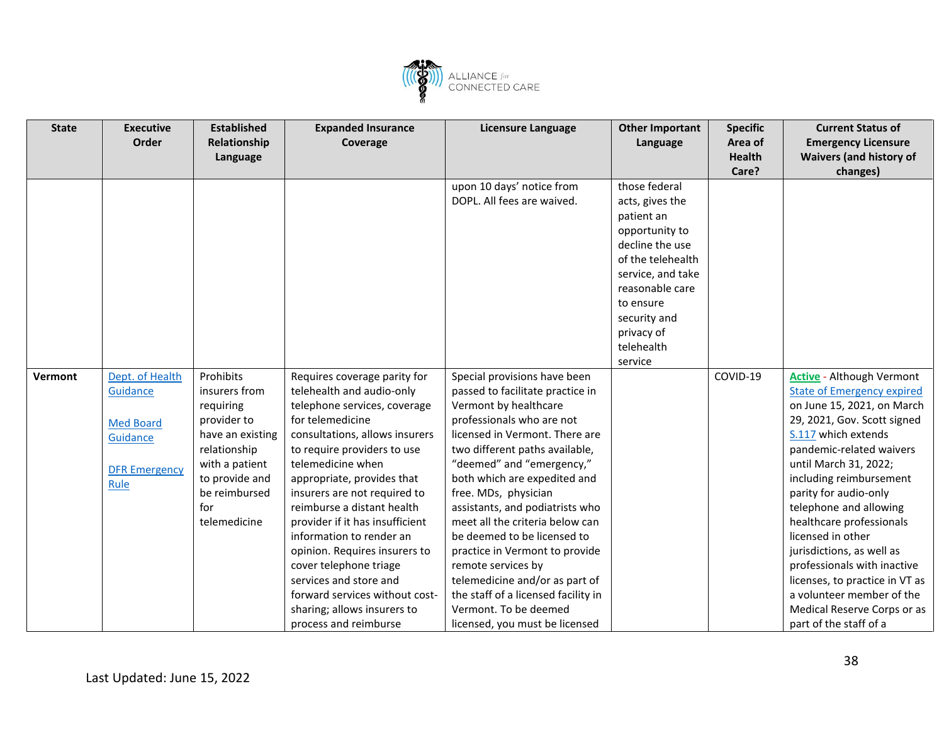![](_page_37_Picture_0.jpeg)

| <b>State</b> | <b>Executive</b>     | <b>Established</b> | <b>Expanded Insurance</b>       | Licensure Language                  | <b>Other Important</b> | <b>Specific</b> | <b>Current Status of</b>          |
|--------------|----------------------|--------------------|---------------------------------|-------------------------------------|------------------------|-----------------|-----------------------------------|
|              | Order                | Relationship       | Coverage                        |                                     | Language               | Area of         | <b>Emergency Licensure</b>        |
|              |                      | Language           |                                 |                                     |                        | <b>Health</b>   | <b>Waivers (and history of</b>    |
|              |                      |                    |                                 |                                     |                        | Care?           | changes)                          |
|              |                      |                    |                                 | upon 10 days' notice from           | those federal          |                 |                                   |
|              |                      |                    |                                 | DOPL. All fees are waived.          | acts, gives the        |                 |                                   |
|              |                      |                    |                                 |                                     | patient an             |                 |                                   |
|              |                      |                    |                                 |                                     | opportunity to         |                 |                                   |
|              |                      |                    |                                 |                                     | decline the use        |                 |                                   |
|              |                      |                    |                                 |                                     | of the telehealth      |                 |                                   |
|              |                      |                    |                                 |                                     | service, and take      |                 |                                   |
|              |                      |                    |                                 |                                     | reasonable care        |                 |                                   |
|              |                      |                    |                                 |                                     | to ensure              |                 |                                   |
|              |                      |                    |                                 |                                     | security and           |                 |                                   |
|              |                      |                    |                                 |                                     | privacy of             |                 |                                   |
|              |                      |                    |                                 |                                     | telehealth             |                 |                                   |
|              |                      |                    |                                 |                                     | service                |                 |                                   |
| Vermont      | Dept. of Health      | Prohibits          | Requires coverage parity for    | Special provisions have been        |                        | COVID-19        | <b>Active - Although Vermont</b>  |
|              | Guidance             | insurers from      | telehealth and audio-only       | passed to facilitate practice in    |                        |                 | <b>State of Emergency expired</b> |
|              |                      | requiring          | telephone services, coverage    | Vermont by healthcare               |                        |                 | on June 15, 2021, on March        |
|              | <b>Med Board</b>     | provider to        | for telemedicine                | professionals who are not           |                        |                 | 29, 2021, Gov. Scott signed       |
|              | Guidance             | have an existing   | consultations, allows insurers  | licensed in Vermont. There are      |                        |                 | S.117 which extends               |
|              |                      | relationship       | to require providers to use     | two different paths available,      |                        |                 | pandemic-related waivers          |
|              | <b>DFR Emergency</b> | with a patient     | telemedicine when               | "deemed" and "emergency,"           |                        |                 | until March 31, 2022;             |
|              | Rule                 | to provide and     | appropriate, provides that      | both which are expedited and        |                        |                 | including reimbursement           |
|              |                      | be reimbursed      | insurers are not required to    | free. MDs, physician                |                        |                 | parity for audio-only             |
|              |                      | for                | reimburse a distant health      | assistants, and podiatrists who     |                        |                 | telephone and allowing            |
|              |                      | telemedicine       | provider if it has insufficient | meet all the criteria below can     |                        |                 | healthcare professionals          |
|              |                      |                    | information to render an        | be deemed to be licensed to         |                        |                 | licensed in other                 |
|              |                      |                    | opinion. Requires insurers to   | practice in Vermont to provide      |                        |                 | jurisdictions, as well as         |
|              |                      |                    | cover telephone triage          | remote services by                  |                        |                 | professionals with inactive       |
|              |                      |                    | services and store and          | telemedicine and/or as part of      |                        |                 | licenses, to practice in VT as    |
|              |                      |                    | forward services without cost-  | the staff of a licensed facility in |                        |                 | a volunteer member of the         |
|              |                      |                    | sharing; allows insurers to     | Vermont. To be deemed               |                        |                 | Medical Reserve Corps or as       |
|              |                      |                    | process and reimburse           | licensed, you must be licensed      |                        |                 | part of the staff of a            |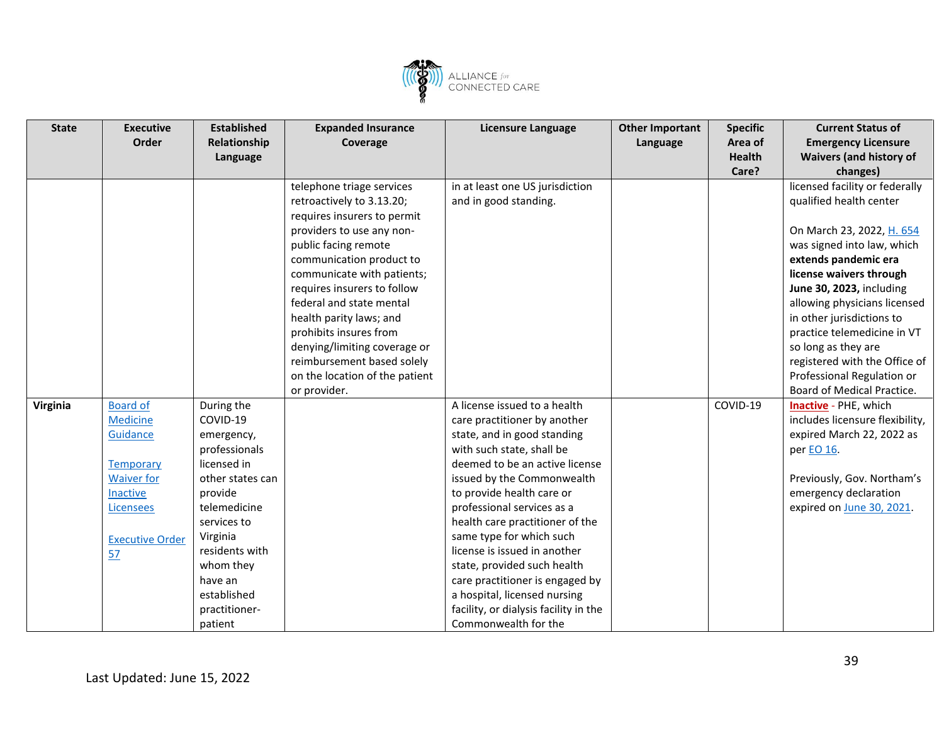![](_page_38_Picture_0.jpeg)

| <b>State</b> | <b>Executive</b>       | <b>Established</b> | <b>Expanded Insurance</b>      | <b>Licensure Language</b>             | <b>Other Important</b> | <b>Specific</b> | <b>Current Status of</b>        |
|--------------|------------------------|--------------------|--------------------------------|---------------------------------------|------------------------|-----------------|---------------------------------|
|              | <b>Order</b>           | Relationship       | Coverage                       |                                       | Language               | Area of         | <b>Emergency Licensure</b>      |
|              |                        | Language           |                                |                                       |                        | <b>Health</b>   | <b>Waivers (and history of</b>  |
|              |                        |                    |                                |                                       |                        | Care?           | changes)                        |
|              |                        |                    | telephone triage services      | in at least one US jurisdiction       |                        |                 | licensed facility or federally  |
|              |                        |                    | retroactively to 3.13.20;      | and in good standing.                 |                        |                 | qualified health center         |
|              |                        |                    | requires insurers to permit    |                                       |                        |                 |                                 |
|              |                        |                    | providers to use any non-      |                                       |                        |                 | On March 23, 2022, H. 654       |
|              |                        |                    | public facing remote           |                                       |                        |                 | was signed into law, which      |
|              |                        |                    | communication product to       |                                       |                        |                 | extends pandemic era            |
|              |                        |                    | communicate with patients;     |                                       |                        |                 | license waivers through         |
|              |                        |                    | requires insurers to follow    |                                       |                        |                 | June 30, 2023, including        |
|              |                        |                    | federal and state mental       |                                       |                        |                 | allowing physicians licensed    |
|              |                        |                    | health parity laws; and        |                                       |                        |                 | in other jurisdictions to       |
|              |                        |                    | prohibits insures from         |                                       |                        |                 | practice telemedicine in VT     |
|              |                        |                    | denying/limiting coverage or   |                                       |                        |                 | so long as they are             |
|              |                        |                    | reimbursement based solely     |                                       |                        |                 | registered with the Office of   |
|              |                        |                    | on the location of the patient |                                       |                        |                 | Professional Regulation or      |
|              |                        |                    | or provider.                   |                                       |                        |                 | Board of Medical Practice.      |
| Virginia     | <b>Board of</b>        | During the         |                                | A license issued to a health          |                        | COVID-19        | Inactive - PHE, which           |
|              | <b>Medicine</b>        | COVID-19           |                                | care practitioner by another          |                        |                 | includes licensure flexibility, |
|              | Guidance               | emergency,         |                                | state, and in good standing           |                        |                 | expired March 22, 2022 as       |
|              |                        | professionals      |                                | with such state, shall be             |                        |                 | per EO 16.                      |
|              | <b>Temporary</b>       | licensed in        |                                | deemed to be an active license        |                        |                 |                                 |
|              | <b>Waiver for</b>      | other states can   |                                | issued by the Commonwealth            |                        |                 | Previously, Gov. Northam's      |
|              | Inactive               | provide            |                                | to provide health care or             |                        |                 | emergency declaration           |
|              | Licensees              | telemedicine       |                                | professional services as a            |                        |                 | expired on June 30, 2021.       |
|              |                        | services to        |                                | health care practitioner of the       |                        |                 |                                 |
|              | <b>Executive Order</b> | Virginia           |                                | same type for which such              |                        |                 |                                 |
|              | 57                     | residents with     |                                | license is issued in another          |                        |                 |                                 |
|              |                        | whom they          |                                | state, provided such health           |                        |                 |                                 |
|              |                        | have an            |                                | care practitioner is engaged by       |                        |                 |                                 |
|              |                        | established        |                                | a hospital, licensed nursing          |                        |                 |                                 |
|              |                        | practitioner-      |                                | facility, or dialysis facility in the |                        |                 |                                 |
|              |                        | patient            |                                | Commonwealth for the                  |                        |                 |                                 |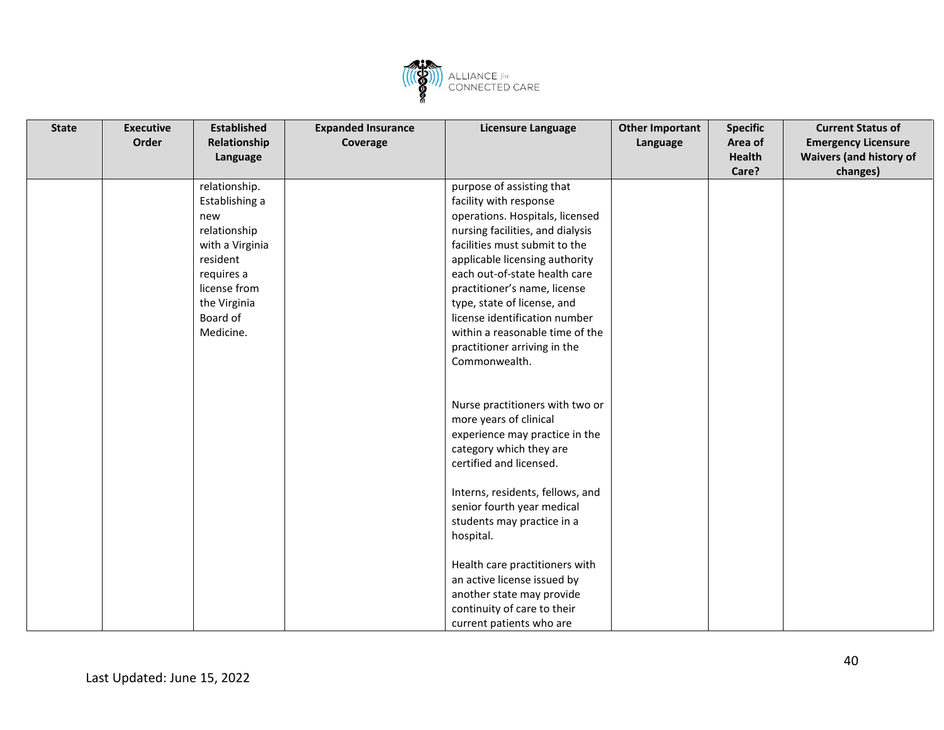![](_page_39_Picture_0.jpeg)

| <b>State</b> | <b>Executive</b> | <b>Established</b> | <b>Expanded Insurance</b> | <b>Licensure Language</b>        | <b>Other Important</b> | <b>Specific</b> | <b>Current Status of</b>       |
|--------------|------------------|--------------------|---------------------------|----------------------------------|------------------------|-----------------|--------------------------------|
|              | Order            | Relationship       | Coverage                  |                                  | Language               | Area of         | <b>Emergency Licensure</b>     |
|              |                  | Language           |                           |                                  |                        | <b>Health</b>   | <b>Waivers (and history of</b> |
|              |                  |                    |                           |                                  |                        | Care?           | changes)                       |
|              |                  | relationship.      |                           | purpose of assisting that        |                        |                 |                                |
|              |                  | Establishing a     |                           | facility with response           |                        |                 |                                |
|              |                  | new                |                           | operations. Hospitals, licensed  |                        |                 |                                |
|              |                  | relationship       |                           | nursing facilities, and dialysis |                        |                 |                                |
|              |                  | with a Virginia    |                           | facilities must submit to the    |                        |                 |                                |
|              |                  | resident           |                           | applicable licensing authority   |                        |                 |                                |
|              |                  | requires a         |                           | each out-of-state health care    |                        |                 |                                |
|              |                  | license from       |                           | practitioner's name, license     |                        |                 |                                |
|              |                  | the Virginia       |                           | type, state of license, and      |                        |                 |                                |
|              |                  | Board of           |                           | license identification number    |                        |                 |                                |
|              |                  | Medicine.          |                           | within a reasonable time of the  |                        |                 |                                |
|              |                  |                    |                           | practitioner arriving in the     |                        |                 |                                |
|              |                  |                    |                           | Commonwealth.                    |                        |                 |                                |
|              |                  |                    |                           |                                  |                        |                 |                                |
|              |                  |                    |                           |                                  |                        |                 |                                |
|              |                  |                    |                           | Nurse practitioners with two or  |                        |                 |                                |
|              |                  |                    |                           | more years of clinical           |                        |                 |                                |
|              |                  |                    |                           | experience may practice in the   |                        |                 |                                |
|              |                  |                    |                           | category which they are          |                        |                 |                                |
|              |                  |                    |                           | certified and licensed.          |                        |                 |                                |
|              |                  |                    |                           |                                  |                        |                 |                                |
|              |                  |                    |                           | Interns, residents, fellows, and |                        |                 |                                |
|              |                  |                    |                           | senior fourth year medical       |                        |                 |                                |
|              |                  |                    |                           | students may practice in a       |                        |                 |                                |
|              |                  |                    |                           | hospital.                        |                        |                 |                                |
|              |                  |                    |                           | Health care practitioners with   |                        |                 |                                |
|              |                  |                    |                           | an active license issued by      |                        |                 |                                |
|              |                  |                    |                           | another state may provide        |                        |                 |                                |
|              |                  |                    |                           | continuity of care to their      |                        |                 |                                |
|              |                  |                    |                           | current patients who are         |                        |                 |                                |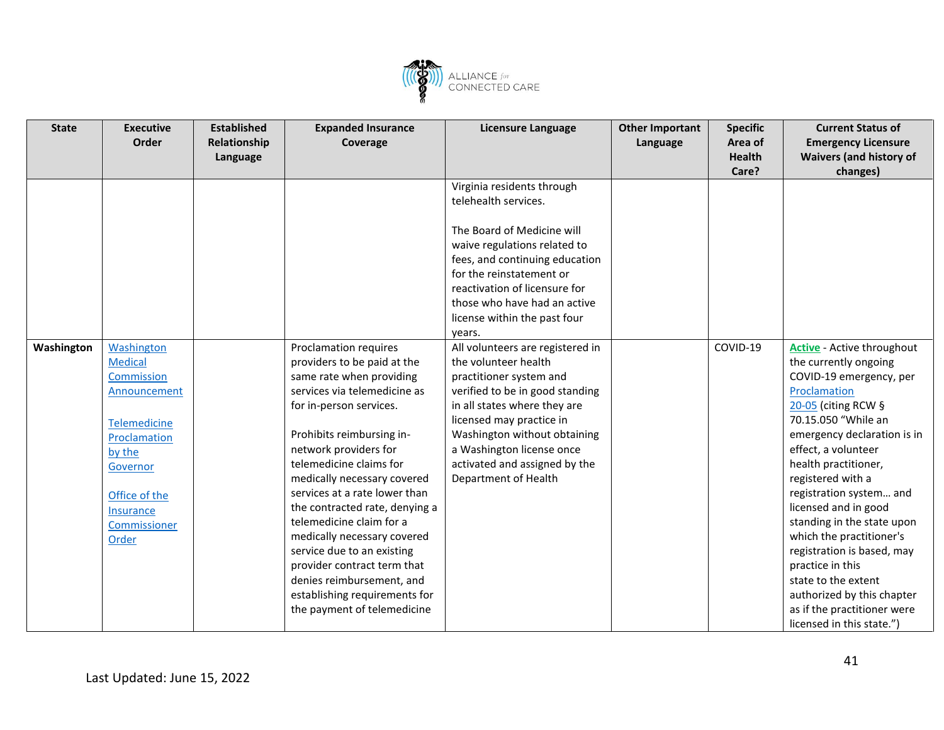![](_page_40_Picture_0.jpeg)

| <b>State</b> | <b>Executive</b> | <b>Established</b> | <b>Expanded Insurance</b>      | Licensure Language               | <b>Other Important</b> | <b>Specific</b> | <b>Current Status of</b>          |
|--------------|------------------|--------------------|--------------------------------|----------------------------------|------------------------|-----------------|-----------------------------------|
|              | Order            | Relationship       | Coverage                       |                                  | Language               | Area of         | <b>Emergency Licensure</b>        |
|              |                  | Language           |                                |                                  |                        | <b>Health</b>   | <b>Waivers (and history of</b>    |
|              |                  |                    |                                |                                  |                        | Care?           | changes)                          |
|              |                  |                    |                                | Virginia residents through       |                        |                 |                                   |
|              |                  |                    |                                | telehealth services.             |                        |                 |                                   |
|              |                  |                    |                                |                                  |                        |                 |                                   |
|              |                  |                    |                                | The Board of Medicine will       |                        |                 |                                   |
|              |                  |                    |                                | waive regulations related to     |                        |                 |                                   |
|              |                  |                    |                                | fees, and continuing education   |                        |                 |                                   |
|              |                  |                    |                                | for the reinstatement or         |                        |                 |                                   |
|              |                  |                    |                                | reactivation of licensure for    |                        |                 |                                   |
|              |                  |                    |                                | those who have had an active     |                        |                 |                                   |
|              |                  |                    |                                | license within the past four     |                        |                 |                                   |
|              |                  |                    |                                | years.                           |                        |                 |                                   |
| Washington   | Washington       |                    | Proclamation requires          | All volunteers are registered in |                        | COVID-19        | <b>Active</b> - Active throughout |
|              | <b>Medical</b>   |                    | providers to be paid at the    | the volunteer health             |                        |                 | the currently ongoing             |
|              | Commission       |                    | same rate when providing       | practitioner system and          |                        |                 | COVID-19 emergency, per           |
|              | Announcement     |                    | services via telemedicine as   | verified to be in good standing  |                        |                 | Proclamation                      |
|              |                  |                    | for in-person services.        | in all states where they are     |                        |                 | 20-05 (citing RCW $\S$            |
|              | Telemedicine     |                    |                                | licensed may practice in         |                        |                 | 70.15.050 "While an               |
|              | Proclamation     |                    | Prohibits reimbursing in-      | Washington without obtaining     |                        |                 | emergency declaration is in       |
|              | by the           |                    | network providers for          | a Washington license once        |                        |                 | effect, a volunteer               |
|              | Governor         |                    | telemedicine claims for        | activated and assigned by the    |                        |                 | health practitioner,              |
|              |                  |                    | medically necessary covered    | Department of Health             |                        |                 | registered with a                 |
|              | Office of the    |                    | services at a rate lower than  |                                  |                        |                 | registration system and           |
|              | Insurance        |                    | the contracted rate, denying a |                                  |                        |                 | licensed and in good              |
|              | Commissioner     |                    | telemedicine claim for a       |                                  |                        |                 | standing in the state upon        |
|              | Order            |                    | medically necessary covered    |                                  |                        |                 | which the practitioner's          |
|              |                  |                    | service due to an existing     |                                  |                        |                 | registration is based, may        |
|              |                  |                    | provider contract term that    |                                  |                        |                 | practice in this                  |
|              |                  |                    | denies reimbursement, and      |                                  |                        |                 | state to the extent               |
|              |                  |                    | establishing requirements for  |                                  |                        |                 | authorized by this chapter        |
|              |                  |                    | the payment of telemedicine    |                                  |                        |                 | as if the practitioner were       |
|              |                  |                    |                                |                                  |                        |                 | licensed in this state.")         |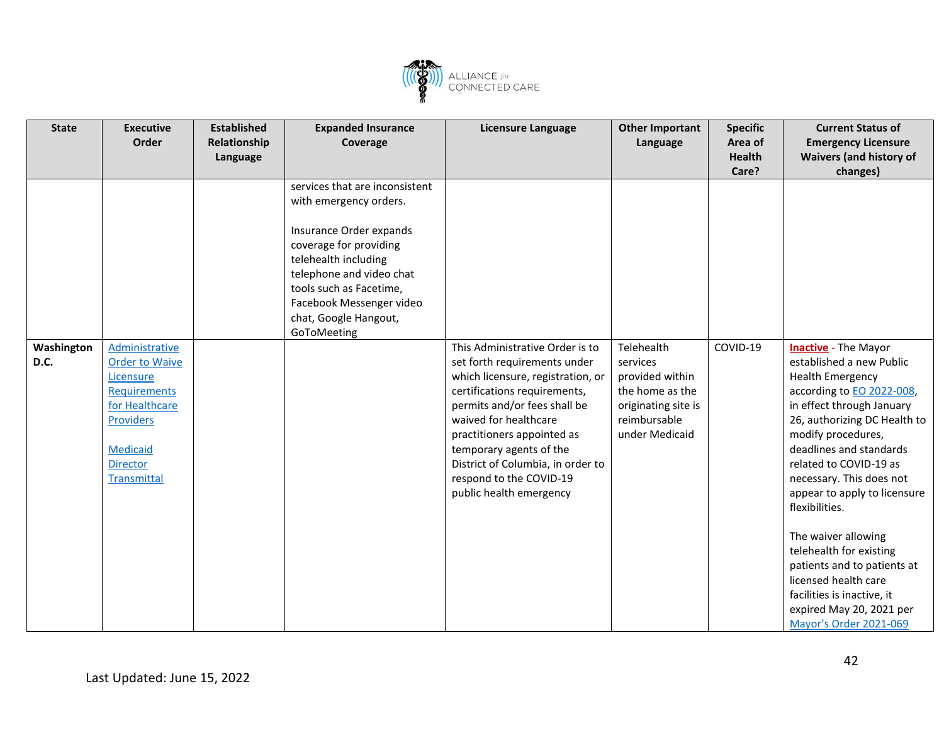![](_page_41_Picture_0.jpeg)

| <b>State</b>       | <b>Executive</b><br>Order                                                                                                                                | <b>Established</b><br>Relationship<br>Language | <b>Expanded Insurance</b><br>Coverage                                                                                                                                                                                                                            | <b>Licensure Language</b>                                                                                                                                                                                                                                                                                                                         | <b>Other Important</b><br>Language                                                                                    | <b>Specific</b><br>Area of<br><b>Health</b><br>Care? | <b>Current Status of</b><br><b>Emergency Licensure</b><br><b>Waivers (and history of</b><br>changes)                                                                                                                                                                                                                                                                                                                                                                                                                                      |
|--------------------|----------------------------------------------------------------------------------------------------------------------------------------------------------|------------------------------------------------|------------------------------------------------------------------------------------------------------------------------------------------------------------------------------------------------------------------------------------------------------------------|---------------------------------------------------------------------------------------------------------------------------------------------------------------------------------------------------------------------------------------------------------------------------------------------------------------------------------------------------|-----------------------------------------------------------------------------------------------------------------------|------------------------------------------------------|-------------------------------------------------------------------------------------------------------------------------------------------------------------------------------------------------------------------------------------------------------------------------------------------------------------------------------------------------------------------------------------------------------------------------------------------------------------------------------------------------------------------------------------------|
|                    |                                                                                                                                                          |                                                | services that are inconsistent<br>with emergency orders.<br>Insurance Order expands<br>coverage for providing<br>telehealth including<br>telephone and video chat<br>tools such as Facetime,<br>Facebook Messenger video<br>chat, Google Hangout,<br>GoToMeeting |                                                                                                                                                                                                                                                                                                                                                   |                                                                                                                       |                                                      |                                                                                                                                                                                                                                                                                                                                                                                                                                                                                                                                           |
| Washington<br>D.C. | Administrative<br><b>Order to Waive</b><br>Licensure<br>Requirements<br>for Healthcare<br><b>Providers</b><br>Medicaid<br><b>Director</b><br>Transmittal |                                                |                                                                                                                                                                                                                                                                  | This Administrative Order is to<br>set forth requirements under<br>which licensure, registration, or<br>certifications requirements,<br>permits and/or fees shall be<br>waived for healthcare<br>practitioners appointed as<br>temporary agents of the<br>District of Columbia, in order to<br>respond to the COVID-19<br>public health emergency | Telehealth<br>services<br>provided within<br>the home as the<br>originating site is<br>reimbursable<br>under Medicaid | COVID-19                                             | <b>Inactive</b> - The Mayor<br>established a new Public<br><b>Health Emergency</b><br>according to EO 2022-008,<br>in effect through January<br>26, authorizing DC Health to<br>modify procedures,<br>deadlines and standards<br>related to COVID-19 as<br>necessary. This does not<br>appear to apply to licensure<br>flexibilities.<br>The waiver allowing<br>telehealth for existing<br>patients and to patients at<br>licensed health care<br>facilities is inactive, it<br>expired May 20, 2021 per<br><b>Mayor's Order 2021-069</b> |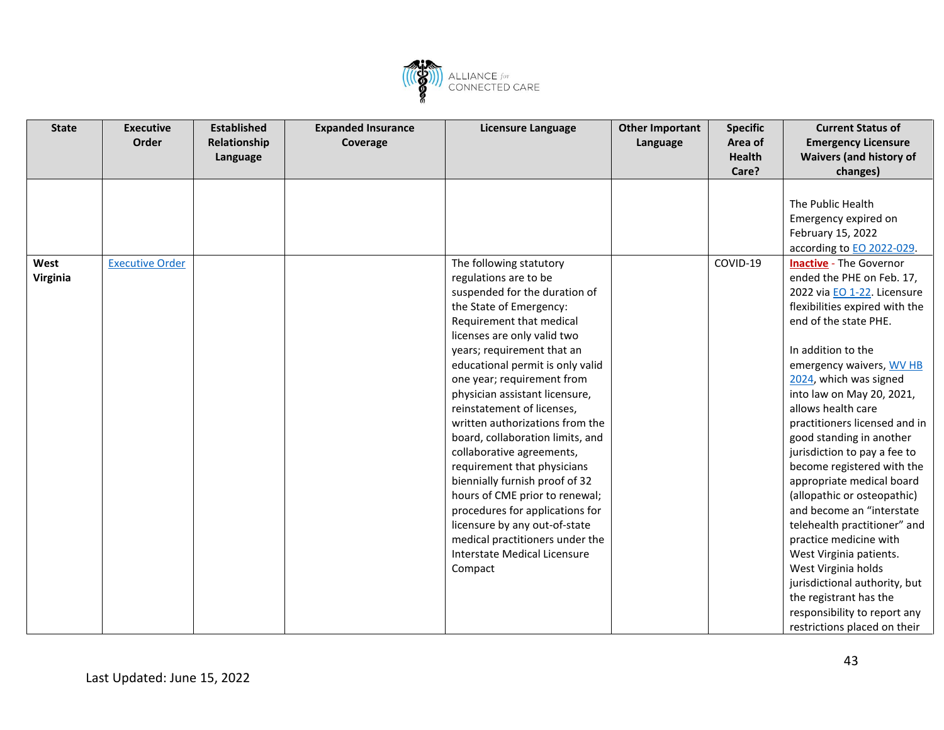![](_page_42_Picture_0.jpeg)

| <b>State</b> | <b>Executive</b>       | <b>Established</b> | <b>Expanded Insurance</b> | Licensure Language               | <b>Other Important</b> | <b>Specific</b> | <b>Current Status of</b>       |
|--------------|------------------------|--------------------|---------------------------|----------------------------------|------------------------|-----------------|--------------------------------|
|              | Order                  | Relationship       | Coverage                  |                                  | Language               | Area of         | <b>Emergency Licensure</b>     |
|              |                        | Language           |                           |                                  |                        | <b>Health</b>   | <b>Waivers (and history of</b> |
|              |                        |                    |                           |                                  |                        | Care?           | changes)                       |
|              |                        |                    |                           |                                  |                        |                 |                                |
|              |                        |                    |                           |                                  |                        |                 | The Public Health              |
|              |                        |                    |                           |                                  |                        |                 | Emergency expired on           |
|              |                        |                    |                           |                                  |                        |                 | February 15, 2022              |
|              |                        |                    |                           |                                  |                        |                 | according to EO 2022-029.      |
| West         | <b>Executive Order</b> |                    |                           | The following statutory          |                        | COVID-19        | <b>Inactive</b> - The Governor |
| Virginia     |                        |                    |                           | regulations are to be            |                        |                 | ended the PHE on Feb. 17,      |
|              |                        |                    |                           | suspended for the duration of    |                        |                 | 2022 via EO 1-22. Licensure    |
|              |                        |                    |                           | the State of Emergency:          |                        |                 | flexibilities expired with the |
|              |                        |                    |                           | Requirement that medical         |                        |                 | end of the state PHE.          |
|              |                        |                    |                           | licenses are only valid two      |                        |                 |                                |
|              |                        |                    |                           | years; requirement that an       |                        |                 | In addition to the             |
|              |                        |                    |                           | educational permit is only valid |                        |                 | emergency waivers, WV HB       |
|              |                        |                    |                           | one year; requirement from       |                        |                 | 2024, which was signed         |
|              |                        |                    |                           | physician assistant licensure,   |                        |                 | into law on May 20, 2021,      |
|              |                        |                    |                           | reinstatement of licenses,       |                        |                 | allows health care             |
|              |                        |                    |                           | written authorizations from the  |                        |                 | practitioners licensed and in  |
|              |                        |                    |                           | board, collaboration limits, and |                        |                 | good standing in another       |
|              |                        |                    |                           | collaborative agreements,        |                        |                 | jurisdiction to pay a fee to   |
|              |                        |                    |                           | requirement that physicians      |                        |                 | become registered with the     |
|              |                        |                    |                           | biennially furnish proof of 32   |                        |                 | appropriate medical board      |
|              |                        |                    |                           | hours of CME prior to renewal;   |                        |                 | (allopathic or osteopathic)    |
|              |                        |                    |                           | procedures for applications for  |                        |                 | and become an "interstate      |
|              |                        |                    |                           | licensure by any out-of-state    |                        |                 | telehealth practitioner" and   |
|              |                        |                    |                           | medical practitioners under the  |                        |                 | practice medicine with         |
|              |                        |                    |                           | Interstate Medical Licensure     |                        |                 | West Virginia patients.        |
|              |                        |                    |                           | Compact                          |                        |                 | West Virginia holds            |
|              |                        |                    |                           |                                  |                        |                 | jurisdictional authority, but  |
|              |                        |                    |                           |                                  |                        |                 | the registrant has the         |
|              |                        |                    |                           |                                  |                        |                 | responsibility to report any   |
|              |                        |                    |                           |                                  |                        |                 | restrictions placed on their   |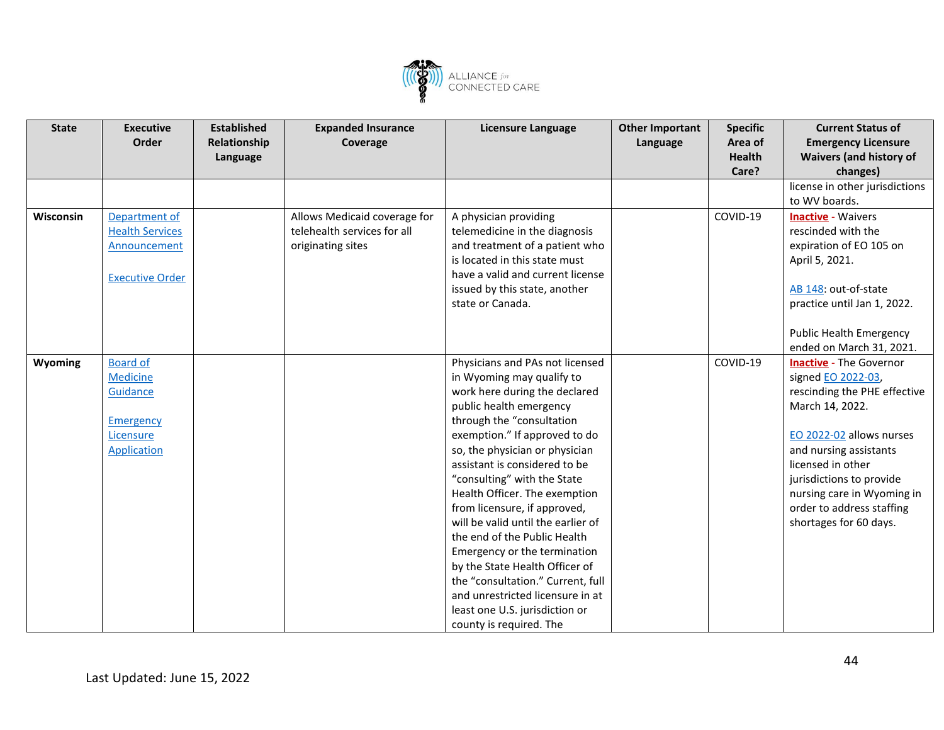![](_page_43_Picture_0.jpeg)

| Language<br>Care?<br>changes)<br>license in other jurisdictions<br>to WV boards.<br>Allows Medicaid coverage for<br>A physician providing<br>COVID-19<br>Wisconsin<br>Department of<br><b>Inactive - Waivers</b><br>telehealth services for all<br>rescinded with the<br><b>Health Services</b><br>telemedicine in the diagnosis<br>Announcement | <b>State</b> | <b>Established</b><br><b>Executive</b><br>Order<br>Relationship | <b>Expanded Insurance</b><br>Coverage | <b>Licensure Language</b>      | <b>Other Important</b><br>Language | <b>Specific</b><br>Area of<br><b>Health</b> | <b>Current Status of</b><br><b>Emergency Licensure</b><br><b>Waivers (and history of</b> |
|--------------------------------------------------------------------------------------------------------------------------------------------------------------------------------------------------------------------------------------------------------------------------------------------------------------------------------------------------|--------------|-----------------------------------------------------------------|---------------------------------------|--------------------------------|------------------------------------|---------------------------------------------|------------------------------------------------------------------------------------------|
|                                                                                                                                                                                                                                                                                                                                                  |              |                                                                 |                                       |                                |                                    |                                             |                                                                                          |
|                                                                                                                                                                                                                                                                                                                                                  |              |                                                                 |                                       |                                |                                    |                                             |                                                                                          |
|                                                                                                                                                                                                                                                                                                                                                  |              |                                                                 |                                       |                                |                                    |                                             |                                                                                          |
|                                                                                                                                                                                                                                                                                                                                                  |              |                                                                 |                                       |                                |                                    |                                             |                                                                                          |
|                                                                                                                                                                                                                                                                                                                                                  |              |                                                                 |                                       |                                |                                    |                                             |                                                                                          |
|                                                                                                                                                                                                                                                                                                                                                  |              |                                                                 | originating sites                     | and treatment of a patient who |                                    |                                             | expiration of EO 105 on                                                                  |
| is located in this state must<br>April 5, 2021.                                                                                                                                                                                                                                                                                                  |              |                                                                 |                                       |                                |                                    |                                             |                                                                                          |
| have a valid and current license<br><b>Executive Order</b>                                                                                                                                                                                                                                                                                       |              |                                                                 |                                       |                                |                                    |                                             |                                                                                          |
| issued by this state, another<br>AB 148: out-of-state                                                                                                                                                                                                                                                                                            |              |                                                                 |                                       |                                |                                    |                                             |                                                                                          |
| state or Canada.<br>practice until Jan 1, 2022.                                                                                                                                                                                                                                                                                                  |              |                                                                 |                                       |                                |                                    |                                             |                                                                                          |
|                                                                                                                                                                                                                                                                                                                                                  |              |                                                                 |                                       |                                |                                    |                                             |                                                                                          |
| <b>Public Health Emergency</b>                                                                                                                                                                                                                                                                                                                   |              |                                                                 |                                       |                                |                                    |                                             |                                                                                          |
|                                                                                                                                                                                                                                                                                                                                                  |              |                                                                 |                                       |                                |                                    |                                             | ended on March 31, 2021.                                                                 |
| <b>Board of</b><br>Physicians and PAs not licensed<br>COVID-19<br><b>Inactive</b> - The Governor<br>Wyoming                                                                                                                                                                                                                                      |              |                                                                 |                                       |                                |                                    |                                             |                                                                                          |
| <b>Medicine</b><br>signed EO 2022-03,<br>in Wyoming may qualify to                                                                                                                                                                                                                                                                               |              |                                                                 |                                       |                                |                                    |                                             |                                                                                          |
| work here during the declared<br>Guidance                                                                                                                                                                                                                                                                                                        |              |                                                                 |                                       |                                |                                    |                                             | rescinding the PHE effective                                                             |
| public health emergency<br>March 14, 2022.                                                                                                                                                                                                                                                                                                       |              |                                                                 |                                       |                                |                                    |                                             |                                                                                          |
| through the "consultation<br><b>Emergency</b>                                                                                                                                                                                                                                                                                                    |              |                                                                 |                                       |                                |                                    |                                             |                                                                                          |
| exemption." If approved to do<br>EO 2022-02 allows nurses<br>Licensure                                                                                                                                                                                                                                                                           |              |                                                                 |                                       |                                |                                    |                                             |                                                                                          |
| so, the physician or physician<br>and nursing assistants<br><b>Application</b>                                                                                                                                                                                                                                                                   |              |                                                                 |                                       |                                |                                    |                                             |                                                                                          |
| assistant is considered to be<br>licensed in other                                                                                                                                                                                                                                                                                               |              |                                                                 |                                       |                                |                                    |                                             |                                                                                          |
| "consulting" with the State<br>jurisdictions to provide                                                                                                                                                                                                                                                                                          |              |                                                                 |                                       |                                |                                    |                                             |                                                                                          |
| Health Officer. The exemption                                                                                                                                                                                                                                                                                                                    |              |                                                                 |                                       |                                |                                    |                                             | nursing care in Wyoming in                                                               |
| from licensure, if approved,<br>order to address staffing                                                                                                                                                                                                                                                                                        |              |                                                                 |                                       |                                |                                    |                                             |                                                                                          |
| will be valid until the earlier of<br>shortages for 60 days.                                                                                                                                                                                                                                                                                     |              |                                                                 |                                       |                                |                                    |                                             |                                                                                          |
| the end of the Public Health                                                                                                                                                                                                                                                                                                                     |              |                                                                 |                                       |                                |                                    |                                             |                                                                                          |
| Emergency or the termination                                                                                                                                                                                                                                                                                                                     |              |                                                                 |                                       |                                |                                    |                                             |                                                                                          |
| by the State Health Officer of<br>the "consultation." Current, full                                                                                                                                                                                                                                                                              |              |                                                                 |                                       |                                |                                    |                                             |                                                                                          |
| and unrestricted licensure in at                                                                                                                                                                                                                                                                                                                 |              |                                                                 |                                       |                                |                                    |                                             |                                                                                          |
| least one U.S. jurisdiction or                                                                                                                                                                                                                                                                                                                   |              |                                                                 |                                       |                                |                                    |                                             |                                                                                          |
| county is required. The                                                                                                                                                                                                                                                                                                                          |              |                                                                 |                                       |                                |                                    |                                             |                                                                                          |